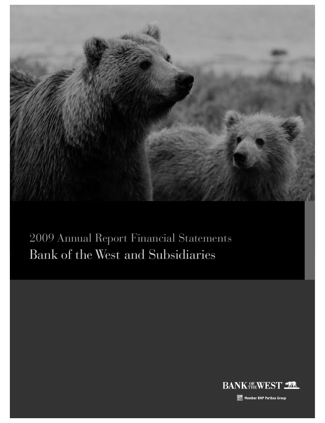

Bank of the West and Subsidiaries 2009 Annual Report Financial Statements

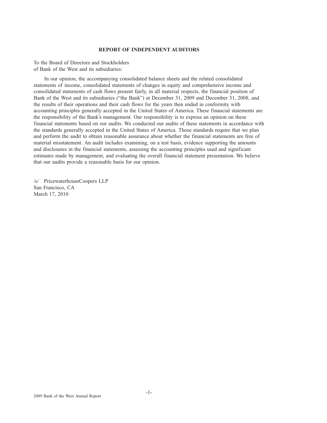## **REPORT OF INDEPENDENT AUDITORS**

To the Board of Directors and Stockholders of Bank of the West and its subsidiaries:

In our opinion, the accompanying consolidated balance sheets and the related consolidated statements of income, consolidated statements of changes in equity and comprehensive income and consolidated statements of cash flows present fairly, in all material respects, the financial position of Bank of the West and its subsidiaries ("the Bank") at December 31, 2009 and December 31, 2008, and the results of their operations and their cash flows for the years then ended in conformity with accounting principles generally accepted in the United States of America. These financial statements are the responsibility of the Bank's management. Our responsibility is to express an opinion on these financial statements based on our audits. We conducted our audits of these statements in accordance with the standards generally accepted in the United States of America. Those standards require that we plan and perform the audit to obtain reasonable assurance about whether the financial statements are free of material misstatement. An audit includes examining, on a test basis, evidence supporting the amounts and disclosures in the financial statements, assessing the accounting principles used and significant estimates made by management, and evaluating the overall financial statement presentation. We believe that our audits provide a reasonable basis for our opinion.

/s/ PricewaterhouseCoopers LLP San Francisco, CA March 17, 2010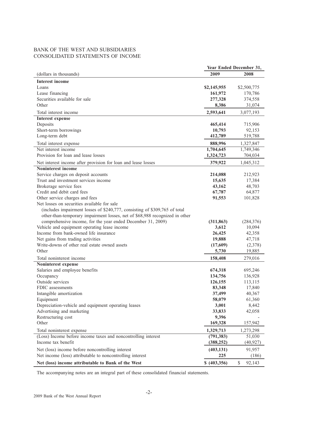## BANK OF THE WEST AND SUBSIDIARIES CONSOLIDATED STATEMENTS OF INCOME

|                                                                                       |                   | Year Ended December 31, |
|---------------------------------------------------------------------------------------|-------------------|-------------------------|
| (dollars in thousands)                                                                | 2009              | 2008                    |
| <b>Interest income</b>                                                                |                   |                         |
| Loans                                                                                 | \$2,145,955       | \$2,500,775             |
| Lease financing                                                                       | 161,972           | 170,786                 |
| Securities available for sale                                                         | 277,328           | 374,558                 |
| Other                                                                                 | 8,386             | 31,074                  |
| Total interest income                                                                 | 2,593,641         | 3,077,193               |
| <b>Interest expense</b>                                                               |                   |                         |
| Deposits                                                                              | 465,414           | 715,906                 |
| Short-term borrowings                                                                 | 10,793            | 92,153                  |
| Long-term debt                                                                        | 412,789           | 519,788                 |
|                                                                                       |                   |                         |
| Total interest expense<br>Net interest income                                         | 888,996           | 1,327,847               |
| Provision for loan and lease losses                                                   | 1,704,645         | 1,749,346               |
|                                                                                       | 1,324,723         | 704,034                 |
| Net interest income after provision for loan and lease losses                         | 379,922           | 1,045,312               |
| Noninterest income                                                                    |                   |                         |
| Service charges on deposit accounts                                                   | 214,088           | 212,923                 |
| Trust and investment services income                                                  | 15,635            | 17,384                  |
| Brokerage service fees                                                                | 43,162            | 48,703                  |
| Credit and debit card fees                                                            | 67,787            | 64,877                  |
| Other service charges and fees                                                        | 91,553            | 101,828                 |
| Net losses on securities available for sale                                           |                   |                         |
| (includes impairment losses of \$240,777, consisting of \$309,765 of total            |                   |                         |
| other-than-temporary impairment losses, net of \$68,988 recognized in other           |                   |                         |
| comprehensive income, for the year ended December 31, 2009)                           | (311, 863)        | (284, 376)              |
| Vehicle and equipment operating lease income<br>Income from bank-owned life insurance | 3,612             | 10,094                  |
|                                                                                       | 26,425            | 42,358                  |
| Net gains from trading activities<br>Write-downs of other real estate owned assets    | 19,888            | 47,718                  |
| Other                                                                                 | (17,609)<br>5,730 | (2,378)<br>19,885       |
|                                                                                       |                   |                         |
| Total noninterest income                                                              | 158,408           | 279,016                 |
| Noninterest expense                                                                   |                   |                         |
| Salaries and employee benefits                                                        | 674,318           | 695,246                 |
| Occupancy                                                                             | 134,756           | 136,928                 |
| Outside services<br>FDIC assessments                                                  | 126,155           | 113,115                 |
|                                                                                       | 83,348            | 17,840                  |
| Intangible amortization                                                               | 37,499            | 40,367                  |
| Equipment                                                                             | 58,079            | 61,360                  |
| Depreciation-vehicle and equipment operating leases                                   | 3,001             | 8,442                   |
| Advertising and marketing                                                             | 33,833            | 42,058                  |
| Restructuring cost<br>Other                                                           | 9,396             |                         |
|                                                                                       | 169,328           | 157,942                 |
| Total noninterest expense                                                             | 1,329,713         | 1,273,298               |
| (Loss) Income before income taxes and noncontrolling interest                         | (791, 383)        | 51,030                  |
| Income tax benefit                                                                    | (388, 252)        | (40, 927)               |
| Net (loss) income before noncontrolling interest                                      | (403, 131)        | 91,957                  |
| Net income (loss) attributable to noncontrolling interest                             | 225               | (186)                   |
| Net (loss) income attributable to Bank of the West                                    | \$ (403,356)      | $\mathbb{S}$<br>92,143  |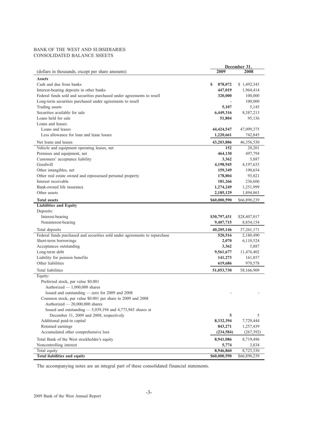## BANK OF THE WEST AND SUBSIDIARIES CONSOLIDATED BALANCE SHEETS

|                                                                            | December 31, |              |  |  |  |
|----------------------------------------------------------------------------|--------------|--------------|--|--|--|
| (dollars in thousands, except per share amounts)                           | 2009         | 2008         |  |  |  |
| <b>Assets</b>                                                              |              |              |  |  |  |
| Cash and due from banks                                                    | 878,072<br>S | \$1,492,343  |  |  |  |
| Interest-bearing deposits in other banks                                   | 447,019      | 1,964,414    |  |  |  |
| Federal funds sold and securities purchased under agreements to resell     | 320,000      | 100,000      |  |  |  |
| Long-term securities purchased under agreements to resell                  |              | 100,000      |  |  |  |
| Trading assets                                                             | 5,107        | 5,145        |  |  |  |
| Securities available for sale                                              | 6,449,316    | 8,387,213    |  |  |  |
| Loans held for sale                                                        | 51,804       | 95,136       |  |  |  |
| Loans and leases:                                                          |              |              |  |  |  |
| Loans and leases                                                           | 44,424,547   | 47,099,375   |  |  |  |
| Less allowance for loan and lease losses                                   | 1,220,661    | 742,845      |  |  |  |
|                                                                            |              |              |  |  |  |
| Net loans and leases                                                       | 43,203,886   | 46,356,530   |  |  |  |
| Vehicle and equipment operating leases, net                                | 152          | 20,201       |  |  |  |
| Premises and equipment, net                                                | 464,130      | 497,794      |  |  |  |
| Customers' acceptance liability                                            | 3,362        | 5,887        |  |  |  |
| Goodwill                                                                   | 4,198,945    | 4,197,633    |  |  |  |
| Other intangibles, net                                                     | 159,349      | 190,654      |  |  |  |
| Other real estate owned and repossessed personal property                  | 178,804      | 93,821       |  |  |  |
| Interest receivable                                                        | 181,266      | 236,606      |  |  |  |
| Bank-owned life insurance                                                  | 1,274,249    | 1,251,999    |  |  |  |
| Other assets                                                               | 2,185,129    | 1,894,863    |  |  |  |
| <b>Total assets</b>                                                        | \$60,000,590 | \$66,890,239 |  |  |  |
| <b>Liabilities and Equity</b>                                              |              |              |  |  |  |
| Deposits:                                                                  |              |              |  |  |  |
| Interest-bearing                                                           | \$30,797,431 | \$28,407,017 |  |  |  |
| Noninterest-bearing                                                        | 9,407,715    | 8,854,154    |  |  |  |
| Total deposits                                                             | 40,205,146   | 37, 261, 171 |  |  |  |
| Federal funds purchased and securities sold under agreements to repurchase | 520,516      | 2,180,490    |  |  |  |
| Short-term borrowings                                                      | 2,070        | 6,110,524    |  |  |  |
| Acceptances outstanding                                                    | 3,362        | 5,887        |  |  |  |
| Long-term debt                                                             | 9,561,677    | 11,476,402   |  |  |  |
| Liability for pension benefits                                             | 141,273      | 161,857      |  |  |  |
| Other liabilities                                                          | 619,686      | 970,578      |  |  |  |
| Total liabilities                                                          | 51,053,730   | 58,166,909   |  |  |  |
| Equity:                                                                    |              |              |  |  |  |
| Preferred stock, par value \$0.001                                         |              |              |  |  |  |
| Authorized - 1,000,000 shares                                              |              |              |  |  |  |
| Issued and outstanding - zero for 2009 and 2008                            |              |              |  |  |  |
| Common stock, par value \$0.001 per share in 2009 and 2008                 |              |              |  |  |  |
| Authorized - 20,000,000 shares                                             |              |              |  |  |  |
| Issued and outstanding $-$ 5,039,194 and 4,773,943 shares at               |              |              |  |  |  |
| December 31, 2009 and 2008, respectively                                   | 5            | 5            |  |  |  |
| Additional paid-in capital                                                 | 8,332,394    | 7,729,444    |  |  |  |
| Retained earnings                                                          | 843,271      | 1,257,439    |  |  |  |
| Accumulated other comprehensive loss                                       | (234, 584)   | (267, 392)   |  |  |  |
|                                                                            |              |              |  |  |  |
| Total Bank of the West stockholder's equity                                | 8,941,086    | 8,719,496    |  |  |  |
| Noncontrolling interest                                                    | 5,774        | 3,834        |  |  |  |
| Total equity                                                               | 8,946,860    | 8,723,330    |  |  |  |
| Total liabilities and equity                                               | \$60,000,590 | \$66,890,239 |  |  |  |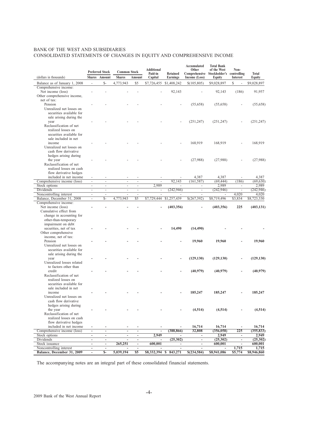## BANK OF THE WEST AND SUBSIDIARIES CONSOLIDATED STATEMENTS OF CHANGES IN EQUITY AND COMPREHENSIVE INCOME

| (dollars in thousands)                           |                          | <b>Preferred Stock</b><br>Shares Amount | <b>Common Stock</b><br><b>Shares</b> | Amount                                     | Additional<br>Paid-in<br>Capital | Retained<br><b>Earnings</b> | <b>Accumulated</b><br>Other<br>Comprehensive Stockholder's controlling | <b>Total Bank</b><br>of the West | Non-<br>Interest         | <b>Total</b> |
|--------------------------------------------------|--------------------------|-----------------------------------------|--------------------------------------|--------------------------------------------|----------------------------------|-----------------------------|------------------------------------------------------------------------|----------------------------------|--------------------------|--------------|
|                                                  |                          |                                         |                                      |                                            |                                  |                             | Income (Loss)                                                          | Equity                           |                          | Equity       |
| Balance as of January 1, 2008                    | $\sim$                   | $S-$                                    | 4,773,943                            | \$5                                        | \$7,726,455                      | \$1,408,242                 | \$(105,805)                                                            | \$9,028,897                      | \$                       | \$9,028,897  |
| Comprehensive income:<br>Net income (loss)       |                          |                                         |                                      |                                            |                                  | 92,143                      |                                                                        | 92,143                           | (186)                    | 91,957       |
| Other comprehensive income,                      |                          |                                         |                                      |                                            |                                  |                             |                                                                        |                                  |                          |              |
| net of tax:                                      |                          |                                         |                                      |                                            |                                  |                             |                                                                        |                                  |                          |              |
| Pension                                          |                          |                                         |                                      |                                            |                                  |                             | (55,658)                                                               | (55, 658)                        |                          | (55, 658)    |
| Unrealized net losses on                         |                          |                                         |                                      |                                            |                                  |                             |                                                                        |                                  |                          |              |
| securities available for                         |                          |                                         |                                      |                                            |                                  |                             |                                                                        |                                  |                          |              |
| sale arising during the                          |                          |                                         |                                      |                                            |                                  |                             |                                                                        |                                  |                          |              |
| year                                             |                          |                                         |                                      |                                            |                                  |                             | (251, 247)                                                             | (251, 247)                       |                          | (251, 247)   |
| Reclassification of net                          |                          |                                         |                                      |                                            |                                  |                             |                                                                        |                                  |                          |              |
| realized losses on                               |                          |                                         |                                      |                                            |                                  |                             |                                                                        |                                  |                          |              |
| securities available for<br>sale included in net |                          |                                         |                                      |                                            |                                  |                             |                                                                        |                                  |                          |              |
| income                                           |                          |                                         |                                      |                                            |                                  |                             |                                                                        |                                  |                          |              |
| Unrealized net losses on                         |                          |                                         |                                      |                                            |                                  |                             | 168,919                                                                | 168,919                          |                          | 168,919      |
| cash flow derivative                             |                          |                                         |                                      |                                            |                                  |                             |                                                                        |                                  |                          |              |
| hedges arising during                            |                          |                                         |                                      |                                            |                                  |                             |                                                                        |                                  |                          |              |
| the year                                         |                          |                                         |                                      |                                            |                                  |                             | (27,988)                                                               | (27,988)                         |                          | (27,988)     |
| Reclassification of net                          |                          |                                         |                                      |                                            |                                  |                             |                                                                        |                                  |                          |              |
| realized losses on cash                          |                          |                                         |                                      |                                            |                                  |                             |                                                                        |                                  |                          |              |
| flow derivative hedges                           |                          |                                         |                                      |                                            |                                  |                             |                                                                        |                                  |                          |              |
| included in net income                           | $\overline{\phantom{a}}$ | $\overline{\phantom{a}}$                |                                      |                                            |                                  |                             | 4,387                                                                  | 4,387                            |                          | 4,387        |
| Comprehensive income (loss)                      | $\sim$                   | ÷,                                      | ÷,                                   | ÷.                                         |                                  | 92,143                      | (161, 587)                                                             | (69, 444)                        | (186)                    | (69, 630)    |
| Stock options                                    | $\overline{\phantom{a}}$ | $\sim$                                  | $\sim$                               | ÷,                                         | 2,989                            |                             | $\overline{\phantom{a}}$                                               | 2,989                            | $\overline{\phantom{m}}$ | 2,989        |
| Dividends                                        | $\overline{\phantom{a}}$ | $\overline{\phantom{a}}$                | $\overline{\phantom{a}}$             | $\blacksquare$                             | $\frac{1}{2}$                    | (242, 946)                  | $\overline{\phantom{a}}$                                               | (242, 946)                       | ÷,                       | (242, 946)   |
| Noncontrolling interest                          | $\sim$                   | $\sim$                                  |                                      | ä,                                         |                                  |                             |                                                                        |                                  | 4,020                    | 4,020        |
| Balance, December 31, 2008                       | $\overline{\phantom{a}}$ | $S-$                                    | 4,773,943                            | \$5                                        | \$7,729,444                      | \$1,257,439                 | \$(267,392)                                                            | \$8,719,496                      | \$3,834                  | \$8,723,330  |
| Comprehensive income:<br>Net income (loss)       |                          |                                         |                                      |                                            |                                  | (403, 356)                  | ÷,                                                                     | (403, 356)                       | 225                      | (403, 131)   |
| Cumulative effect from                           |                          |                                         |                                      |                                            |                                  |                             |                                                                        |                                  |                          |              |
| change in accounting for                         |                          |                                         |                                      |                                            |                                  |                             |                                                                        |                                  |                          |              |
| other-than-temporary                             |                          |                                         |                                      |                                            |                                  |                             |                                                                        |                                  |                          |              |
| impairment on debt                               |                          |                                         |                                      |                                            |                                  |                             |                                                                        |                                  |                          |              |
| securities, net of tax                           |                          |                                         |                                      |                                            |                                  | 14,490                      | (14, 490)                                                              |                                  |                          |              |
| Other comprehensive                              |                          |                                         |                                      |                                            |                                  |                             |                                                                        |                                  |                          |              |
| income, net of tax:                              |                          |                                         |                                      |                                            |                                  |                             |                                                                        |                                  |                          |              |
| Pension                                          |                          |                                         |                                      |                                            |                                  |                             | 19,960                                                                 | 19,960                           |                          | 19,960       |
| Unrealized net losses on                         |                          |                                         |                                      |                                            |                                  |                             |                                                                        |                                  |                          |              |
| securities available for                         |                          |                                         |                                      |                                            |                                  |                             |                                                                        |                                  |                          |              |
| sale arising during the                          |                          |                                         |                                      |                                            |                                  |                             |                                                                        |                                  |                          |              |
| year<br>Unrealized losses related                |                          |                                         |                                      |                                            |                                  |                             | (129, 130)                                                             | (129, 130)                       |                          | (129, 130)   |
| to factors other than                            |                          |                                         |                                      |                                            |                                  |                             |                                                                        |                                  |                          |              |
| credit                                           |                          |                                         |                                      |                                            |                                  |                             | (40, 979)                                                              | (40, 979)                        |                          | (40, 979)    |
| Reclassification of net                          |                          |                                         |                                      |                                            |                                  |                             |                                                                        |                                  |                          |              |
| realized losses on                               |                          |                                         |                                      |                                            |                                  |                             |                                                                        |                                  |                          |              |
| securities available for                         |                          |                                         |                                      |                                            |                                  |                             |                                                                        |                                  |                          |              |
| sale included in net                             |                          |                                         |                                      |                                            |                                  |                             |                                                                        |                                  |                          |              |
| income                                           |                          |                                         |                                      |                                            |                                  |                             | 185,247                                                                | 185,247                          |                          | 185,247      |
| Unrealized net losses on                         |                          |                                         |                                      |                                            |                                  |                             |                                                                        |                                  |                          |              |
| cash flow derivative                             |                          |                                         |                                      |                                            |                                  |                             |                                                                        |                                  |                          |              |
| hedges arising during                            |                          |                                         |                                      |                                            |                                  |                             |                                                                        |                                  |                          |              |
| the year                                         |                          |                                         |                                      |                                            |                                  |                             | (4,514)                                                                | (4,514)                          |                          | (4,514)      |
| Reclassification of net                          |                          |                                         |                                      |                                            |                                  |                             |                                                                        |                                  |                          |              |
| realized losses on cash                          |                          |                                         |                                      |                                            |                                  |                             |                                                                        |                                  |                          |              |
| flow derivative hedges<br>included in net income | $\overline{\phantom{a}}$ | $\blacksquare$                          | $\blacksquare$                       |                                            |                                  |                             | 16,714                                                                 | 16,714                           |                          | 16,714       |
| Comprehensive income (loss)                      | $\overline{\phantom{a}}$ | $\overline{\phantom{a}}$                | $\overline{\phantom{a}}$             | $\overline{a}$<br>$\overline{\phantom{a}}$ | ÷<br>$\overline{\phantom{a}}$    | (388, 866)                  | 32,808                                                                 | (356, 058)                       | 225                      | (355, 833)   |
| Stock options                                    | $\overline{\phantom{a}}$ | $\blacksquare$                          | $\overline{\phantom{a}}$             | $\overline{a}$                             | 2,949                            |                             |                                                                        | 2.949                            | $\overline{\phantom{a}}$ | 2,949        |
| Dividends                                        | $\overline{\phantom{a}}$ | $\overline{\phantom{a}}$                | $\overline{\phantom{a}}$             | $\overline{\phantom{a}}$                   | $\overline{a}$                   | (25,302)                    | $\overline{\phantom{a}}$                                               | (25,302)                         | $\overline{\phantom{a}}$ | (25,302)     |
| Stock issuance                                   | $\overline{\phantom{a}}$ | $\overline{\phantom{a}}$                | 265,251                              | $\overline{\phantom{a}}$                   | 600,001                          | $\overline{\phantom{a}}$    | $\overline{\phantom{a}}$                                               | 600,001                          | $\overline{\phantom{a}}$ | 600,001      |
| Noncontrolling interest                          | $\overline{\phantom{a}}$ | $\overline{\phantom{a}}$                |                                      | $\overline{a}$                             |                                  |                             |                                                                        |                                  | 1,715                    | 1,715        |
| Balance, December 31, 2009                       | $\overline{\phantom{a}}$ | $S-$                                    | 5,039,194                            | $\overline{\text{S5}}$                     | \$8,332,394                      | $\mathbf{s}$<br>843,271     | \$(234,584)                                                            | \$8,941,086                      | \$5,774                  | \$8,946,860  |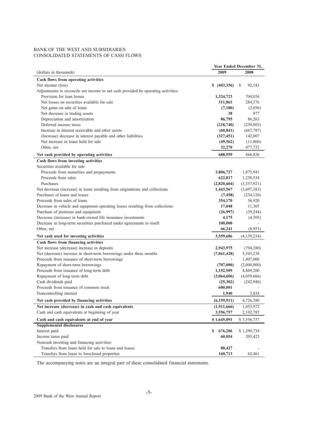## BANK OF THE WEST AND SUBSIDIARIES CONSOLIDATED STATEMENTS OF CASH FLOWS

|                                                                                   |                  | Year Ended December 31, |
|-----------------------------------------------------------------------------------|------------------|-------------------------|
| (dollars in thousands)                                                            | 2009             | 2008                    |
| Cash flows from operating activities                                              |                  |                         |
| Net income (loss)                                                                 | \$ (403,356)     | S<br>92,143             |
| Adjustments to reconcile net income to net cash provided by operating activities: |                  |                         |
| Provision for loan losses                                                         | 1,324,723        | 704,034                 |
| Net losses on securities available for sale                                       | 311,863          | 284,376                 |
| Net gains on sale of loans                                                        | (7,180)          | (2,056)                 |
| Net decrease in trading assets                                                    | 38               | 977                     |
| Depreciation and amortization                                                     | 86,795           | 86,263                  |
| Deferred income taxes                                                             | (218,740)        | (239, 803)              |
| Increase in interest receivable and other assets                                  | (60, 841)        | (667, 787)              |
| (Increase) decrease in interest payable and other liabilities                     | (327, 451)       | 142,007                 |
| Net increase in loans held for sale                                               | (49, 562)        | (11,060)                |
| Other, net                                                                        | 32,270           | 477,732                 |
| Net cash provided by operating activities                                         | 688,559          | 866,826                 |
| Cash flows from investing activities                                              |                  |                         |
| Securities available for sale                                                     |                  |                         |
| Proceeds from maturities and prepayments                                          | 3,806,727        | 1,875,941               |
| Proceeds from sales                                                               | 622,817          | 1,258,534               |
| Purchases                                                                         | (2,820,604)      | (3,357,921)             |
| Net decrease (increase) in loans resulting from originations and collections      | 1,443,567        | (3,697,383)             |
| Purchases of loans and leases                                                     | (7, 458)         | (234, 126)              |
| Proceeds from sales of loans                                                      | 354,170          | 56,920                  |
| Decrease in vehicle and equipment operating leases resulting from collections     | 17,048           | 11,303                  |
| Purchase of premises and equipment                                                | (26,997)         | (39, 244)               |
| Decrease (increase) in bank-owned life insurance investments                      | 4,175            | (4,305)                 |
| Decrease in long-term securities purchased under agreements to resell             | 100,000          |                         |
| Other, net                                                                        | 66,241           | (8,953)                 |
| Net cash used for investing activities                                            | 3,559,686        | (4,139,234)             |
| Cash flows from financing activities                                              |                  |                         |
| Net increase (decrease) increase in deposits                                      | 2,943,975        | (794, 280)              |
| Net (decrease) increase in short-term borrowings under three months               | (7,061,428)      | 5,543,238               |
| Proceeds from issuance of short-term borrowings                                   |                  | 1,407,000               |
| Repayment of short-term borrowings                                                | (707,000)        | (2,000,000)             |
| Proceeds from issuance of long-term debt                                          | 1,152,509        | 4,869,200               |
| Repayment of long-term debt                                                       | (3,064,606)      | (4,059,666)             |
| Cash dividends paid<br>Proceeds from issuance of common stock                     | (25,302)         | (242, 946)              |
| Noncontrolling interest                                                           | 600,001<br>1,940 | 3,834                   |
|                                                                                   |                  |                         |
| Net cash provided by financing activities                                         | (6,159,911)      | 4,726,380               |
| Net increase (decrease) in cash and cash equivalents                              | (1,911,666)      | 1,453,972               |
| Cash and cash equivalents at beginning of year                                    | 3,556,757        | 2,102,785               |
| Cash and cash equivalents at end of year<br><b>Supplemental disclosures</b>       | \$1,645,091      | \$3,556,757             |
| Interest paid                                                                     | 676,206<br>\$    | \$1,390,734             |
| Income taxes paid                                                                 | 60,054           | 205,423                 |
| Noncash investing and financing activities:                                       |                  |                         |
| Transfers from loans held for sale to loans and leases                            | 88,427           |                         |
| Transfers from loans to foreclosed properties                                     | 160,713          | 62,461                  |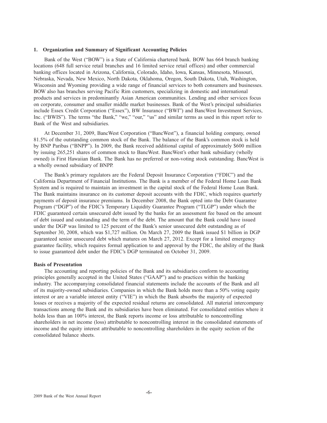#### **1. Organization and Summary of Significant Accounting Policies**

Bank of the West ("BOW") is a State of California chartered bank. BOW has 664 branch banking locations (648 full service retail branches and 16 limited service retail offices) and other commercial banking offices located in Arizona, California, Colorado, Idaho, Iowa, Kansas, Minnesota, Missouri, Nebraska, Nevada, New Mexico, North Dakota, Oklahoma, Oregon, South Dakota, Utah, Washington, Wisconsin and Wyoming providing a wide range of financial services to both consumers and businesses. BOW also has branches serving Pacific Rim customers, specializing in domestic and international products and services in predominantly Asian American communities. Lending and other services focus on corporate, consumer and smaller middle market businesses. Bank of the West's principal subsidiaries include Essex Credit Corporation ("Essex"), BW Insurance ("BWI") and BancWest Investment Services, Inc. ("BWIS"). The terms "the Bank," "we," "our," "us" and similar terms as used in this report refer to Bank of the West and subsidiaries.

At December 31, 2009, BancWest Corporation ("BancWest"), a financial holding company, owned 81.5% of the outstanding common stock of the Bank. The balance of the Bank's common stock is held by BNP Paribas ("BNPP"). In 2009, the Bank received additional capital of approximately \$600 million by issuing 265,251 shares of common stock to BancWest. BancWest's other bank subsidiary (wholly owned) is First Hawaiian Bank. The Bank has no preferred or non-voting stock outstanding. BancWest is a wholly owned subsidiary of BNPP.

The Bank's primary regulators are the Federal Deposit Insurance Corporation ("FDIC") and the California Department of Financial Institutions. The Bank is a member of the Federal Home Loan Bank System and is required to maintain an investment in the capital stock of the Federal Home Loan Bank. The Bank maintains insurance on its customer deposit accounts with the FDIC, which requires quarterly payments of deposit insurance premiums. In December 2008, the Bank opted into the Debt Guarantee Program ("DGP") of the FDIC's Temporary Liquidity Guarantee Program ("TLGP") under which the FDIC guaranteed certain unsecured debt issued by the banks for an assessment fee based on the amount of debt issued and outstanding and the term of the debt. The amount that the Bank could have issued under the DGP was limited to 125 percent of the Bank's senior unsecured debt outstanding as of September 30, 2008, which was \$1,727 million. On March 27, 2009 the Bank issued \$1 billion in DGP guaranteed senior unsecured debt which matures on March 27, 2012. Except for a limited emergency guarantee facility, which requires formal application to and approval by the FDIC, the ability of the Bank to issue guaranteed debt under the FDIC's DGP terminated on October 31, 2009.

#### **Basis of Presentation**

The accounting and reporting policies of the Bank and its subsidiaries conform to accounting principles generally accepted in the United States ("GAAP") and to practices within the banking industry. The accompanying consolidated financial statements include the accounts of the Bank and all of its majority-owned subsidiaries. Companies in which the Bank holds more than a 50% voting equity interest or are a variable interest entity ("VIE") in which the Bank absorbs the majority of expected losses or receives a majority of the expected residual returns are consolidated. All material intercompany transactions among the Bank and its subsidiaries have been eliminated. For consolidated entities where it holds less than an 100% interest, the Bank reports income or loss attributable to noncontrolling shareholders in net income (loss) attributable to noncontrolling interest in the consolidated statements of income and the equity interest attributable to noncontrolling shareholders in the equity section of the consolidated balance sheets.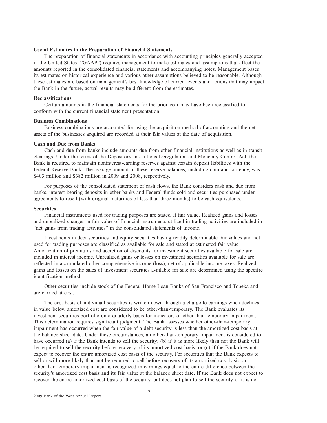## **Use of Estimates in the Preparation of Financial Statements**

The preparation of financial statements in accordance with accounting principles generally accepted in the United States ("GAAP") requires management to make estimates and assumptions that affect the amounts reported in the consolidated financial statements and accompanying notes. Management bases its estimates on historical experience and various other assumptions believed to be reasonable. Although these estimates are based on management's best knowledge of current events and actions that may impact the Bank in the future, actual results may be different from the estimates.

## **Reclassifications**

Certain amounts in the financial statements for the prior year may have been reclassified to conform with the current financial statement presentation.

#### **Business Combinations**

Business combinations are accounted for using the acquisition method of accounting and the net assets of the businesses acquired are recorded at their fair values at the date of acquisition.

## **Cash and Due from Banks**

Cash and due from banks include amounts due from other financial institutions as well as in-transit clearings. Under the terms of the Depository Institutions Deregulation and Monetary Control Act, the Bank is required to maintain noninterest-earning reserves against certain deposit liabilities with the Federal Reserve Bank. The average amount of these reserve balances, including coin and currency, was \$403 million and \$382 million in 2009 and 2008, respectively.

For purposes of the consolidated statement of cash flows, the Bank considers cash and due from banks, interest-bearing deposits in other banks and Federal funds sold and securities purchased under agreements to resell (with original maturities of less than three months) to be cash equivalents.

#### **Securities**

Financial instruments used for trading purposes are stated at fair value. Realized gains and losses and unrealized changes in fair value of financial instruments utilized in trading activities are included in "net gains from trading activities" in the consolidated statements of income.

Investments in debt securities and equity securities having readily determinable fair values and not used for trading purposes are classified as available for sale and stated at estimated fair value. Amortization of premiums and accretion of discounts for investment securities available for sale are included in interest income. Unrealized gains or losses on investment securities available for sale are reflected in accumulated other comprehensive income (loss), net of applicable income taxes. Realized gains and losses on the sales of investment securities available for sale are determined using the specific identification method.

Other securities include stock of the Federal Home Loan Banks of San Francisco and Topeka and are carried at cost.

The cost basis of individual securities is written down through a charge to earnings when declines in value below amortized cost are considered to be other-than-temporary. The Bank evaluates its investment securities portfolio on a quarterly basis for indicators of other-than-temporary impairment. This determination requires significant judgment. The Bank assesses whether other-than-temporary impairment has occurred when the fair value of a debt security is less than the amortized cost basis at the balance sheet date. Under these circumstances, an other-than-temporary impairment is considered to have occurred (a) if the Bank intends to sell the security; (b) if it is more likely than not the Bank will be required to sell the security before recovery of its amortized cost basis; or (c) if the Bank does not expect to recover the entire amortized cost basis of the security. For securities that the Bank expects to sell or will more likely than not be required to sell before recovery of its amortized cost basis, an other-than-temporary impairment is recognized in earnings equal to the entire difference between the security's amortized cost basis and its fair value at the balance sheet date. If the Bank does not expect to recover the entire amortized cost basis of the security, but does not plan to sell the security or it is not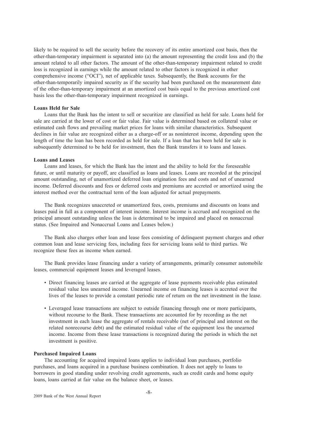likely to be required to sell the security before the recovery of its entire amortized cost basis, then the other-than-temporary impairment is separated into (a) the amount representing the credit loss and (b) the amount related to all other factors. The amount of the other-than-temporary impairment related to credit loss is recognized in earnings while the amount related to other factors is recognized in other comprehensive income ("OCI"), net of applicable taxes. Subsequently, the Bank accounts for the other-than-temporarily impaired security as if the security had been purchased on the measurement date of the other-than-temporary impairment at an amortized cost basis equal to the previous amortized cost basis less the other-than-temporary impairment recognized in earnings.

## **Loans Held for Sale**

Loans that the Bank has the intent to sell or securitize are classified as held for sale. Loans held for sale are carried at the lower of cost or fair value. Fair value is determined based on collateral value or estimated cash flows and prevailing market prices for loans with similar characteristics. Subsequent declines in fair value are recognized either as a charge-off or as noninterest income, depending upon the length of time the loan has been recorded as held for sale. If a loan that has been held for sale is subsequently determined to be held for investment, then the Bank transfers it to loans and leases.

#### **Loans and Leases**

Loans and leases, for which the Bank has the intent and the ability to hold for the foreseeable future, or until maturity or payoff, are classified as loans and leases. Loans are recorded at the principal amount outstanding, net of unamortized deferred loan origination fees and costs and net of unearned income. Deferred discounts and fees or deferred costs and premiums are accreted or amortized using the interest method over the contractual term of the loan adjusted for actual prepayments.

The Bank recognizes unaccreted or unamortized fees, costs, premiums and discounts on loans and leases paid in full as a component of interest income. Interest income is accrued and recognized on the principal amount outstanding unless the loan is determined to be impaired and placed on nonaccrual status. (See Impaired and Nonaccrual Loans and Leases below.)

The Bank also charges other loan and lease fees consisting of delinquent payment charges and other common loan and lease servicing fees, including fees for servicing loans sold to third parties. We recognize these fees as income when earned.

The Bank provides lease financing under a variety of arrangements, primarily consumer automobile leases, commercial equipment leases and leveraged leases.

- Direct financing leases are carried at the aggregate of lease payments receivable plus estimated residual value less unearned income. Unearned income on financing leases is accreted over the lives of the leases to provide a constant periodic rate of return on the net investment in the lease.
- Leveraged lease transactions are subject to outside financing through one or more participants, without recourse to the Bank. These transactions are accounted for by recording as the net investment in each lease the aggregate of rentals receivable (net of principal and interest on the related nonrecourse debt) and the estimated residual value of the equipment less the unearned income. Income from these lease transactions is recognized during the periods in which the net investment is positive.

#### **Purchased Impaired Loans**

The accounting for acquired impaired loans applies to individual loan purchases, portfolio purchases, and loans acquired in a purchase business combination. It does not apply to loans to borrowers in good standing under revolving credit agreements, such as credit cards and home equity loans, loans carried at fair value on the balance sheet, or leases.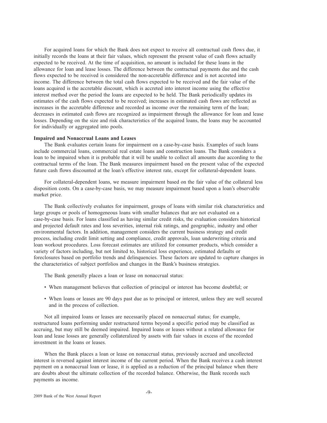For acquired loans for which the Bank does not expect to receive all contractual cash flows due, it initially records the loans at their fair values, which represent the present value of cash flows actually expected to be received. At the time of acquisition, no amount is included for these loans in the allowance for loan and lease losses. The difference between the contractual payments due and the cash flows expected to be received is considered the non-accretable difference and is not accreted into income. The difference between the total cash flows expected to be received and the fair value of the loans acquired is the accretable discount, which is accreted into interest income using the effective interest method over the period the loans are expected to be held. The Bank periodically updates its estimates of the cash flows expected to be received; increases in estimated cash flows are reflected as increases in the accretable difference and recorded as income over the remaining term of the loan; decreases in estimated cash flows are recognized as impairment through the allowance for loan and lease losses. Depending on the size and risk characteristics of the acquired loans, the loans may be accounted for individually or aggregated into pools.

## **Impaired and Nonaccrual Loans and Leases**

The Bank evaluates certain loans for impairment on a case-by-case basis. Examples of such loans include commercial loans, commercial real estate loans and construction loans. The Bank considers a loan to be impaired when it is probable that it will be unable to collect all amounts due according to the contractual terms of the loan. The Bank measures impairment based on the present value of the expected future cash flows discounted at the loan's effective interest rate, except for collateral-dependent loans.

For collateral-dependent loans, we measure impairment based on the fair value of the collateral less disposition costs. On a case-by-case basis, we may measure impairment based upon a loan's observable market price.

The Bank collectively evaluates for impairment, groups of loans with similar risk characteristics and large groups or pools of homogeneous loans with smaller balances that are not evaluated on a case-by-case basis. For loans classified as having similar credit risks, the evaluation considers historical and projected default rates and loss severities, internal risk ratings, and geographic, industry and other environmental factors. In addition, management considers the current business strategy and credit process, including credit limit setting and compliance, credit approvals, loan underwriting criteria and loan workout procedures. Loss forecast estimates are utilized for consumer products, which consider a variety of factors including, but not limited to, historical loss experience, estimated defaults or foreclosures based on portfolio trends and delinquencies. These factors are updated to capture changes in the characteristics of subject portfolios and changes in the Bank's business strategies.

The Bank generally places a loan or lease on nonaccrual status:

- When management believes that collection of principal or interest has become doubtful; or
- When loans or leases are 90 days past due as to principal or interest, unless they are well secured and in the process of collection.

Not all impaired loans or leases are necessarily placed on nonaccrual status; for example, restructured loans performing under restructured terms beyond a specific period may be classified as accruing, but may still be deemed impaired. Impaired loans or leases without a related allowance for loan and lease losses are generally collateralized by assets with fair values in excess of the recorded investment in the loans or leases.

When the Bank places a loan or lease on nonaccrual status, previously accrued and uncollected interest is reversed against interest income of the current period. When the Bank receives a cash interest payment on a nonaccrual loan or lease, it is applied as a reduction of the principal balance when there are doubts about the ultimate collection of the recorded balance. Otherwise, the Bank records such payments as income.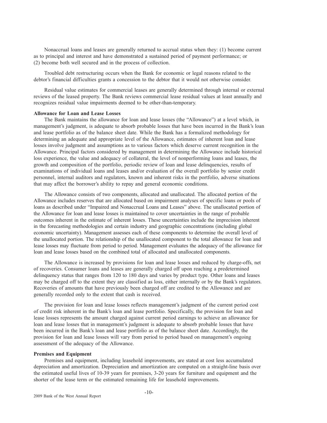Nonaccrual loans and leases are generally returned to accrual status when they: (1) become current as to principal and interest and have demonstrated a sustained period of payment performance; or (2) become both well secured and in the process of collection.

Troubled debt restructuring occurs when the Bank for economic or legal reasons related to the debtor's financial difficulties grants a concession to the debtor that it would not otherwise consider.

Residual value estimates for commercial leases are generally determined through internal or external reviews of the leased property. The Bank reviews commercial lease residual values at least annually and recognizes residual value impairments deemed to be other-than-temporary.

## **Allowance for Loan and Lease Losses**

The Bank maintains the allowance for loan and lease losses (the "Allowance") at a level which, in management's judgment, is adequate to absorb probable losses that have been incurred in the Bank's loan and lease portfolio as of the balance sheet date. While the Bank has a formalized methodology for determining an adequate and appropriate level of the Allowance, estimates of inherent loan and lease losses involve judgment and assumptions as to various factors which deserve current recognition in the Allowance. Principal factors considered by management in determining the Allowance include historical loss experience, the value and adequacy of collateral, the level of nonperforming loans and leases, the growth and composition of the portfolio, periodic review of loan and lease delinquencies, results of examinations of individual loans and leases and/or evaluation of the overall portfolio by senior credit personnel, internal auditors and regulators, known and inherent risks in the portfolio, adverse situations that may affect the borrower's ability to repay and general economic conditions.

The Allowance consists of two components, allocated and unallocated. The allocated portion of the Allowance includes reserves that are allocated based on impairment analyses of specific loans or pools of loans as described under "Impaired and Nonaccrual Loans and Leases" above. The unallocated portion of the Allowance for loan and lease losses is maintained to cover uncertainties in the range of probable outcomes inherent in the estimate of inherent losses. These uncertainties include the imprecision inherent in the forecasting methodologies and certain industry and geographic concentrations (including global economic uncertainty). Management assesses each of these components to determine the overall level of the unallocated portion. The relationship of the unallocated component to the total allowance for loan and lease losses may fluctuate from period to period. Management evaluates the adequacy of the allowance for loan and lease losses based on the combined total of allocated and unallocated components.

The Allowance is increased by provisions for loan and lease losses and reduced by charge-offs, net of recoveries. Consumer loans and leases are generally charged off upon reaching a predetermined delinquency status that ranges from 120 to 180 days and varies by product type. Other loans and leases may be charged off to the extent they are classified as loss, either internally or by the Bank's regulators. Recoveries of amounts that have previously been charged off are credited to the Allowance and are generally recorded only to the extent that cash is received.

The provision for loan and lease losses reflects management's judgment of the current period cost of credit risk inherent in the Bank's loan and lease portfolio. Specifically, the provision for loan and lease losses represents the amount charged against current period earnings to achieve an allowance for loan and lease losses that in management's judgment is adequate to absorb probable losses that have been incurred in the Bank's loan and lease portfolio as of the balance sheet date. Accordingly, the provision for loan and lease losses will vary from period to period based on management's ongoing assessment of the adequacy of the Allowance.

#### **Premises and Equipment**

Premises and equipment, including leasehold improvements, are stated at cost less accumulated depreciation and amortization. Depreciation and amortization are computed on a straight-line basis over the estimated useful lives of 10-39 years for premises, 3-20 years for furniture and equipment and the shorter of the lease term or the estimated remaining life for leasehold improvements.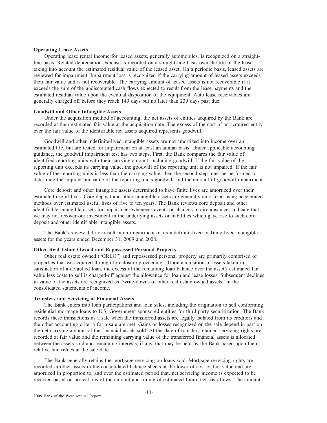#### **Operating Lease Assets**

Operating lease rental income for leased assets, generally automobiles, is recognized on a straightline basis. Related depreciation expense is recorded on a straight-line basis over the life of the lease taking into account the estimated residual value of the leased asset. On a periodic basis, leased assets are reviewed for impairment. Impairment loss is recognized if the carrying amount of leased assets exceeds their fair value and is not recoverable. The carrying amount of leased assets is not recoverable if it exceeds the sum of the undiscounted cash flows expected to result from the lease payments and the estimated residual value upon the eventual disposition of the equipment. Auto lease receivables are generally charged off before they reach 149 days but no later than 239 days past due.

## **Goodwill and Other Intangible Assets**

Under the acquisition method of accounting, the net assets of entities acquired by the Bank are recorded at their estimated fair value at the acquisition date. The excess of the cost of an acquired entity over the fair value of the identifiable net assets acquired represents goodwill.

Goodwill and other indefinite-lived intangible assets are not amortized into income over an estimated life, but are tested for impairment on at least an annual basis. Under applicable accounting guidance, the goodwill impairment test has two steps. First, the Bank compares the fair value of identified reporting units with their carrying amount, including goodwill. If the fair value of the reporting unit exceeds its carrying value, the goodwill of the reporting unit is not impaired. If the fair value of the reporting units is less than the carrying value, then the second step must be performed to determine the implied fair value of the reporting unit's goodwill and the amount of goodwill impairment.

Core deposit and other intangible assets determined to have finite lives are amortized over their estimated useful lives. Core deposit and other intangible assets are generally amortized using accelerated methods over estimated useful lives of five to ten years. The Bank reviews core deposit and other identifiable intangible assets for impairment whenever events or changes in circumstances indicate that we may not recover our investment in the underlying assets or liabilities which gave rise to such core deposit and other identifiable intangible assets.

The Bank's review did not result in an impairment of its indefinite-lived or finite-lived intangible assets for the years ended December 31, 2009 and 2008.

## **Other Real Estate Owned and Repossessed Personal Property**

Other real estate owned ("OREO") and repossessed personal property are primarily comprised of properties that we acquired through foreclosure proceedings. Upon acquisition of assets taken in satisfaction of a defaulted loan, the excess of the remaining loan balance over the asset's estimated fair value less costs to sell is charged-off against the allowance for loan and lease losses. Subsequent declines in value of the assets are recognized as "write-downs of other real estate owned assets" in the consolidated statements of income.

## **Transfers and Servicing of Financial Assets**

The Bank enters into loan participations and loan sales, including the origination to sell conforming residential mortgage loans to U.S. Government sponsored entities for third party securitization. The Bank records these transactions as a sale when the transferred assets are legally isolated from its creditors and the other accounting criteria for a sale are met. Gains or losses recognized on the sale depend in part on the net carrying amount of the financial assets sold. At the date of transfer, retained servicing rights are recorded at fair value and the remaining carrying value of the transferred financial assets is allocated between the assets sold and remaining interests, if any, that may be held by the Bank based upon their relative fair values at the sale date.

The Bank generally retains the mortgage servicing on loans sold. Mortgage servicing rights are recorded in other assets in the consolidated balance sheets at the lower of cost or fair value and are amortized in proportion to, and over the estimated period that, net servicing income is expected to be received based on projections of the amount and timing of estimated future net cash flows. The amount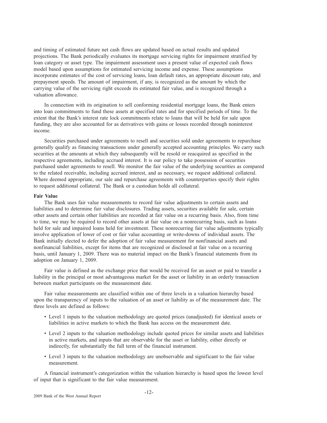and timing of estimated future net cash flows are updated based on actual results and updated projections. The Bank periodically evaluates its mortgage servicing rights for impairment stratified by loan category or asset type. The impairment assessment uses a present value of expected cash flows model based upon assumptions for estimated servicing income and expense. These assumptions incorporate estimates of the cost of servicing loans, loan default rates, an appropriate discount rate, and prepayment speeds. The amount of impairment, if any, is recognized as the amount by which the carrying value of the servicing right exceeds its estimated fair value, and is recognized through a valuation allowance.

In connection with its origination to sell conforming residential mortgage loans, the Bank enters into loan commitments to fund these assets at specified rates and for specified periods of time. To the extent that the Bank's interest rate lock commitments relate to loans that will be held for sale upon funding, they are also accounted for as derivatives with gains or losses recorded through noninterest income.

Securities purchased under agreements to resell and securities sold under agreements to repurchase generally qualify as financing transactions under generally accepted accounting principles. We carry such securities at the amounts at which they subsequently will be resold or reacquired as specified in the respective agreements, including accrued interest. It is our policy to take possession of securities purchased under agreements to resell. We monitor the fair value of the underlying securities as compared to the related receivable, including accrued interest, and as necessary, we request additional collateral. Where deemed appropriate, our sale and repurchase agreements with counterparties specify their rights to request additional collateral. The Bank or a custodian holds all collateral.

## **Fair Value**

The Bank uses fair value measurements to record fair value adjustments to certain assets and liabilities and to determine fair value disclosures. Trading assets, securities available for sale, certain other assets and certain other liabilities are recorded at fair value on a recurring basis. Also, from time to time, we may be required to record other assets at fair value on a nonrecurring basis, such as loans held for sale and impaired loans held for investment. These nonrecurring fair value adjustments typically involve application of lower of cost or fair value accounting or write-downs of individual assets. The Bank initially elected to defer the adoption of fair value measurement for nonfinancial assets and nonfinancial liabilities, except for items that are recognized or disclosed at fair value on a recurring basis, until January 1, 2009. There was no material impact on the Bank's financial statements from its adoption on January 1, 2009.

Fair value is defined as the exchange price that would be received for an asset or paid to transfer a liability in the principal or most advantageous market for the asset or liability in an orderly transaction between market participants on the measurement date.

Fair value measurements are classified within one of three levels in a valuation hierarchy based upon the transparency of inputs to the valuation of an asset or liability as of the measurement date. The three levels are defined as follows:

- Level 1 inputs to the valuation methodology are quoted prices (unadjusted) for identical assets or liabilities in active markets to which the Bank has access on the measurement date.
- Level 2 inputs to the valuation methodology include quoted prices for similar assets and liabilities in active markets, and inputs that are observable for the asset or liability, either directly or indirectly, for substantially the full term of the financial instrument.
- Level 3 inputs to the valuation methodology are unobservable and significant to the fair value measurement.

A financial instrument's categorization within the valuation hierarchy is based upon the lowest level of input that is significant to the fair value measurement.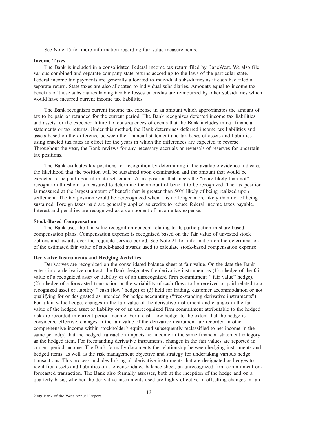See Note 15 for more information regarding fair value measurements.

#### **Income Taxes**

The Bank is included in a consolidated Federal income tax return filed by BancWest. We also file various combined and separate company state returns according to the laws of the particular state. Federal income tax payments are generally allocated to individual subsidiaries as if each had filed a separate return. State taxes are also allocated to individual subsidiaries. Amounts equal to income tax benefits of those subsidiaries having taxable losses or credits are reimbursed by other subsidiaries which would have incurred current income tax liabilities.

The Bank recognizes current income tax expense in an amount which approximates the amount of tax to be paid or refunded for the current period. The Bank recognizes deferred income tax liabilities and assets for the expected future tax consequences of events that the Bank includes in our financial statements or tax returns. Under this method, the Bank determines deferred income tax liabilities and assets based on the difference between the financial statement and tax bases of assets and liabilities using enacted tax rates in effect for the years in which the differences are expected to reverse. Throughout the year, the Bank reviews for any necessary accruals or reversals of reserves for uncertain tax positions.

The Bank evaluates tax positions for recognition by determining if the available evidence indicates the likelihood that the position will be sustained upon examination and the amount that would be expected to be paid upon ultimate settlement. A tax position that meets the "more likely than not" recognition threshold is measured to determine the amount of benefit to be recognized. The tax position is measured at the largest amount of benefit that is greater than 50% likely of being realized upon settlement. The tax position would be derecognized when it is no longer more likely than not of being sustained. Foreign taxes paid are generally applied as credits to reduce federal income taxes payable. Interest and penalties are recognized as a component of income tax expense.

#### **Stock-Based Compensation**

The Bank uses the fair value recognition concept relating to its participation in share-based compensation plans. Compensation expense is recognized based on the fair value of unvested stock options and awards over the requisite service period. See Note 21 for information on the determination of the estimated fair value of stock-based awards used to calculate stock-based compensation expense.

#### **Derivative Instruments and Hedging Activities**

Derivatives are recognized on the consolidated balance sheet at fair value. On the date the Bank enters into a derivative contract, the Bank designates the derivative instrument as (1) a hedge of the fair value of a recognized asset or liability or of an unrecognized firm commitment ("fair value" hedge), (2) a hedge of a forecasted transaction or the variability of cash flows to be received or paid related to a recognized asset or liability ("cash flow" hedge) or (3) held for trading, customer accommodation or not qualifying for or designated as intended for hedge accounting ("free-standing derivative instruments"). For a fair value hedge, changes in the fair value of the derivative instrument and changes in the fair value of the hedged asset or liability or of an unrecognized firm commitment attributable to the hedged risk are recorded in current period income. For a cash flow hedge, to the extent that the hedge is considered effective, changes in the fair value of the derivative instrument are recorded in other comprehensive income within stockholder's equity and subsequently reclassified to net income in the same period(s) that the hedged transaction impacts net income in the same financial statement category as the hedged item. For freestanding derivative instruments, changes in the fair values are reported in current period income. The Bank formally documents the relationship between hedging instruments and hedged items, as well as the risk management objective and strategy for undertaking various hedge transactions. This process includes linking all derivative instruments that are designated as hedges to identified assets and liabilities on the consolidated balance sheet, an unrecognized firm commitment or a forecasted transaction. The Bank also formally assesses, both at the inception of the hedge and on a quarterly basis, whether the derivative instruments used are highly effective in offsetting changes in fair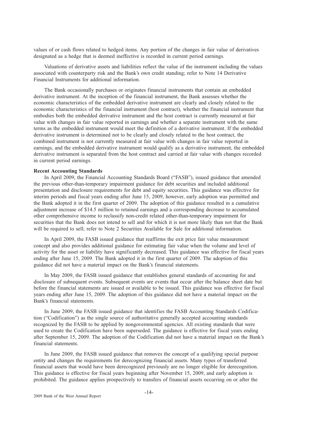values of or cash flows related to hedged items. Any portion of the changes in fair value of derivatives designated as a hedge that is deemed ineffective is recorded in current period earnings.

Valuations of derivative assets and liabilities reflect the value of the instrument including the values associated with counterparty risk and the Bank's own credit standing; refer to Note 14 Derivative Financial Instruments for additional information.

The Bank occasionally purchases or originates financial instruments that contain an embedded derivative instrument. At the inception of the financial instrument, the Bank assesses whether the economic characteristics of the embedded derivative instrument are clearly and closely related to the economic characteristics of the financial instrument (host contract), whether the financial instrument that embodies both the embedded derivative instrument and the host contract is currently measured at fair value with changes in fair value reported in earnings and whether a separate instrument with the same terms as the embedded instrument would meet the definition of a derivative instrument. If the embedded derivative instrument is determined not to be clearly and closely related to the host contract, the combined instrument is not currently measured at fair value with changes in fair value reported in earnings, and the embedded derivative instrument would qualify as a derivative instrument, the embedded derivative instrument is separated from the host contract and carried at fair value with changes recorded in current period earnings.

#### **Recent Accounting Standards**

In April 2009, the Financial Accounting Standards Board ("FASB"), issued guidance that amended the previous other-than-temporary impairment guidance for debt securities and included additional presentation and disclosure requirements for debt and equity securities. This guidance was effective for interim periods and fiscal years ending after June 15, 2009, however, early adoption was permitted and the Bank adopted it in the first quarter of 2009. The adoption of this guidance resulted in a cumulative adjustment increase of \$14.5 million to retained earnings and a corresponding decrease to accumulated other comprehensive income to reclassify non-credit related other-than-temporary impairment for securities that the Bank does not intend to sell and for which it is not more likely than not that the Bank will be required to sell; refer to Note 2 Securities Available for Sale for additional information.

In April 2009, the FASB issued guidance that reaffirms the exit price fair value measurement concept and also provides additional guidance for estimating fair value when the volume and level of activity for the asset or liability have significantly decreased. This guidance was effective for fiscal years ending after June 15, 2009. The Bank adopted it in the first quarter of 2009. The adoption of this guidance did not have a material impact on the Bank's financial statements.

In May 2009, the FASB issued guidance that establishes general standards of accounting for and disclosure of subsequent events. Subsequent events are events that occur after the balance sheet date but before the financial statements are issued or available to be issued. This guidance was effective for fiscal years ending after June 15, 2009. The adoption of this guidance did not have a material impact on the Bank's financial statements.

In June 2009, the FASB issued guidance that identifies the FASB Accounting Standards Codification ("Codification") as the single source of authoritative generally accepted accounting standards recognized by the FASB to be applied by nongovernmental agencies. All existing standards that were used to create the Codification have been superseded. The guidance is effective for fiscal years ending after September 15, 2009. The adoption of the Codification did not have a material impact on the Bank's financial statements.

In June 2009, the FASB issued guidance that removes the concept of a qualifying special purpose entity and changes the requirements for derecognizing financial assets. Many types of transferred financial assets that would have been derecognized previously are no longer eligible for derecognition. This guidance is effective for fiscal years beginning after November 15, 2009, and early adoption is prohibited. The guidance applies prospectively to transfers of financial assets occurring on or after the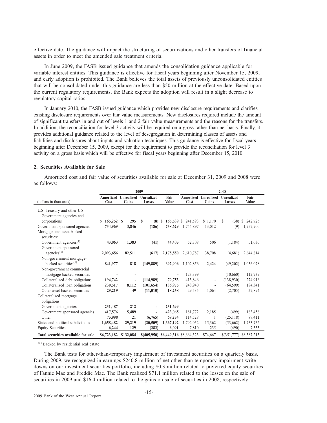effective date. The guidance will impact the structuring of securitizations and other transfers of financial assets in order to meet the amended sale treatment criteria.

In June 2009, the FASB issued guidance that amends the consolidation guidance applicable for variable interest entities. This guidance is effective for fiscal years beginning after November 15, 2009, and early adoption is prohibited. The Bank believes the total assets of previously unconsolidated entities that will be consolidated under this guidance are less than \$50 million at the effective date. Based upon the current regulatory requirements, the Bank expects the adoption will result in a slight decrease to regulatory capital ratios.

In January 2010, the FASB issued guidance which provides new disclosure requirements and clarifies existing disclosure requirements over fair value measurements. New disclosures required include the amount of significant transfers in and out of levels 1 and 2 fair value measurements and the reasons for the transfers. In addition, the reconciliation for level 3 activity will be required on a gross rather than net basis. Finally, it provides additional guidance related to the level of desegregation in determining classes of assets and liabilities and disclosures about inputs and valuation techniques. This guidance is effective for fiscal years beginning after December 15, 2009, except for the requirement to provide the reconciliation for level 3 activity on a gross basis which will be effective for fiscal years beginning after December 15, 2010.

#### **2. Securities Available for Sale**

Amortized cost and fair value of securities available for sale at December 31, 2009 and 2008 were as follows:

|                                                                           | 2009<br>2008      |                               |                             |                                     |                    |                            |                         |                         |
|---------------------------------------------------------------------------|-------------------|-------------------------------|-----------------------------|-------------------------------------|--------------------|----------------------------|-------------------------|-------------------------|
| (dollars in thousands)                                                    | Cost              | Amortized Unrealized<br>Gains | <b>Unrealized</b><br>Losses | Fair<br>Value                       | Amortized<br>Cost  | <b>Unrealized</b><br>Gains | Unrealized<br>Losses    | Fair<br>Value           |
| U.S. Treasury and other U.S.<br>Government agencies and<br>corporations   | $165,252$ \$<br>S | 295                           | -S                          |                                     |                    |                            | S                       |                         |
|                                                                           |                   |                               | $(8)$ \$                    |                                     | 165,539 \$ 241,593 | \$1,170                    | (38)                    | 242,725<br><sup>S</sup> |
| Government sponsored agencies<br>Mortgage and asset-backed<br>securities: | 734,969           | 3,846                         | (186)                       | 738,629                             | 1,744,897          | 13,012                     | (9)                     | 1,757,900               |
| Government agencies <sup>(1)</sup>                                        | 43,063            | 1,383                         | (41)                        | 44,405                              | 52,308             | 506                        | (1, 184)                | 51,630                  |
| Government sponsored<br>agencies <sup>(1)</sup>                           | 2,093,656         | 82,511                        | (617)                       | 2,175,550                           | 2,610,787          | 38,708                     | (4,681)                 | 2,644,814               |
| Non-government mortgage-<br>backed securities <sup>(1)</sup>              | 841,977           | 818                           | (149, 889)                  | 692,906                             | 1,102,856          | 2,424                      | (49,202)                | 1,056,078               |
| Non-government commercial<br>mortgage-backed securities                   |                   |                               |                             | $\overline{\phantom{a}}$            | 123,399            | $\overline{\phantom{a}}$   | (10,660)                | 112,739                 |
| Collateralized debt obligations                                           | 194,742           |                               | (114,989)                   | 79,753                              | 413,846            |                            | (138,930)               | 274,916                 |
| Collateralized loan obligations                                           | 230,517           | 8.112                         | (101, 654)                  | 136,975                             | 248,940            |                            | (64, 599)               | 184,341                 |
| Other asset-backed securities                                             | 29,219            | 49                            | (11,010)                    | 18,258                              | 29,535             | 1.064                      | (2,705)                 | 27.894                  |
| Collateralized mortgage<br>obligations:                                   |                   |                               |                             |                                     |                    |                            |                         |                         |
| Government agencies                                                       | 231,487           | 212                           | $\overline{\phantom{a}}$    | 231,699                             |                    |                            |                         |                         |
| Government sponsored agencies                                             | 417,576           | 5,489                         |                             | 423,065                             | 181,772            | 2,185                      | (499)                   | 183,458                 |
| Other                                                                     | 75,998            | 21                            | (6,765)                     | 69,254                              | 114,528            | 1                          | (25, 118)               | 89,411                  |
| States and political subdivisions                                         | 1,658,482         | 29,219                        | (20,509)                    | 1,667,192                           | 1,792,052          | 15,362                     | (53,662)                | 1,753,752               |
| <b>Equity Securities</b>                                                  | 6,244             | 129                           | (282)                       | 6,091                               | 7,810              | 235                        | (490)                   | 7,555                   |
| Total securities available for sale                                       | \$6,723,182       | \$132,084                     |                             | \$(405,950) \$6,449,316 \$8,664,323 |                    | \$74,667                   | \$(351,777) \$8,387,213 |                         |

(1) Backed by residential real estate

The Bank tests for other-than-temporary impairment of investment securities on a quarterly basis. During 2009, we recognized in earnings \$240.8 million of net other-than-temporary impairment writedowns on our investment securities portfolio, including \$0.3 million related to preferred equity securities of Fannie Mae and Freddie Mac. The Bank realized \$71.1 million related to the losses on the sale of securities in 2009 and \$16.4 million related to the gains on sale of securities in 2008, respectively.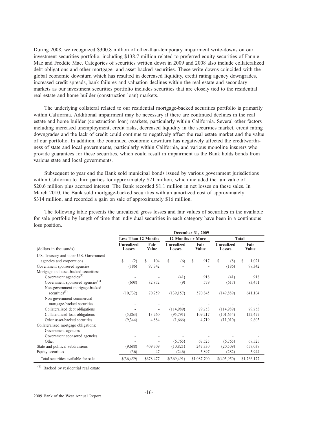During 2008, we recognized \$300.8 million of other-than-temporary impairment write-downs on our investment securities portfolio, including \$138.7 million related to preferred equity securities of Fannie Mae and Freddie Mac. Categories of securities written down in 2009 and 2008 also include collateralized debt obligations and other mortgage- and asset-backed securities. These write-downs coincided with the global economic downturn which has resulted in decreased liquidity, credit rating agency downgrades, increased credit spreads, bank failures and valuation declines within the real estate and secondary markets as our investment securities portfolio includes securities that are closely tied to the residential real estate and home builder (construction loan) markets.

The underlying collateral related to our residential mortgage-backed securities portfolio is primarily within California. Additional impairment may be necessary if there are continued declines in the real estate and home builder (construction loan) markets, particularly within California. Several other factors including increased unemployment, credit risks, decreased liquidity in the securities market, credit rating downgrades and the lack of credit could continue to negatively affect the real estate market and the value of our portfolio. In addition, the continued economic downturn has negatively affected the creditworthiness of state and local governments, particularly within California, and various monoline insurers who provide guarantees for these securities, which could result in impairment as the Bank holds bonds from various state and local governments.

Subsequent to year end the Bank sold municipal bonds issued by various government jurisdictions within California to third parties for approximately \$21 million, which included the fair value of \$20.6 million plus accrued interest. The Bank recorded \$1.1 million in net losses on these sales. In March 2010, the Bank sold mortgage-backed securities with an amortized cost of approximately \$314 million, and recorded a gain on sale of approximately \$16 million.

The following table presents the unrealized gross losses and fair values of securities in the available for sale portfolio by length of time that individual securities in each category have been in a continuous loss position.

|                                                    | December 31, 2009           |                            |                          |                      |                             |                      |  |  |
|----------------------------------------------------|-----------------------------|----------------------------|--------------------------|----------------------|-----------------------------|----------------------|--|--|
|                                                    |                             | <b>Less Than 12 Months</b> | 12 Months or More        |                      | <b>Total</b>                |                      |  |  |
| (dollars in thousands)                             | <b>Unrealized</b><br>Losses | Fair<br>Value              | Unrealized<br>Losses     | Fair<br><b>Value</b> | <b>Unrealized</b><br>Losses | Fair<br><b>Value</b> |  |  |
| U.S. Treasury and other U.S. Government            |                             |                            |                          |                      |                             |                      |  |  |
| agencies and corporations                          | \$<br>(2)                   | \$<br>104                  | \$<br>(6)                | <sup>\$</sup><br>917 | S<br>(8)                    | \$.<br>1,021         |  |  |
| Government sponsored agencies                      | (186)                       | 97,342                     | $\overline{\phantom{a}}$ |                      | (186)                       | 97,342               |  |  |
| Mortgage and asset-backed securities:              |                             |                            |                          |                      |                             |                      |  |  |
| Government agencies <sup>(1)</sup>                 |                             |                            | (41)                     | 918                  | (41)                        | 918                  |  |  |
| Government sponsored agencies <sup>(1)</sup>       | (608)                       | 82,872                     | (9)                      | 579                  | (617)                       | 83,451               |  |  |
| Non-government mortgage-backed<br>securities $(1)$ | (10, 732)                   | 70,259                     | (139, 157)               | 570,845              | (149, 889)                  | 641,104              |  |  |
| Non-government commercial                          |                             |                            |                          |                      |                             |                      |  |  |
| mortgage-backed securities                         |                             |                            |                          |                      |                             |                      |  |  |
| Collateralized debt obligations                    |                             | ٠                          | (114,989)                | 79,753               | (114,989)                   | 79,753               |  |  |
| Collateralized loan obligations                    | (5,863)                     | 13,260                     | (95, 791)                | 109,217              | (101, 654)                  | 122,477              |  |  |
| Other asset-backed securities                      | (9,344)                     | 4,884                      | (1,666)                  | 4,719                | (11,010)                    | 9,603                |  |  |
| Collateralized mortgage obligations:               |                             |                            |                          |                      |                             |                      |  |  |
| Government agencies                                |                             |                            |                          |                      |                             |                      |  |  |
| Government sponsored agencies                      |                             |                            |                          |                      |                             |                      |  |  |
| Other                                              |                             |                            | (6,765)                  | 67,525               | (6,765)                     | 67,525               |  |  |
| State and political subdivisions                   | (9,688)                     | 409,709                    | (10, 821)                | 247,330              | (20, 509)                   | 657,039              |  |  |
| Equity securities                                  | (36)                        | 47                         | (246)                    | 5,897                | (282)                       | 5,944                |  |  |
| Total securities available for sale                | $$$ (36,459)                | \$678,477                  | \$(369, 491)             | \$1,087,700          | \$(405,950)                 | \$1,766,177          |  |  |

(1) Backed by residential real estate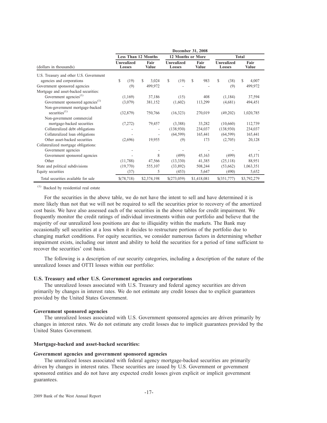|                                              |                             |                            |                      |             |                      | December 31, 2008 |                      |             |                             |             |                      |             |
|----------------------------------------------|-----------------------------|----------------------------|----------------------|-------------|----------------------|-------------------|----------------------|-------------|-----------------------------|-------------|----------------------|-------------|
|                                              |                             | <b>Less Than 12 Months</b> |                      |             |                      | 12 Months or More |                      |             |                             |             | <b>Total</b>         |             |
| (dollars in thousands)                       | <b>Unrealized</b><br>Losses |                            | Fair<br><b>Value</b> |             | Unrealized<br>Losses |                   | Fair<br><b>Value</b> |             | <b>Unrealized</b><br>Losses |             | Fair<br><b>Value</b> |             |
| U.S. Treasury and other U.S. Government      |                             |                            |                      |             |                      |                   |                      |             |                             |             |                      |             |
| agencies and corporations                    | \$.                         | (19)                       | \$                   | 3,024       | S.                   | (19)              | \$.                  | 983         | \$                          | (38)        | S                    | 4,007       |
| Government sponsored agencies                |                             | (9)                        |                      | 499,972     |                      |                   |                      |             |                             | (9)         |                      | 499,972     |
| Mortgage and asset-backed securities:        |                             |                            |                      |             |                      |                   |                      |             |                             |             |                      |             |
| Government agencies <sup>(1)</sup>           |                             | (1,169)                    |                      | 37,186      |                      | (15)              |                      | 408         |                             | (1, 184)    |                      | 37,594      |
| Government sponsored agencies <sup>(1)</sup> |                             | (3,079)                    |                      | 381,152     |                      | (1,602)           |                      | 113,299     |                             | (4,681)     |                      | 494,451     |
| Non-government mortgage-backed               |                             |                            |                      |             |                      |                   |                      |             |                             |             |                      |             |
| securities $^{(1)}$                          |                             | (32, 879)                  |                      | 750,766     |                      | (16,323)          |                      | 270,019     |                             | (49,202)    |                      | 1,020,785   |
| Non-government commercial                    |                             |                            |                      |             |                      |                   |                      |             |                             |             |                      |             |
| mortgage-backed securities                   |                             | (7,272)                    |                      | 79,457      |                      | (3,388)           |                      | 33,282      |                             | (10,660)    |                      | 112,739     |
| Collateralized debt obligations              |                             |                            |                      |             |                      | (138,930)         |                      | 234,037     |                             | (138,930)   |                      | 234,037     |
| Collateralized loan obligations              |                             |                            |                      |             |                      | (64, 599)         |                      | 165,441     |                             | (64, 599)   |                      | 165,441     |
| Other asset-backed securities                |                             | (2,696)                    |                      | 19,955      |                      | (9)               |                      | 173         |                             | (2,705)     |                      | 20,128      |
| Collateralized mortgage obligations:         |                             |                            |                      |             |                      |                   |                      |             |                             |             |                      |             |
| Government agencies                          |                             |                            |                      |             |                      |                   |                      |             |                             |             |                      |             |
| Government sponsored agencies                |                             |                            |                      | 8           |                      | (499)             |                      | 45,163      |                             | (499)       |                      | 45,171      |
| Other                                        |                             | (11,788)                   |                      | 47,566      |                      | (13,330)          |                      | 41,385      |                             | (25, 118)   |                      | 88,951      |
| State and political subdivisions             |                             | (19,770)                   |                      | 555,107     |                      | (33,892)          |                      | 508,244     |                             | (53,662)    |                      | 1,063,351   |
| Equity securities                            |                             | (37)                       |                      | 5           |                      | (453)             |                      | 5,647       |                             | (490)       |                      | 5,652       |
| Total securities available for sale          |                             | \$(78,718)                 |                      | \$2,374,198 |                      | \$(273,059)       |                      | \$1,418,081 |                             | \$(351,777) |                      | \$3,792,279 |

(1) Backed by residential real estate

For the securities in the above table, we do not have the intent to sell and have determined it is more likely than not that we will not be required to sell the securities prior to recovery of the amortized cost basis. We have also assessed each of the securities in the above tables for credit impairment. We frequently monitor the credit ratings of individual investments within our portfolio and believe that the majority of our unrealized loss positions are due to illiquidity within the markets. The Bank may occasionally sell securities at a loss when it decides to restructure portions of the portfolio due to changing market conditions. For equity securities, we consider numerous factors in determining whether impairment exists, including our intent and ability to hold the securities for a period of time sufficient to recover the securities' cost basis.

The following is a description of our security categories, including a description of the nature of the unrealized losses and OTTI losses within our portfolio:

## **U.S. Treasury and other U.S. Government agencies and corporations**

The unrealized losses associated with U.S. Treasury and federal agency securities are driven primarily by changes in interest rates. We do not estimate any credit losses due to explicit guarantees provided by the United States Government.

#### **Government sponsored agencies**

The unrealized losses associated with U.S. Government sponsored agencies are driven primarily by changes in interest rates. We do not estimate any credit losses due to implicit guarantees provided by the United States Government.

## **Mortgage-backed and asset-backed securities:**

## **Government agencies and government sponsored agencies**

The unrealized losses associated with federal agency mortgage-backed securities are primarily driven by changes in interest rates. These securities are issued by U.S. Government or government sponsored entities and do not have any expected credit losses given explicit or implicit government guarantees.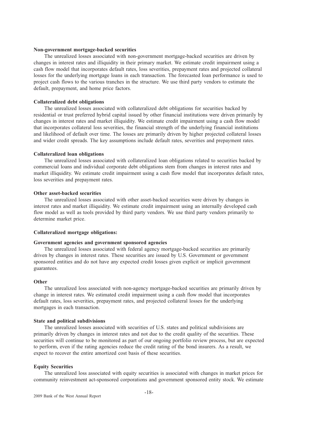#### **Non-government mortgage-backed securities**

The unrealized losses associated with non-government mortgage-backed securities are driven by changes in interest rates and illiquidity in their primary market. We estimate credit impairment using a cash flow model that incorporates default rates, loss severities, prepayment rates and projected collateral losses for the underlying mortgage loans in each transaction. The forecasted loan performance is used to project cash flows to the various tranches in the structure. We use third party vendors to estimate the default, prepayment, and home price factors.

## **Collateralized debt obligations**

The unrealized losses associated with collateralized debt obligations for securities backed by residential or trust preferred hybrid capital issued by other financial institutions were driven primarily by changes in interest rates and market illiquidity. We estimate credit impairment using a cash flow model that incorporates collateral loss severities, the financial strength of the underlying financial institutions and likelihood of default over time. The losses are primarily driven by higher projected collateral losses and wider credit spreads. The key assumptions include default rates, severities and prepayment rates.

## **Collateralized loan obligations**

The unrealized losses associated with collateralized loan obligations related to securities backed by commercial loans and individual corporate debt obligations stem from changes in interest rates and market illiquidity. We estimate credit impairment using a cash flow model that incorporates default rates, loss severities and prepayment rates.

## **Other asset-backed securities**

The unrealized losses associated with other asset-backed securities were driven by changes in interest rates and market illiquidity. We estimate credit impairment using an internally developed cash flow model as well as tools provided by third party vendors. We use third party vendors primarily to determine market price.

## **Collateralized mortgage obligations:**

## **Government agencies and government sponsored agencies**

The unrealized losses associated with federal agency mortgage-backed securities are primarily driven by changes in interest rates. These securities are issued by U.S. Government or government sponsored entities and do not have any expected credit losses given explicit or implicit government guarantees.

## **Other**

The unrealized loss associated with non-agency mortgage-backed securities are primarily driven by change in interest rates. We estimated credit impairment using a cash flow model that incorporates default rates, loss severities, prepayment rates, and projected collateral losses for the underlying mortgages in each transaction.

## **State and political subdivisions**

The unrealized losses associated with securities of U.S. states and political subdivisions are primarily driven by changes in interest rates and not due to the credit quality of the securities. These securities will continue to be monitored as part of our ongoing portfolio review process, but are expected to perform, even if the rating agencies reduce the credit rating of the bond insurers. As a result, we expect to recover the entire amortized cost basis of these securities.

## **Equity Securities**

The unrealized loss associated with equity securities is associated with changes in market prices for community reinvestment act-sponsored corporations and government sponsored entity stock. We estimate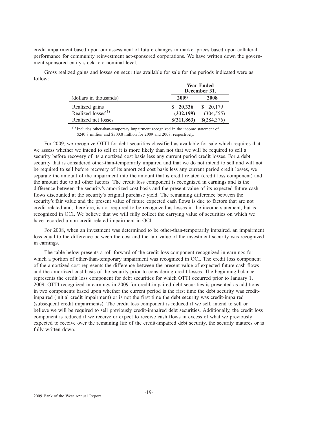credit impairment based upon our assessment of future changes in market prices based upon collateral performance for community reinvestment act-sponsored corporations. We have written down the government sponsored entity stock to a nominal level.

Gross realized gains and losses on securities available for sale for the periods indicated were as follow:

|                         | <b>Year Ended</b><br>December 31, |             |  |  |
|-------------------------|-----------------------------------|-------------|--|--|
| (dollars in thousands)  | 2009                              | 2008        |  |  |
| Realized gains          | \$20,336                          | \$ 20,179   |  |  |
| Realized $losses^{(1)}$ | (332, 199)                        | (304, 555)  |  |  |
| Realized net losses     | \$(311, 863)                      | \$(284,376) |  |  |

(1) Includes other-than-temporary impairment recognized in the income statement of \$240.8 million and \$300.8 million for 2009 and 2008, respectively.

For 2009, we recognize OTTI for debt securities classified as available for sale which requires that we assess whether we intend to sell or it is more likely than not that we will be required to sell a security before recovery of its amortized cost basis less any current period credit losses. For a debt security that is considered other-than-temporarily impaired and that we do not intend to sell and will not be required to sell before recovery of its amortized cost basis less any current period credit losses, we separate the amount of the impairment into the amount that is credit related (credit loss component) and the amount due to all other factors. The credit loss component is recognized in earnings and is the difference between the security's amortized cost basis and the present value of its expected future cash flows discounted at the security's original purchase yield. The remaining difference between the security's fair value and the present value of future expected cash flows is due to factors that are not credit related and, therefore, is not required to be recognized as losses in the income statement, but is recognized in OCI. We believe that we will fully collect the carrying value of securities on which we have recorded a non-credit-related impairment in OCI.

For 2008, when an investment was determined to be other-than-temporarily impaired, an impairment loss equal to the difference between the cost and the fair value of the investment security was recognized in earnings.

The table below presents a roll-forward of the credit loss component recognized in earnings for which a portion of other-than-temporary impairment was recognized in OCI. The credit loss component of the amortized cost represents the difference between the present value of expected future cash flows and the amortized cost basis of the security prior to considering credit losses. The beginning balance represents the credit loss component for debt securities for which OTTI occurred prior to January 1, 2009. OTTI recognized in earnings in 2009 for credit-impaired debt securities is presented as additions in two components based upon whether the current period is the first time the debt security was creditimpaired (initial credit impairment) or is not the first time the debt security was credit-impaired (subsequent credit impairments). The credit loss component is reduced if we sell, intend to sell or believe we will be required to sell previously credit-impaired debt securities. Additionally, the credit loss component is reduced if we receive or expect to receive cash flows in excess of what we previously expected to receive over the remaining life of the credit-impaired debt security, the security matures or is fully written down.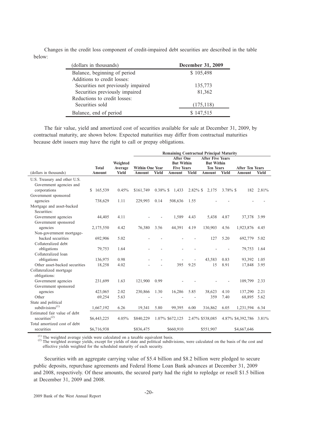Changes in the credit loss component of credit-impaired debt securities are described in the table below:

| (dollars in thousands)             | December 31, 2009 |
|------------------------------------|-------------------|
| Balance, beginning of period       | \$105,498         |
| Additions to credit losses:        |                   |
| Securities not previously impaired | 135,773           |
| Securities previously impaired     | 81,362            |
| Reductions to credit losses:       |                   |
| Securities sold                    | (175, 118)        |
| Balance, end of period             | \$147,515         |

The fair value, yield and amortized cost of securities available for sale at December 31, 2009, by contractual maturity, are shown below. Expected maturities may differ from contractual maturities because debt issuers may have the right to call or prepay obligations.

|                                        |               |                     |                        |              | <b>Remaining Contractual Principal Maturity</b>            |             |                                                                  |              |                         |           |
|----------------------------------------|---------------|---------------------|------------------------|--------------|------------------------------------------------------------|-------------|------------------------------------------------------------------|--------------|-------------------------|-----------|
|                                        | <b>Total</b>  | Weighted<br>Average | <b>Within One Year</b> |              | <b>After One</b><br><b>But Within</b><br><b>Five Years</b> |             | <b>After Five Years</b><br><b>But Within</b><br><b>Ten Years</b> |              | <b>After Ten Years</b>  |           |
| (dollars in thousands)                 | Amount        | <b>Yield</b>        | <b>Amount</b>          | <b>Yield</b> | <b>Amount</b>                                              | Yield       | <b>Amount</b>                                                    | <b>Yield</b> | <b>Amount</b>           | Yield     |
| U.S. Treasury and other U.S.           |               |                     |                        |              |                                                            |             |                                                                  |              |                         |           |
| Government agencies and                |               |                     |                        |              |                                                            |             |                                                                  |              |                         |           |
| corporations                           | 165,539<br>S. | 0.45%               | \$161,749              | $0.38\%$ \$  | 1,433                                                      | $2.82\%$ \$ | 2,175                                                            | $3.78\%$ \$  |                         | 182 2.81% |
| Government sponsored                   |               |                     |                        |              |                                                            |             |                                                                  |              |                         |           |
| agencies                               | 738,629       | 1.11                | 229,993                | 0.14         | 508,636                                                    | 1.55        |                                                                  |              |                         |           |
| Mortgage and asset-backed              |               |                     |                        |              |                                                            |             |                                                                  |              |                         |           |
| Securities:                            |               |                     |                        |              |                                                            |             |                                                                  |              |                         |           |
| Government agencies                    | 44,405        | 4.11                |                        |              | 1,589                                                      | 4.43        | 5,438                                                            | 4.87         | 37,378 3.99             |           |
| Government sponsored                   |               |                     |                        |              |                                                            |             |                                                                  |              |                         |           |
| agencies                               | 2,175,550     | 4.42                | 76,380                 | 3.56         | 44,391                                                     | 4.19        | 130,903                                                          | 4.56         | 1,923,876               | 4.45      |
| Non-government mortgage-               |               |                     |                        |              |                                                            |             |                                                                  |              |                         |           |
| backed securities                      | 692,906       | 5.02                |                        |              |                                                            |             | 127                                                              | 5.20         | 692,779                 | 5.02      |
| Collateralized debt                    |               |                     |                        |              |                                                            |             |                                                                  |              |                         |           |
| obligations                            | 79,753        | 1.64                |                        |              |                                                            |             |                                                                  |              | 79,753                  | 1.64      |
| Collateralized loan                    |               |                     |                        |              |                                                            |             |                                                                  |              |                         |           |
| obligations                            | 136,975       | 0.98                |                        |              |                                                            |             | 43,583                                                           | 0.83         | 93,392                  | 1.05      |
| Other asset-backed securities          | 18,258        | 4.02                |                        |              | 395                                                        | 9.25        | 15                                                               | 8.91         | 17,848 3.95             |           |
| Collateralized mortgage                |               |                     |                        |              |                                                            |             |                                                                  |              |                         |           |
| obligations:                           |               |                     |                        |              |                                                            |             |                                                                  |              |                         |           |
| Government agencies                    | 231,699       | 1.63                | 121,900                | 0.99         |                                                            |             |                                                                  |              | 109,799                 | 2.33      |
| Government sponsored                   |               |                     |                        |              |                                                            |             |                                                                  |              |                         |           |
| agencies                               | 423,065       | 2.02                | 230,866                | 1.30         | 16,286                                                     | 5.85        | 38,623                                                           | 4.10         | 137,290                 | 2.21      |
| Other                                  | 69,254        | 5.63                |                        |              |                                                            |             | 359                                                              | 7.40         | 68,895                  | 5.62      |
| State and political                    |               |                     |                        |              |                                                            |             |                                                                  |              |                         |           |
| subdivisions $^{(1)}$                  | 1,667,192     | 6.26                | 19,341                 | 5.80         | 99,395                                                     | 6.00        | 316,862                                                          | 6.05         | 1,231,594 6.34          |           |
| Estimated fair value of debt           |               |                     |                        |              |                                                            |             |                                                                  |              |                         |           |
| securities <sup><math>(2)</math></sup> | \$6,443,225   | 4.05%               | \$840,229              |              | 1.07% \$672,125                                            |             | 2.47% \$538,085                                                  |              | 4.87% \$4,392,786 3.81% |           |
| Total amortized cost of debt           |               |                     |                        |              |                                                            |             |                                                                  |              |                         |           |
| securities                             | \$6,716,938   |                     | \$836,475              |              | \$660,910                                                  |             | \$551,907                                                        |              | \$4,667,646             |           |

(1) The weighted average yields were calculated on a taxable equivalent basis. (2) The weighted average yields, except for yields of state and political subdivisions, were calculated on the basis of the cost and  $(2)$  The effective yields weighted for the scheduled maturity of each security.

Securities with an aggregate carrying value of \$5.4 billion and \$8.2 billion were pledged to secure public deposits, repurchase agreements and Federal Home Loan Bank advances at December 31, 2009 and 2008, respectively. Of these amounts, the secured party had the right to repledge or resell \$1.5 billion at December 31, 2009 and 2008.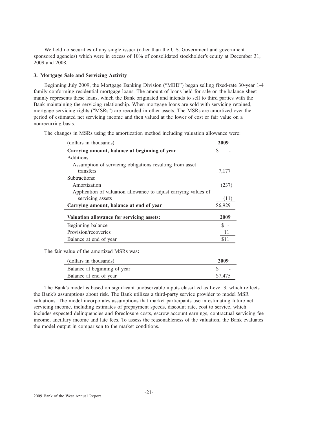We held no securities of any single issuer (other than the U.S. Government and government sponsored agencies) which were in excess of 10% of consolidated stockholder's equity at December 31, 2009 and 2008.

## **3. Mortgage Sale and Servicing Activity**

Beginning July 2009, the Mortgage Banking Division ("MBD") began selling fixed-rate 30-year 1-4 family conforming residential mortgage loans. The amount of loans held for sale on the balance sheet mainly represents these loans, which the Bank originated and intends to sell to third parties with the Bank maintaining the servicing relationship. When mortgage loans are sold with servicing retained, mortgage servicing rights ("MSRs") are recorded in other assets. The MSRs are amortized over the period of estimated net servicing income and then valued at the lower of cost or fair value on a nonrecurring basis.

The changes in MSRs using the amortization method including valuation allowance were:

| (dollars in thousands)                                          | 2009          |
|-----------------------------------------------------------------|---------------|
| Carrying amount, balance at beginning of year                   | S             |
| Additions:                                                      |               |
| Assumption of servicing obligations resulting from asset        |               |
| transfers                                                       | 7,177         |
| Subtractions:                                                   |               |
| Amortization                                                    | (237)         |
| Application of valuation allowance to adjust carrying values of |               |
| servicing assets                                                | (11)          |
| Carrying amount, balance at end of year                         | \$6,929       |
|                                                                 |               |
| Valuation allowance for servicing assets:                       | 2009          |
| Beginning balance                                               | $\mathcal{S}$ |
| Provision/recoveries                                            | 11            |
| Balance at end of year                                          | \$11          |
| The fair value of the amortized MSRs was:                       |               |
| (dollars in thousands)                                          | 2009          |
| Balance at beginning of year                                    | \$            |

The Bank's model is based on significant unobservable inputs classified as Level 3, which reflects the Bank's assumptions about risk. The Bank utilizes a third-party service provider to model MSR valuations. The model incorporates assumptions that market participants use in estimating future net servicing income, including estimates of prepayment speeds, discount rate, cost to service, which includes expected delinquencies and foreclosure costs, escrow account earnings, contractual servicing fee income, ancillary income and late fees. To assess the reasonableness of the valuation, the Bank evaluates the model output in comparison to the market conditions.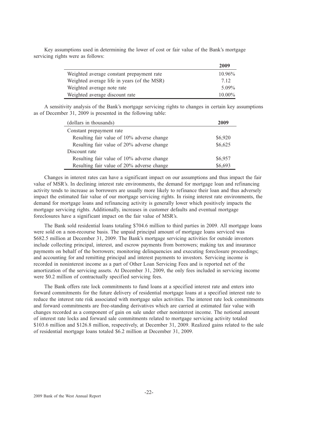Key assumptions used in determining the lower of cost or fair value of the Bank's mortgage servicing rights were as follows:

|                                             | 2009      |
|---------------------------------------------|-----------|
| Weighted average constant prepayment rate   | $10.96\%$ |
| Weighted average life in years (of the MSR) | 7.12      |
| Weighted average note rate                  | $5.09\%$  |
| Weighted average discount rate              | $10.00\%$ |

A sensitivity analysis of the Bank's mortgage servicing rights to changes in certain key assumptions as of December 31, 2009 is presented in the following table:

| (dollars in thousands)                     | 2009    |
|--------------------------------------------|---------|
| Constant prepayment rate                   |         |
| Resulting fair value of 10% adverse change | \$6,920 |
| Resulting fair value of 20% adverse change | \$6,625 |
| Discount rate                              |         |
| Resulting fair value of 10% adverse change | \$6,957 |
| Resulting fair value of 20% adverse change | \$6,693 |

Changes in interest rates can have a significant impact on our assumptions and thus impact the fair value of MSR's. In declining interest rate environments, the demand for mortgage loan and refinancing activity tends to increase as borrowers are usually more likely to refinance their loan and thus adversely impact the estimated fair value of our mortgage servicing rights. In rising interest rate environments, the demand for mortgage loans and refinancing activity is generally lower which positively impacts the mortgage servicing rights. Additionally, increases in customer defaults and eventual mortgage foreclosures have a significant impact on the fair value of MSR's.

The Bank sold residential loans totaling \$704.6 million to third parties in 2009. All mortgage loans were sold on a non-recourse basis. The unpaid principal amount of mortgage loans serviced was \$682.5 million at December 31, 2009. The Bank's mortgage servicing activities for outside investors include collecting principal, interest, and escrow payments from borrowers; making tax and insurance payments on behalf of the borrowers; monitoring delinquencies and executing foreclosure proceedings; and accounting for and remitting principal and interest payments to investors. Servicing income is recorded in noninterest income as a part of Other Loan Servicing Fees and is reported net of the amortization of the servicing assets. At December 31, 2009, the only fees included in servicing income were \$0.2 million of contractually specified servicing fees.

The Bank offers rate lock commitments to fund loans at a specified interest rate and enters into forward commitments for the future delivery of residential mortgage loans at a specified interest rate to reduce the interest rate risk associated with mortgage sales activities. The interest rate lock commitments and forward commitments are free-standing derivatives which are carried at estimated fair value with changes recorded as a component of gain on sale under other noninterest income. The notional amount of interest rate locks and forward sale commitments related to mortgage servicing activity totaled \$103.6 million and \$126.8 million, respectively, at December 31, 2009. Realized gains related to the sale of residential mortgage loans totaled \$6.2 million at December 31, 2009.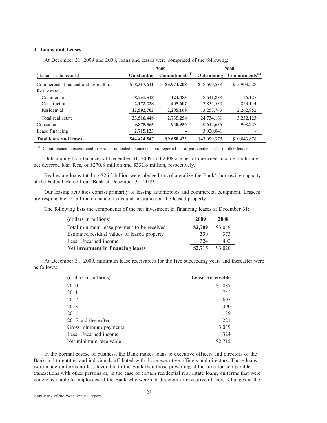## **4. Loans and Leases**

At December 31, 2009 and 2008, loans and leases were comprised of the following:

|                                        | 2009         |                            |              | 2008                       |
|----------------------------------------|--------------|----------------------------|--------------|----------------------------|
| (dollars in thousands)                 | Outstanding  | Commitments <sup>(1)</sup> | Outstanding  | Commitments <sup>(1)</sup> |
| Commercial, financial and agricultural | \$ 8,317,611 | \$5,974,208                | \$ 8,699,538 | \$5,903,528                |
| Real estate:                           |              |                            |              |                            |
| Commercial                             | 8,751,518    | 124,483                    | 8,641,888    | 146,127                    |
| Construction                           | 2,172,228    | 405,607                    | 2,834,530    | 823,144                    |
| Residential                            | 12,592,702   | 2,205,168                  | 13,257,743   | 2,262,852                  |
| Total real estate                      | 23,516,448   | 2,735,258                  | 24,734,161   | 3,232,123                  |
| Consumer                               | 9,875,365    | 940,956                    | 10,645,635   | 908,227                    |
| Lease financing                        | 2,715,123    | ۰                          | 3,020,041    |                            |
| <b>Total loans and leases</b>          | \$44,424,547 | \$9,650,422                | \$47,099,375 | \$10,043,878               |

(1) Commitments to extend credit represent unfunded amounts and are reported net of participations sold to other lenders.

Outstanding loan balances at December 31, 2009 and 2008 are net of unearned income, including net deferred loan fees, of \$270.8 million and \$332.6 million, respectively.

Real estate loans totaling \$26.2 billion were pledged to collateralize the Bank's borrowing capacity at the Federal Home Loan Bank at December 31, 2009.

Our leasing activities consist primarily of leasing automobiles and commercial equipment. Lessees are responsible for all maintenance, taxes and insurance on the leased property.

The following lists the components of the net investment in financing leases at December 31:

| (dollars in millions)                        | 2009    | 2008    |
|----------------------------------------------|---------|---------|
| Total minimum lease payment to be received   | \$2,709 | \$3,049 |
| Estimated residual values of leased property | 330     | 373     |
| Less: Unearned income                        | 324     | 402     |
| Net investment in financing leases           | \$2,715 | \$3,020 |

At December 31, 2009, minimum lease receivables for the five succeeding years and thereafter were as follows:

| (dollars in millions)  | <b>Lease Receivable</b> |  |
|------------------------|-------------------------|--|
| 2010                   | 887<br>S                |  |
| 2011                   | 745                     |  |
| 2012                   | 607                     |  |
| 2013                   | 390                     |  |
| 2014                   | 189                     |  |
| 2015 and thereafter    | 221                     |  |
| Gross minimum payments | 3,039                   |  |
| Less: Unearned income  | 324                     |  |
| Net minimum receivable | \$2,715                 |  |

In the normal course of business, the Bank makes loans to executive officers and directors of the Bank and to entities and individuals affiliated with those executive officers and directors. Those loans were made on terms no less favorable to the Bank than those prevailing at the time for comparable transactions with other persons or, in the case of certain residential real estate loans, on terms that were widely available to employees of the Bank who were not directors or executive officers. Changes in the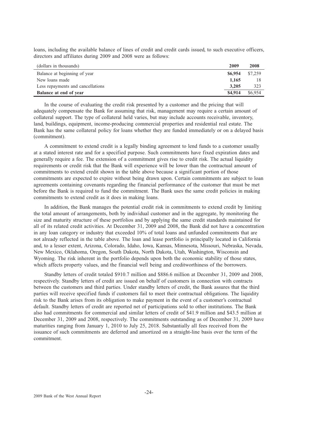loans, including the available balance of lines of credit and credit cards issued, to such executive officers, directors and affiliates during 2009 and 2008 were as follows:

| (dollars in thousands)            | 2009    | 2008    |
|-----------------------------------|---------|---------|
| Balance at beginning of year      | \$6,954 | \$7,259 |
| New loans made                    | 1.165   |         |
| Less repayments and cancellations | 3.205   | 323     |
| Balance at end of year            | \$4,914 | \$6,954 |

In the course of evaluating the credit risk presented by a customer and the pricing that will adequately compensate the Bank for assuming that risk, management may require a certain amount of collateral support. The type of collateral held varies, but may include accounts receivable, inventory, land, buildings, equipment, income-producing commercial properties and residential real estate. The Bank has the same collateral policy for loans whether they are funded immediately or on a delayed basis (commitment).

A commitment to extend credit is a legally binding agreement to lend funds to a customer usually at a stated interest rate and for a specified purpose. Such commitments have fixed expiration dates and generally require a fee. The extension of a commitment gives rise to credit risk. The actual liquidity requirements or credit risk that the Bank will experience will be lower than the contractual amount of commitments to extend credit shown in the table above because a significant portion of those commitments are expected to expire without being drawn upon. Certain commitments are subject to loan agreements containing covenants regarding the financial performance of the customer that must be met before the Bank is required to fund the commitment. The Bank uses the same credit policies in making commitments to extend credit as it does in making loans.

In addition, the Bank manages the potential credit risk in commitments to extend credit by limiting the total amount of arrangements, both by individual customer and in the aggregate, by monitoring the size and maturity structure of these portfolios and by applying the same credit standards maintained for all of its related credit activities. At December 31, 2009 and 2008, the Bank did not have a concentration in any loan category or industry that exceeded 10% of total loans and unfunded commitments that are not already reflected in the table above. The loan and lease portfolio is principally located in California and, to a lesser extent, Arizona, Colorado, Idaho, Iowa, Kansas, Minnesota, Missouri, Nebraska, Nevada, New Mexico, Oklahoma, Oregon, South Dakota, North Dakota, Utah, Washington, Wisconsin and Wyoming. The risk inherent in the portfolio depends upon both the economic stability of those states, which affects property values, and the financial well being and creditworthiness of the borrowers.

Standby letters of credit totaled \$910.7 million and \$886.6 million at December 31, 2009 and 2008, respectively. Standby letters of credit are issued on behalf of customers in connection with contracts between the customers and third parties. Under standby letters of credit, the Bank assures that the third parties will receive specified funds if customers fail to meet their contractual obligations. The liquidity risk to the Bank arises from its obligation to make payment in the event of a customer's contractual default. Standby letters of credit are reported net of participations sold to other institutions. The Bank also had commitments for commercial and similar letters of credit of \$41.9 million and \$43.5 million at December 31, 2009 and 2008, respectively. The commitments outstanding as of December 31, 2009 have maturities ranging from January 1, 2010 to July 25, 2018. Substantially all fees received from the issuance of such commitments are deferred and amortized on a straight-line basis over the term of the commitment.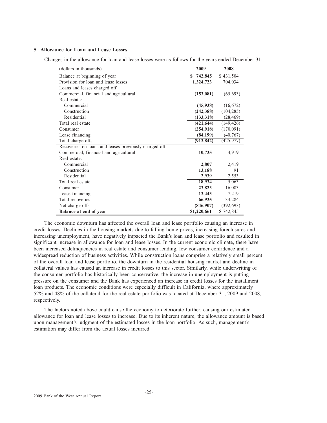## **5. Allowance for Loan and Lease Losses**

Changes in the allowance for loan and lease losses were as follows for the years ended December 31:

| (dollars in thousands)                                 | 2009        | 2008       |
|--------------------------------------------------------|-------------|------------|
| Balance at beginning of year                           | \$742,845   | \$431,504  |
| Provision for loan and lease losses                    | 1,324,723   | 704,034    |
| Loans and leases charged off:                          |             |            |
| Commercial, financial and agricultural                 | (153,081)   | (65, 693)  |
| Real estate:                                           |             |            |
| Commercial                                             | (45,938)    | (16,672)   |
| Construction                                           | (242, 388)  | (104, 285) |
| Residential                                            | (133, 318)  | (28, 469)  |
| Total real estate                                      | (421, 644)  | (149, 426) |
| Consumer                                               | (254, 918)  | (170,091)  |
| Lease financing                                        | (84, 199)   | (40, 767)  |
| Total charge offs                                      | (913, 842)  | (425, 977) |
| Recoveries on loans and leases previously charged off: |             |            |
| Commercial, financial and agricultural                 | 10,735      | 4,919      |
| Real estate:                                           |             |            |
| Commercial                                             | 2,807       | 2,419      |
| Construction                                           | 13,188      | 91         |
| Residential                                            | 2,939       | 2,553      |
| Total real estate                                      | 18,934      | 5,063      |
| Consumer                                               | 23,823      | 16,083     |
| Lease financing                                        | 13,443      | 7,219      |
| Total recoveries                                       | 66,935      | 33,284     |
| Net charge offs                                        | (846,907)   | (392, 693) |
| Balance at end of year                                 | \$1,220,661 | \$742,845  |

The economic downturn has affected the overall loan and lease portfolio causing an increase in credit losses. Declines in the housing markets due to falling home prices, increasing foreclosures and increasing unemployment, have negatively impacted the Bank's loan and lease portfolio and resulted in significant increase in allowance for loan and lease losses. In the current economic climate, there have been increased delinquencies in real estate and consumer lending, low consumer confidence and a widespread reduction of business activities. While construction loans comprise a relatively small percent of the overall loan and lease portfolio, the downturn in the residential housing market and decline in collateral values has caused an increase in credit losses to this sector. Similarly, while underwriting of the consumer portfolio has historically been conservative, the increase in unemployment is putting pressure on the consumer and the Bank has experienced an increase in credit losses for the installment loan products. The economic conditions were especially difficult in California, where approximately 52% and 48% of the collateral for the real estate portfolio was located at December 31, 2009 and 2008, respectively.

The factors noted above could cause the economy to deteriorate further, causing our estimated allowance for loan and lease losses to increase. Due to its inherent nature, the allowance amount is based upon management's judgment of the estimated losses in the loan portfolio. As such, management's estimation may differ from the actual losses incurred.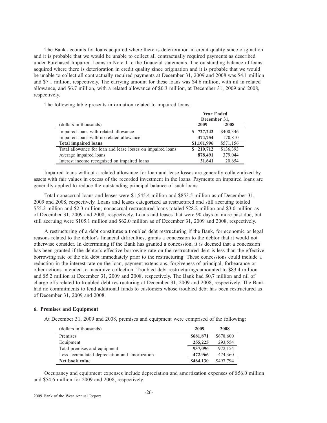The Bank accounts for loans acquired where there is deterioration in credit quality since origination and it is probable that we would be unable to collect all contractually required payments as described under Purchased Impaired Loans in Note 1 to the financial statements. The outstanding balance of loans acquired where there is deterioration in credit quality since origination and it is probable that we would be unable to collect all contractually required payments at December 31, 2009 and 2008 was \$4.1 million and \$7.1 million, respectively. The carrying amount for these loans was \$4.6 million, with nil in related allowance, and \$6.7 million, with a related allowance of \$0.3 million, at December 31, 2009 and 2008, respectively.

The following table presents information related to impaired loans:

|                                                             | <b>Year Ended</b>        |           |  |
|-------------------------------------------------------------|--------------------------|-----------|--|
|                                                             | December 31,             |           |  |
| (dollars in thousands)                                      | 2008<br>2009             |           |  |
| Impaired loans with related allowance                       | \$727,242                | \$400,346 |  |
| Impaired loans with no related allowance                    | 374,754                  | 170,810   |  |
| <b>Total impaired loans</b>                                 | \$571,156<br>\$1,101,996 |           |  |
| Total allowance for loan and lease losses on impaired loans | \$210,712                | \$136,393 |  |
| Average impaired loans                                      | 878,491                  | 379,044   |  |
| Interest income recognized on impaired loans                | 31,641                   | 20,654    |  |

Impaired loans without a related allowance for loan and lease losses are generally collateralized by assets with fair values in excess of the recorded investment in the loans. Payments on impaired loans are generally applied to reduce the outstanding principal balance of such loans.

Total nonaccrual loans and leases were \$1,545.4 million and \$853.5 million as of December 31, 2009 and 2008, respectively. Loans and leases categorized as restructured and still accruing totaled \$55.2 million and \$2.3 million; nonaccrual restructured loans totaled \$28.2 million and \$3.0 million as of December 31, 2009 and 2008, respectively. Loans and leases that were 90 days or more past due, but still accruing were \$105.1 million and \$62.0 million as of December 31, 2009 and 2008, respectively.

A restructuring of a debt constitutes a troubled debt restructuring if the Bank, for economic or legal reasons related to the debtor's financial difficulties, grants a concession to the debtor that it would not otherwise consider. In determining if the Bank has granted a concession, it is deemed that a concession has been granted if the debtor's effective borrowing rate on the restructured debt is less than the effective borrowing rate of the old debt immediately prior to the restructuring. These concessions could include a reduction in the interest rate on the loan, payment extensions, forgiveness of principal, forbearance or other actions intended to maximize collection. Troubled debt restructurings amounted to \$83.4 million and \$5.2 million at December 31, 2009 and 2008, respectively. The Bank had \$0.7 million and nil of charge offs related to troubled debt restructuring at December 31, 2009 and 2008, respectively. The Bank had no commitments to lend additional funds to customers whose troubled debt has been restructured as of December 31, 2009 and 2008.

## **6. Premises and Equipment**

At December 31, 2009 and 2008, premises and equipment were comprised of the following:

| (dollars in thousands)                         | 2009      | 2008      |
|------------------------------------------------|-----------|-----------|
| Premises                                       | \$681,871 | \$678,600 |
| Equipment                                      | 255,225   | 293.554   |
| Total premises and equipment                   | 937,096   | 972.154   |
| Less accumulated depreciation and amortization | 472,966   | 474,360   |
| Net book value                                 | \$464,130 | \$497,794 |

Occupancy and equipment expenses include depreciation and amortization expenses of \$56.0 million and \$54.6 million for 2009 and 2008, respectively.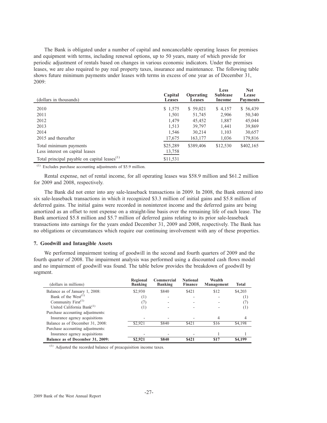The Bank is obligated under a number of capital and noncancelable operating leases for premises and equipment with terms, including renewal options, up to 50 years, many of which provide for periodic adjustment of rentals based on changes in various economic indicators. Under the premises leases, we are also required to pay real property taxes, insurance and maintenance. The following table shows future minimum payments under leases with terms in excess of one year as of December 31, 2009:

| (dollars in thousands)                                   | Capital<br><b>Leases</b> | Operating<br><b>Leases</b> | Less<br><b>Sublease</b><br>Income | <b>Net</b><br>Lease<br><b>Payments</b> |
|----------------------------------------------------------|--------------------------|----------------------------|-----------------------------------|----------------------------------------|
| 2010                                                     | \$1,575                  | \$59,021                   | \$4,157                           | \$56,439                               |
| 2011                                                     | 1,501                    | 51,745                     | 2,906                             | 50,340                                 |
| 2012                                                     | 1,479                    | 45,452                     | 1,887                             | 45,044                                 |
| 2013                                                     | 1,513                    | 39,797                     | 1,441                             | 39,869                                 |
| 2014                                                     | 1,546                    | 30,214                     | 1,103                             | 30,657                                 |
| 2015 and thereafter                                      | 17,675                   | 163,177                    | 1,036                             | 179,816                                |
| Total minimum payments                                   | \$25,289                 | \$389,406                  | \$12,530                          | \$402,165                              |
| Less interest on capital leases                          | 13,758                   |                            |                                   |                                        |
| Total principal payable on capital leases <sup>(1)</sup> | \$11,531                 |                            |                                   |                                        |

 $(1)$  Excludes purchase accounting adjustments of \$5.9 million.

Rental expense, net of rental income, for all operating leases was \$58.9 million and \$61.2 million for 2009 and 2008, respectively.

The Bank did not enter into any sale-leaseback transactions in 2009. In 2008, the Bank entered into six sale-leaseback transactions in which it recognized \$3.3 million of initial gains and \$5.8 million of deferred gains. The initial gains were recorded in noninterest income and the deferred gains are being amortized as an offset to rent expense on a straight-line basis over the remaining life of each lease. The Bank amortized \$5.8 million and \$5.7 million of deferred gains relating to its prior sale-leaseback transactions into earnings for the years ended December 31, 2009 and 2008, respectively. The Bank has no obligations or circumstances which require our continuing involvement with any of these properties.

## **7. Goodwill and Intangible Assets**

We performed impairment testing of goodwill in the second and fourth quarters of 2009 and the fourth quarter of 2008. The impairment analysis was performed using a discounted cash flows model and no impairment of goodwill was found. The table below provides the breakdown of goodwill by segment.

| (dollars in millions)            | Regional<br><b>Banking</b> | Commercial<br><b>Banking</b> | <b>National</b><br><b>Finance</b> | Wealth<br><b>Management</b> | <b>Total</b>     |
|----------------------------------|----------------------------|------------------------------|-----------------------------------|-----------------------------|------------------|
| Balance as of January 1, 2008:   | \$2,930                    | \$840                        | \$421                             | \$12                        | \$4,203          |
| Bank of the $West^{(1)}$         | (1)                        |                              |                                   |                             | $\left(1\right)$ |
| Community First <sup>(1)</sup>   |                            |                              |                                   |                             | (7               |
| United California Bank $^{(1)}$  | $^{(1)}$                   |                              |                                   |                             | <sup>(1)</sup>   |
| Purchase accounting adjustments: |                            |                              |                                   |                             |                  |
| Insurance agency acquisitions    |                            |                              |                                   |                             | 4                |
| Balance as of December 31, 2008: | \$2.921                    | \$840                        | \$421                             | \$16                        | \$4,198          |
| Purchase accounting adjustments: |                            |                              |                                   |                             |                  |
| Insurance agency acquisitions    |                            |                              |                                   |                             |                  |
| Balance as of December 31, 2009: | \$2,921                    | \$840                        | \$421                             | \$17                        | \$4,199          |

(1) Adjusted the recorded balance of preacquisition income taxes.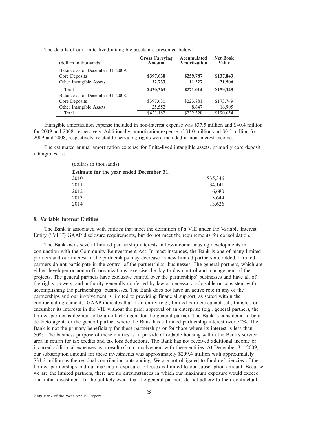| The details of our finite-lived intangible assets are presented below: |  |  |
|------------------------------------------------------------------------|--|--|
|------------------------------------------------------------------------|--|--|

| (dollars in thousands)           | <b>Gross Carrying</b><br><b>Amount</b> | Accumulated<br>Amortization | <b>Net Book</b><br>Value |
|----------------------------------|----------------------------------------|-----------------------------|--------------------------|
| Balance as of December 31, 2009: |                                        |                             |                          |
| Core Deposits                    | \$397,630                              | \$259,787                   | \$137,843                |
| Other Intangible Assets          | 32,733                                 | 11,227                      | 21,506                   |
| Total                            | \$430,363                              | \$271,014                   | \$159,349                |
| Balance as of December 31, 2008: |                                        |                             |                          |
| Core Deposits                    | \$397,630                              | \$223,881                   | \$173,749                |
| Other Intangible Assets          | 25,552                                 | 8.647                       | 16,905                   |
| Total                            | \$423.182                              | \$232,528                   | \$190,654                |

Intangible amortization expense included in non-interest expense was \$37.5 million and \$40.4 million for 2009 and 2008, respectively. Additionally, amortization expense of \$1.0 million and \$0.5 million for 2009 and 2008, respectively, related to servicing rights were included in non-interest income.

The estimated annual amortization expense for finite-lived intangible assets, primarily core deposit intangibles, is:

| (dollars in thousands)                   |          |
|------------------------------------------|----------|
| Estimate for the year ended December 31, |          |
| 2010                                     | \$35,346 |
| 2011                                     | 34,141   |
| 2012                                     | 16,680   |
| 2013                                     | 13.644   |
| 2014                                     | 13,626   |

## **8. Variable Interest Entities**

The Bank is associated with entities that meet the definition of a VIE under the Variable Interest Entity ("VIE") GAAP disclosure requirements, but do not meet the requirements for consolidation.

The Bank owns several limited partnership interests in low-income housing developments in conjunction with the Community Reinvestment Act. In most instances, the Bank is one of many limited partners and our interest in the partnerships may decrease as new limited partners are added. Limited partners do not participate in the control of the partnerships' businesses. The general partners, which are either developer or nonprofit organizations, exercise the day-to-day control and management of the projects. The general partners have exclusive control over the partnerships' businesses and have all of the rights, powers, and authority generally conferred by law or necessary, advisable or consistent with accomplishing the partnerships' businesses. The Bank does not have an active role in any of the partnerships and our involvement is limited to providing financial support, as stated within the contractual agreements. GAAP indicates that if an entity (e.g., limited partner) cannot sell, transfer, or encumber its interests in the VIE without the prior approval of an enterprise (e.g., general partner), the limited partner is deemed to be a de facto agent for the general partner. The Bank is considered to be a de facto agent for the general partner where the Bank has a limited partnership interest over 50%. The Bank is not the primary beneficiary for these partnerships or for those where its interest is less than 50%. The business purpose of these entities is to provide affordable housing within the Bank's service area in return for tax credits and tax loss deductions. The Bank has not received additional income or incurred additional expenses as a result of our involvement with these entities. At December 31, 2009, our subscription amount for these investments was approximately \$209.4 million with approximately \$31.2 million as the residual contribution outstanding. We are not obligated to fund deficiencies of the limited partnerships and our maximum exposure to losses is limited to our subscription amount. Because we are the limited partners, there are no circumstances in which our maximum exposure would exceed our initial investment. In the unlikely event that the general partners do not adhere to their contractual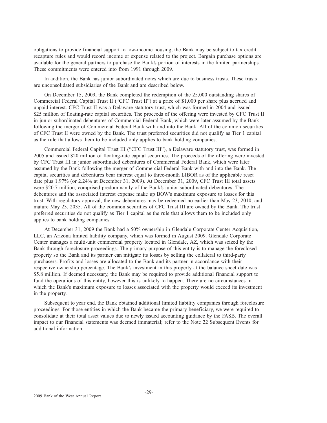obligations to provide financial support to low-income housing, the Bank may be subject to tax credit recapture rules and would record income or expense related to the project. Bargain purchase options are available for the general partners to purchase the Bank's portion of interests in the limited partnerships. These commitments were entered into from 1991 through 2009.

In addition, the Bank has junior subordinated notes which are due to business trusts. These trusts are unconsolidated subsidiaries of the Bank and are described below.

On December 15, 2009, the Bank completed the redemption of the 25,000 outstanding shares of Commercial Federal Capital Trust II ("CFC Trust II") at a price of \$1,000 per share plus accrued and unpaid interest. CFC Trust II was a Delaware statutory trust, which was formed in 2004 and issued \$25 million of floating-rate capital securities. The proceeds of the offering were invested by CFC Trust II in junior subordinated debentures of Commercial Federal Bank, which were later assumed by the Bank following the merger of Commercial Federal Bank with and into the Bank. All of the common securities of CFC Trust II were owned by the Bank. The trust preferred securities did not qualify as Tier 1 capital as the rule that allows them to be included only applies to bank holding companies.

Commercial Federal Capital Trust III ("CFC Trust III"), a Delaware statutory trust, was formed in 2005 and issued \$20 million of floating-rate capital securities. The proceeds of the offering were invested by CFC Trust III in junior subordinated debentures of Commercial Federal Bank, which were later assumed by the Bank following the merger of Commercial Federal Bank with and into the Bank. The capital securities and debentures bear interest equal to three-month LIBOR as of the applicable reset date plus 1.97% (or 2.24% at December 31, 2009). At December 31, 2009, CFC Trust III total assets were \$20.7 million, comprised predominantly of the Bank's junior subordinated debentures. The debentures and the associated interest expense make up BOW's maximum exposure to losses for this trust. With regulatory approval, the new debentures may be redeemed no earlier than May 23, 2010, and mature May 23, 2035. All of the common securities of CFC Trust III are owned by the Bank. The trust preferred securities do not qualify as Tier 1 capital as the rule that allows them to be included only applies to bank holding companies.

At December 31, 2009 the Bank had a 50% ownership in Glendale Corporate Center Acquisition, LLC, an Arizona limited liability company, which was formed in August 2009. Glendale Corporate Center manages a multi-unit commercial property located in Glendale, AZ, which was seized by the Bank through foreclosure proceedings. The primary purpose of this entity is to manage the foreclosed property so the Bank and its partner can mitigate its losses by selling the collateral to third-party purchasers. Profits and losses are allocated to the Bank and its partner in accordance with their respective ownership percentage. The Bank's investment in this property at the balance sheet date was \$5.8 million. If deemed necessary, the Bank may be required to provide additional financial support to fund the operations of this entity, however this is unlikely to happen. There are no circumstances in which the Bank's maximum exposure to losses associated with the property would exceed its investment in the property.

Subsequent to year end, the Bank obtained additional limited liability companies through foreclosure proceedings. For those entities in which the Bank became the primary beneficiary, we were required to consolidate at their total asset values due to newly issued accounting guidance by the FASB. The overall impact to our financial statements was deemed immaterial; refer to the Note 22 Subsequent Events for additional information.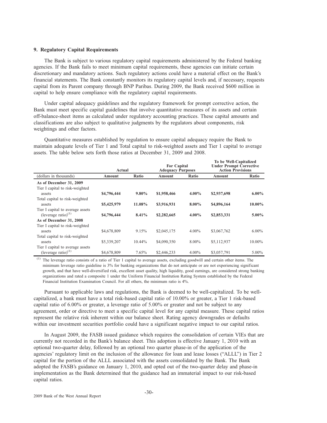## **9. Regulatory Capital Requirements**

The Bank is subject to various regulatory capital requirements administered by the Federal banking agencies. If the Bank fails to meet minimum capital requirements, these agencies can initiate certain discretionary and mandatory actions. Such regulatory actions could have a material effect on the Bank's financial statements. The Bank constantly monitors its regulatory capital levels and, if necessary, requests capital from its Parent company through BNP Paribas. During 2009, the Bank received \$600 million in capital to help ensure compliance with the regulatory capital requirements.

Under capital adequacy guidelines and the regulatory framework for prompt corrective action, the Bank must meet specific capital guidelines that involve quantitative measures of its assets and certain off-balance-sheet items as calculated under regulatory accounting practices. These capital amounts and classifications are also subject to qualitative judgments by the regulators about components, risk weightings and other factors.

Quantitative measures established by regulation to ensure capital adequacy require the Bank to maintain adequate levels of Tier 1 and Total capital to risk-weighted assets and Tier 1 capital to average assets. The table below sets forth those ratios at December 31, 2009 and 2008.

|                                                                      | Actual      |          | <b>For Capital</b><br><b>Adequacy Purposes</b> |          | To be Well-Capitalized<br><b>Under Prompt Corrective</b><br><b>Action Provisions</b> |           |
|----------------------------------------------------------------------|-------------|----------|------------------------------------------------|----------|--------------------------------------------------------------------------------------|-----------|
| (dollars in thousands)                                               | Amount      | Ratio    | Amount                                         | Ratio    | Amount                                                                               | Ratio     |
| As of December 31, 2009<br>Tier I capital to risk-weighted<br>assets | \$4,796,444 | $9.80\%$ | \$1,958,466                                    | $4.00\%$ | \$2,937,698                                                                          | $6.00\%$  |
| Total capital to risk-weighted<br>assets                             | \$5,425,979 | 11.08%   | \$3,916,931                                    | $8.00\%$ | \$4,896,164                                                                          | $10.00\%$ |
| Tier I capital to average assets<br>(leverage ratio) $(1)$           | \$4,796,444 | 8.41%    | \$2,282,665                                    | $4.00\%$ | \$2,853,331                                                                          | $5.00\%$  |
| As of December 31, 2008                                              |             |          |                                                |          |                                                                                      |           |
| Tier I capital to risk-weighted<br>assets                            | \$4,678,809 | 9.15%    | \$2,045,175                                    | $4.00\%$ | \$3,067,762                                                                          | $6.00\%$  |
| Total capital to risk-weighted<br>assets                             | \$5,339,207 | 10.44%   | \$4,090,350                                    | 8.00%    | \$5,112,937                                                                          | 10.00%    |
| Tier I capital to average assets<br>(leverage ratio) <sup>(1)</sup>  | \$4,678,809 | 7.65%    | \$2,446,233                                    | 4.00%    | \$3,057,791                                                                          | $5.00\%$  |

The leverage ratio consists of a ratio of Tier 1 capital to average assets, excluding goodwill and certain other items. The minimum leverage ratio guideline is 3% for banking organizations that do not anticipate or are not experiencing significant growth, and that have well-diversified risk, excellent asset quality, high liquidity, good earnings, are considered strong banking organizations and rated a composite 1 under the Uniform Financial Institution Rating System established by the Federal Financial Institution Examination Council. For all others, the minimum ratio is 4%.

Pursuant to applicable laws and regulations, the Bank is deemed to be well-capitalized. To be wellcapitalized, a bank must have a total risk-based capital ratio of 10.00% or greater, a Tier 1 risk-based capital ratio of 6.00% or greater, a leverage ratio of 5.00% or greater and not be subject to any agreement, order or directive to meet a specific capital level for any capital measure. These capital ratios represent the relative risk inherent within our balance sheet. Rating agency downgrades or defaults within our investment securities portfolio could have a significant negative impact to our capital ratios.

In August 2009, the FASB issued guidance which requires the consolidation of certain VIEs that are currently not recorded in the Bank's balance sheet. This adoption is effective January 1, 2010 with an optional two-quarter delay, followed by an optional two quarter phase-in of the application of the agencies' regulatory limit on the inclusion of the allowance for loan and lease losses ("ALLL") in Tier 2 capital for the portion of the ALLL associated with the assets consolidated by the Bank. The Bank adopted the FASB's guidance on January 1, 2010, and opted out of the two-quarter delay and phase-in implementation as the Bank determined that the guidance had an immaterial impact to our risk-based capital ratios.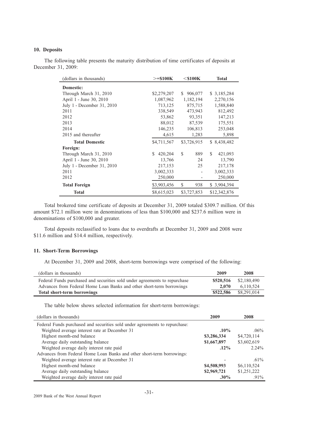## **10. Deposits**

(dollars in thousands)  $> = $100K$ **=\$100K \$100K Total Domestic:** Through March 31, 2010 \$2,279,207 \$ 906,077 \$ 3,185,284 April 1 - June 30, 2010 1,087,962 1,182,194 2,270,156 July 1 - December 31, 2010 713,125 875,715 1,588,840 2011 338,549 473,943 812,492 2012 53,862 93,351 147,213 2013 88,012 87,539 175,551 2014 146,235 106,813 253,048 2015 and thereafter  $4,615$  1,283 5,898 **Total Domestic** \$4,711,567 \$3,726,915 \$ 8,438,482 **Foreign:** Through March 31, 2010 \$ 420,204 \$ 889 \$ 421,093 April 1 - June 30, 2010 13,766 24 13,790 July 1 - December 31, 2010 217,153 25 217,178 2011 3,002,333 - 3,002,333 2012 250,000 - 250,000 **Total Foreign**  $$3,903,456$  $$938$  $$3,904,394$ **Total** \$8,615,023 \$3,727,853 \$12,342,876

The following table presents the maturity distribution of time certificates of deposits at December 31, 2009:

Total brokered time certificate of deposits at December 31, 2009 totaled \$309.7 million. Of this amount \$72.1 million were in denominations of less than \$100,000 and \$237.6 million were in denominations of \$100,000 and greater.

Total deposits reclassified to loans due to overdrafts at December 31, 2009 and 2008 were \$11.6 million and \$14.4 million, respectively.

## **11. Short-Term Borrowings**

At December 31, 2009 and 2008, short-term borrowings were comprised of the following:

| (dollars in thousands)                                                     | 2009      | 2008        |
|----------------------------------------------------------------------------|-----------|-------------|
| Federal Funds purchased and securities sold under agreements to repurchase | \$520,516 | \$2,180,490 |
| Advances from Federal Home Loan Banks and other short-term borrowings      | 2.070     | 6.110.524   |
| Total short-term borrowings                                                | \$522,586 | \$8,291,014 |

The table below shows selected information for short-term borrowings:

| (dollars in thousands)                                                      | 2009        | 2008        |
|-----------------------------------------------------------------------------|-------------|-------------|
| Federal Funds purchased and securities sold under agreements to repurchase: |             |             |
| Weighted average interest rate at December 31                               | $.10\%$     | $.06\%$     |
| Highest month-end balance                                                   | \$3,286,334 | \$4,720,114 |
| Average daily outstanding balance                                           | \$1,667,897 | \$3,602,619 |
| Weighted average daily interest rate paid                                   | $.12\%$     | $2.24\%$    |
| Advances from Federal Home Loan Banks and other short-term borrowings:      |             |             |
| Weighted average interest rate at December 31                               |             | $.61\%$     |
| Highest month-end balance                                                   | \$4,508,993 | \$6,110,524 |
| Average daily outstanding balance                                           | \$2,969,721 | \$1,251,222 |
| Weighted average daily interest rate paid                                   | $.30\%$     | $.91\%$     |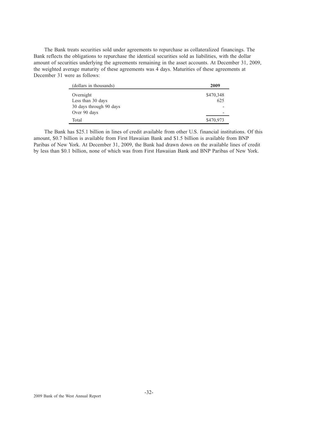The Bank treats securities sold under agreements to repurchase as collateralized financings. The Bank reflects the obligations to repurchase the identical securities sold as liabilities, with the dollar amount of securities underlying the agreements remaining in the asset accounts. At December 31, 2009, the weighted average maturity of these agreements was 4 days. Maturities of these agreements at December 31 were as follows:

| (dollars in thousands)  | 2009      |
|-------------------------|-----------|
| Overnight               | \$470,348 |
| Less than 30 days       | 625       |
| 30 days through 90 days |           |
| Over 90 days            |           |
| Total                   | \$470,973 |

The Bank has \$25.1 billion in lines of credit available from other U.S. financial institutions. Of this amount, \$0.7 billion is available from First Hawaiian Bank and \$1.5 billion is available from BNP Paribas of New York. At December 31, 2009, the Bank had drawn down on the available lines of credit by less than \$0.1 billion, none of which was from First Hawaiian Bank and BNP Paribas of New York.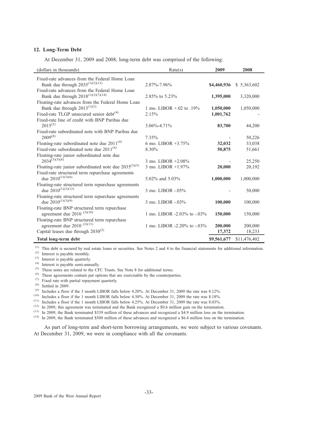## **12. Long-Term Debt**

At December 31, 2009 and 2008, long-term debt was comprised of the following:

| (dollars in thousands)                                                                          | Rate(s)                        | 2009        | 2008         |
|-------------------------------------------------------------------------------------------------|--------------------------------|-------------|--------------|
| Fixed-rate advances from the Federal Home Loan<br>Bank due through $2035^{(1)(2)(13)}$          | 2.87%-7.96%                    | \$4,460,936 | \$5,363,602  |
| Fixed-rate advances from the Federal Home Loan<br>Bank due through $2018^{(1)(3)(7)(14)}$       | 2.85% to 5.23%                 | 1,395,000   | 3,320,000    |
| Floating-rate advances from the Federal Home Loan<br>Bank due through $2013^{(1)(2)}$           | 1 mo. LIBOR $+ .02$ to $.19\%$ | 1,050,000   | 1,050,000    |
| Fixed-rate TLGP unsecured senior $debt^{(4)}$<br>Fixed-rate line of credit with BNP Paribas due | 2.15%                          | 1,001,762   |              |
| $2015^{(2)}$<br>Fixed-rate subordinated note with BNP Paribas due                               | 3.06%-4.71%                    | 83,700      | 44,200       |
| $2009^{(8)}$                                                                                    | 7.35%                          |             | 50,226       |
| Floating-rate subordinated note due $2011^{(4)}$                                                | 6 mo. LIBOR $+3.75\%$          | 32,032      | 33,038       |
| Fixed-rate subordinated note due $2011^{(4)}$                                                   | 8.30%                          | 50,875      | 51,661       |
| Floating-rate junior subordinated note due<br>$2034^{(3)(5)(8)}$                                | 3 mo. LIBOR $+2.08\%$          |             | 25,250       |
| Floating-rate junior subordinated note due $2035^{(3)(5)}$                                      | 3 mo. LIBOR +1.97%             | 20,000      | 20,192       |
| Fixed-rate structured term repurchase agreements<br>due $2010^{(1)(3)(6)}$                      | 5.02\% and 5.03\%              | 1,000,000   | 1,000,000    |
| Floating-rate structured term repurchase agreements<br>due $2010^{(1)(3)(12)}$                  | 3 mo. LIBOR -.05%              |             | 50,000       |
| Floating-rate structured term repurchase agreements<br>due $2010^{(1)(3)(9)}$                   | 3 mo. LIBOR -.03%              | 100,000     | 100,000      |
| Floating-rate BNP structured term repurchase<br>agreement due 2010 $(2)(10)$                    | 1 mo. LIBOR -2.03% to -.03%    | 150,000     | 150,000      |
| Floating-rate BNP structured term repurchase<br>agreement due 2010 $(2)(11)$                    | 1 mo. LIBOR -2.20% to -.03%    | 200,000     | 200,000      |
| Capital leases due through $2030^{(2)}$                                                         |                                | 17,372      | 18,233       |
| Total long-term debt                                                                            |                                | \$9,561,677 | \$11,476,402 |

(1) This debt is secured by real estate loans or securities. See Notes 2 and 4 to the financial statements for additional information.

(2) Interest is payable monthly.

(3) Interest is payable quarterly.

(4) Interest is payable semi-annually.

(5) These notes are related to the CFC Trusts. See Note 8 for additional terms.

(6) These agreements contain put options that are exercisable by the counterparties.

- (7) Fixed rate with partial repayment quarterly.
- $(8)$  Settled in 2009.

(9) Includes a floor if the 3 month LIBOR falls below 4.20%. At December 31, 2009 the rate was 8.12%.

(10) Includes a floor if the 1 month LIBOR falls below 4.30%. At December 31, 2009 the rate was 8.18%.

 $(11)$  Includes a floor if the 1 month LIBOR falls below 4.25%. At December 31, 2009 the rate was 8.03%.

(12) In 2009, this agreement was terminated and the Bank recognized a \$0.6 million gain on the termination.

(13) In 2009, the Bank terminated \$339 million of these advances and recognized a \$4.9 million loss on the termination.

(14) In 2009, the Bank terminated \$500 million of these advances and recognized a \$6.4 million loss on the termination.

As part of long-term and short-term borrowing arrangements, we were subject to various covenants. At December 31, 2009, we were in compliance with all the covenants.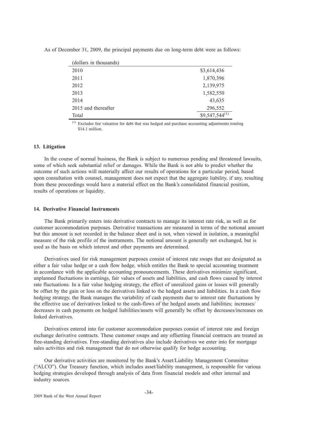| (dollars in thousands) |                    |
|------------------------|--------------------|
| 2010                   | \$3,614,436        |
| 2011                   | 1,870,396          |
| 2012                   | 2,139,975          |
| 2013                   | 1,582,550          |
| 2014                   | 43,635             |
| 2015 and thereafter    | 296,552            |
| Total                  | $$9,547,544^{(1)}$ |
|                        |                    |

As of December 31, 2009, the principal payments due on long-term debt were as follows:

(1) Excludes fair valuation for debt that was hedged and purchase accounting adjustments totaling  $$14.1 million$ 

## **13. Litigation**

In the course of normal business, the Bank is subject to numerous pending and threatened lawsuits, some of which seek substantial relief or damages. While the Bank is not able to predict whether the outcome of such actions will materially affect our results of operations for a particular period, based upon consultation with counsel, management does not expect that the aggregate liability, if any, resulting from these proceedings would have a material effect on the Bank's consolidated financial position, results of operations or liquidity.

### **14. Derivative Financial Instruments**

The Bank primarily enters into derivative contracts to manage its interest rate risk, as well as for customer accommodation purposes. Derivative transactions are measured in terms of the notional amount but this amount is not recorded in the balance sheet and is not, when viewed in isolation, a meaningful measure of the risk profile of the instruments. The notional amount is generally not exchanged, but is used as the basis on which interest and other payments are determined.

Derivatives used for risk management purposes consist of interest rate swaps that are designated as either a fair value hedge or a cash flow hedge, which entitles the Bank to special accounting treatment in accordance with the applicable accounting pronouncements. These derivatives minimize significant, unplanned fluctuations in earnings, fair values of assets and liabilities, and cash flows caused by interest rate fluctuations. In a fair value hedging strategy, the effect of unrealized gains or losses will generally be offset by the gain or loss on the derivatives linked to the hedged assets and liabilities. In a cash flow hedging strategy, the Bank manages the variability of cash payments due to interest rate fluctuations by the effective use of derivatives linked to the cash-flows of the hedged assets and liabilities; increases/ decreases in cash payments on hedged liabilities/assets will generally be offset by decreases/increases on linked derivatives.

Derivatives entered into for customer accommodation purposes consist of interest rate and foreign exchange derivative contracts. These customer swaps and any offsetting financial contracts are treated as free-standing derivatives. Free-standing derivatives also include derivatives we enter into for mortgage sales activities and risk management that do not otherwise qualify for hedge accounting.

Our derivative activities are monitored by the Bank's Asset/Liability Management Committee ("ALCO"). Our Treasury function, which includes asset/liability management, is responsible for various hedging strategies developed through analysis of data from financial models and other internal and industry sources.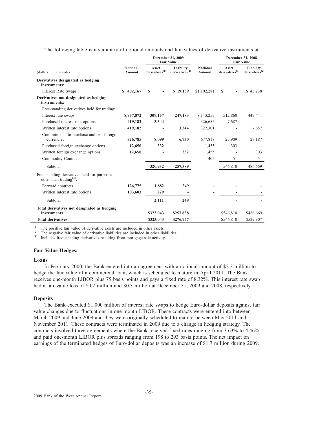The following table is a summary of notional amounts and fair values of derivative instruments at:

|                                                                                    | December 31, 2009<br><b>Fair Value</b> |                                     |                                         |                           | December 31, 2008<br><b>Fair Value</b> |                                         |
|------------------------------------------------------------------------------------|----------------------------------------|-------------------------------------|-----------------------------------------|---------------------------|----------------------------------------|-----------------------------------------|
| (dollars in thousands)                                                             | <b>Notional</b><br>Amount              | Asset<br>derivatives <sup>(1)</sup> | Liability<br>derivatives <sup>(2)</sup> | <b>Notional</b><br>Amount | Asset<br>derivatives <sup>(1)</sup>    | Liability<br>derivatives <sup>(2)</sup> |
| Derivatives designated as hedging<br>instruments:                                  |                                        |                                     |                                         |                           |                                        |                                         |
| <b>Interest Rate Swaps</b>                                                         | 402,167<br>S                           | $\mathbf{s}$                        | \$19,139                                | \$1,102,281               | <sup>\$</sup>                          | \$43,238                                |
| Derivatives not designated as hedging<br>instruments:                              |                                        |                                     |                                         |                           |                                        |                                         |
| Free-standing derivatives held for trading:                                        |                                        |                                     |                                         |                           |                                        |                                         |
| Interest rate swaps                                                                | 8,957,872                              | 309,157                             | 247,183                                 | 8,143,257                 | 512,860                                | 449,441                                 |
| Purchased interest rate options                                                    | 419,182                                | 3,344                               |                                         | 326,655                   | 7,687                                  |                                         |
| Written interest rate options                                                      | 419,182                                |                                     | 3,344                                   | 327,301                   |                                        | 7,687                                   |
| Commitments to purchase and sell foreign<br>currencies                             | 526,785                                | 8,099                               | 6,730                                   | 677,818                   | 25,909                                 | 29,187                                  |
| Purchased foreign exchange options                                                 | 12,650                                 | 332                                 |                                         | 1,455                     | 303                                    |                                         |
| Written foreign exchange options                                                   | 12,650                                 |                                     | 332                                     | 1,455                     |                                        | 303                                     |
| <b>Commodity Contracts</b>                                                         |                                        |                                     |                                         | 405                       | 51                                     | 51                                      |
| Subtotal                                                                           |                                        | 320,932                             | 257,589                                 |                           | 546,810                                | 486,669                                 |
| Free-standing derivatives held for purposes<br>other than trading <sup>(3)</sup> : |                                        |                                     |                                         |                           |                                        |                                         |
| Forward contracts                                                                  | 126,775                                | 1,882                               | 249                                     |                           |                                        |                                         |
| Written interest rate options                                                      | 103,603                                | 229                                 |                                         |                           |                                        |                                         |
| Subtotal                                                                           |                                        | 2.111                               | 249                                     |                           |                                        |                                         |
| Total derivatives not designated as hedging<br>instruments                         |                                        | \$323,043                           | \$257,838                               |                           | \$546,810                              | \$486,669                               |
| <b>Total derivatives</b>                                                           |                                        | \$323,043                           | \$276,977                               |                           | \$546,810                              | \$529,907                               |

(1) The positive fair value of derivative assets are included in other assets.

(2) The negative fair value of derivative liabilities are included in other liabilities.

(3) Includes free-standing derivatives resulting from mortgage sale activity.

## **Fair Value Hedges:**

#### **Loans**

In February 2000, the Bank entered into an agreement with a notional amount of \$2.2 million to hedge the fair value of a commercial loan, which is scheduled to mature in April 2011. The Bank receives one-month LIBOR plus 75 basis points and pays a fixed rate of 8.32%. This interest rate swap had a fair value loss of \$0.2 million and \$0.3 million at December 31, 2009 and 2008, respectively.

## **Deposits**

The Bank executed \$1,000 million of interest rate swaps to hedge Euro-dollar deposits against fair value changes due to fluctuations in one-month LIBOR. These contracts were entered into between March 2009 and June 2009 and they were originally scheduled to mature between May 2011 and November 2011. These contracts were terminated in 2009 due to a change in hedging strategy. The contracts involved three agreements where the Bank received fixed rates ranging from 3.63% to 4.46% and paid one-month LIBOR plus spreads ranging from 198 to 293 basis points. The net impact on earnings of the terminated hedges of Euro-dollar deposits was an increase of \$1.7 million during 2009.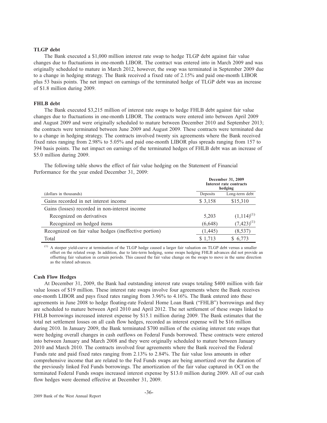## **TLGP debt**

The Bank executed a \$1,000 million interest rate swap to hedge TLGP debt against fair value changes due to fluctuations in one-month LIBOR. The contract was entered into in March 2009 and was originally scheduled to mature in March 2012, however, the swap was terminated in September 2009 due to a change in hedging strategy. The Bank received a fixed rate of 2.15% and paid one-month LIBOR plus 53 basis points. The net impact on earnings of the terminated hedge of TLGP debt was an increase of \$1.8 million during 2009.

#### **FHLB debt**

The Bank executed \$3,215 million of interest rate swaps to hedge FHLB debt against fair value changes due to fluctuations in one-month LIBOR. The contracts were entered into between April 2009 and August 2009 and were originally scheduled to mature between December 2010 and September 2013; the contracts were terminated between June 2009 and August 2009. These contracts were terminated due to a change in hedging strategy. The contracts involved twenty six agreements where the Bank received fixed rates ranging from 2.98% to 5.05% and paid one-month LIBOR plus spreads ranging from 157 to 394 basis points. The net impact on earnings of the terminated hedges of FHLB debt was an increase of \$5.0 million during 2009.

The following table shows the effect of fair value hedging on the Statement of Financial Performance for the year ended December 31, 2009:

|                                                       |          | December 31, 2009<br>Interest rate contracts<br>hedging |  |  |
|-------------------------------------------------------|----------|---------------------------------------------------------|--|--|
| (dollars in thousands)                                | Deposits | Long-term debt                                          |  |  |
| Gains recorded in net interest income                 | \$ 3,158 | \$15,310                                                |  |  |
| Gains (losses) recorded in non-interest income        |          |                                                         |  |  |
| Recognized on derivatives                             | 5,203    | $(1,114)^{(1)}$                                         |  |  |
| Recognized on hedged items                            | (6,648)  | $(7,423)^{(1)}$                                         |  |  |
| Recognized on fair value hedges (ineffective portion) | (1, 445) | (8, 537)                                                |  |  |
| Total                                                 | \$1,713  | \$6,773                                                 |  |  |

(1) A steeper yield-curve at termination of the TLGP hedge caused a larger fair valuation on TLGP debt versus a smaller offset on the related swap. In addition, due to late-term hedging, some swaps hedging FHLB advances did not provide an offsetting fair valuation in certain periods. This caused the fair value change on the swaps to move in the same direction as the related advances.

#### **Cash Flow Hedges**

At December 31, 2009, the Bank had outstanding interest rate swaps totaling \$400 million with fair value losses of \$19 million. These interest rate swaps involve four agreements where the Bank receives one-month LIBOR and pays fixed rates ranging from 3.96% to 4.16%. The Bank entered into these agreements in June 2008 to hedge floating-rate Federal Home Loan Bank ("FHLB") borrowings and they are scheduled to mature between April 2010 and April 2012. The net settlement of these swaps linked to FHLB borrowings increased interest expense by \$15.1 million during 2009. The Bank estimates that the total net settlement losses on all cash flow hedges, recorded as interest expense will be \$16 million during 2010. In January 2009, the Bank terminated \$700 million of the existing interest rate swaps that were hedging overall changes in cash outflows on Federal Funds borrowed. These contracts were entered into between January and March 2008 and they were originally scheduled to mature between January 2010 and March 2010. The contracts involved four agreements where the Bank received the Federal Funds rate and paid fixed rates ranging from 2.13% to 2.84%. The fair value loss amounts in other comprehensive income that are related to the Fed Funds swaps are being amortized over the duration of the previously linked Fed Funds borrowings. The amortization of the fair value captured in OCI on the terminated Federal Funds swaps increased interest expense by \$13.0 million during 2009. All of our cash flow hedges were deemed effective at December 31, 2009.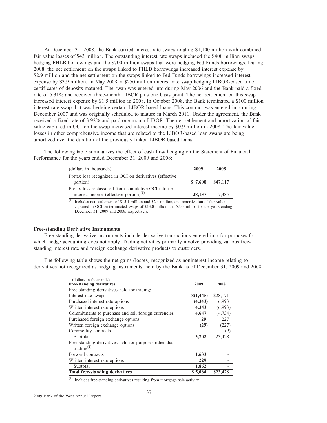At December 31, 2008, the Bank carried interest rate swaps totaling \$1,100 million with combined fair value losses of \$43 million. The outstanding interest rate swaps included the \$400 million swaps hedging FHLB borrowings and the \$700 million swaps that were hedging Fed Funds borrowings. During 2008, the net settlement on the swaps linked to FHLB borrowings increased interest expense by \$2.9 million and the net settlement on the swaps linked to Fed Funds borrowings increased interest expense by \$3.9 million. In May 2008, a \$250 million interest rate swap hedging LIBOR-based time certificates of deposits matured. The swap was entered into during May 2006 and the Bank paid a fixed rate of 5.31% and received three-month LIBOR plus one basis point. The net settlement on this swap increased interest expense by \$1.5 million in 2008. In October 2008, the Bank terminated a \$100 million interest rate swap that was hedging certain LIBOR-based loans. This contract was entered into during December 2007 and was originally scheduled to mature in March 2011. Under the agreement, the Bank received a fixed rate of 3.92% and paid one-month LIBOR. The net settlement and amortization of fair value captured in OCI on the swap increased interest income by \$0.9 million in 2008. The fair value losses in other comprehensive income that are related to the LIBOR-based loan swaps are being amortized over the duration of the previously linked LIBOR-based loans.

The following table summarizes the effect of cash flow hedging on the Statement of Financial Performance for the years ended December 31, 2009 and 2008:

| (dollars in thousands)                                  | 2009     | 2008     |
|---------------------------------------------------------|----------|----------|
| Pretax loss recognized in OCI on derivatives (effective |          |          |
| portion)                                                | \$ 7,600 | \$47.117 |
| Pretax loss reclassified from cumulative OCI into net   |          |          |
| interest income (effective portion) <sup>(1)</sup>      | 28,137   | 7.385    |

(1) Includes net settlement of \$15.1 million and \$2.4 million, and amortization of fair value captured in OCI on terminated swaps of \$13.0 million and \$5.0 million for the years ending December 31, 2009 and 2008, respectively.

## **Free-standing Derivative Instruments**

Free-standing derivative instruments include derivative transactions entered into for purposes for which hedge accounting does not apply. Trading activities primarily involve providing various freestanding interest rate and foreign exchange derivative products to customers.

The following table shows the net gains (losses) recognized as noninterest income relating to derivatives not recognized as hedging instruments, held by the Bank as of December 31, 2009 and 2008:

| (dollars in thousands)<br><b>Free-standing derivatives</b>                   | 2009      | 2008     |
|------------------------------------------------------------------------------|-----------|----------|
| Free-standing derivatives held for trading:                                  |           |          |
| Interest rate swaps                                                          | \$(1,445) | \$28,171 |
| Purchased interest rate options                                              | (4,343)   | 6,993    |
| Written interest rate options                                                | 4,343     | (6,993)  |
| Commitments to purchase and sell foreign currencies                          | 4,647     | (4, 734) |
| Purchased foreign exchange options                                           | 29        | 227      |
| Written foreign exchange options                                             | (29)      | (227)    |
| Commodity contracts                                                          |           | (9)      |
| Subtotal                                                                     | 3,202     | 23,428   |
| Free-standing derivatives held for purposes other than<br>trading $^{(1)}$ : |           |          |
| Forward contracts                                                            | 1,633     |          |
| Written interest rate options                                                | 229       |          |
| Subtotal                                                                     | 1,862     |          |
| <b>Total free-standing derivatives</b>                                       | \$5,064   | \$23,428 |

(1) Includes free-standing derivatives resulting from mortgage sale activity.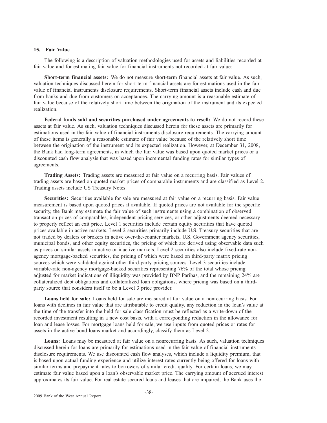## **15. Fair Value**

The following is a description of valuation methodologies used for assets and liabilities recorded at fair value and for estimating fair value for financial instruments not recorded at fair value:

**Short-term financial assets:** We do not measure short-term financial assets at fair value. As such, valuation techniques discussed herein for short-term financial assets are for estimations used in the fair value of financial instruments disclosure requirements. Short-term financial assets include cash and due from banks and due from customers on acceptances. The carrying amount is a reasonable estimate of fair value because of the relatively short time between the origination of the instrument and its expected realization.

**Federal funds sold and securities purchased under agreements to resell:** We do not record these assets at fair value. As such, valuation techniques discussed herein for these assets are primarily for estimations used in the fair value of financial instruments disclosure requirements. The carrying amount of these items is generally a reasonable estimate of fair value because of the relatively short time between the origination of the instrument and its expected realization. However, at December 31, 2008, the Bank had long-term agreements, in which the fair value was based upon quoted market prices or a discounted cash flow analysis that was based upon incremental funding rates for similar types of agreements.

**Trading Assets:** Trading assets are measured at fair value on a recurring basis. Fair values of trading assets are based on quoted market prices of comparable instruments and are classified as Level 2. Trading assets include US Treasury Notes.

**Securities:** Securities available for sale are measured at fair value on a recurring basis. Fair value measurement is based upon quoted prices if available. If quoted prices are not available for the specific security, the Bank may estimate the fair value of such instruments using a combination of observed transaction prices of comparables, independent pricing services, or other adjustments deemed necessary to properly reflect an exit price. Level 1 securities include certain equity securities that have quoted prices available in active markets. Level 2 securities primarily include U.S. Treasury securities that are not traded by dealers or brokers in active over-the-counter markets, U.S. Government agency securities, municipal bonds, and other equity securities, the pricing of which are derived using observable data such as prices on similar assets in active or inactive markets. Level 2 securities also include fixed-rate nonagency mortgage-backed securities, the pricing of which were based on third-party matrix pricing sources which were validated against other third-party pricing sources. Level 3 securities include variable-rate non-agency mortgage-backed securities representing 76% of the total whose pricing adjusted for market indications of illiquidity was provided by BNP Paribas, and the remaining 24% are collateralized debt obligations and collateralized loan obligations, where pricing was based on a thirdparty source that considers itself to be a Level 3 price provider.

**Loans held for sale:** Loans held for sale are measured at fair value on a nonrecurring basis. For loans with declines in fair value that are attributable to credit quality, any reduction in the loan's value at the time of the transfer into the held for sale classification must be reflected as a write-down of the recorded investment resulting in a new cost basis, with a corresponding reduction in the allowance for loan and lease losses. For mortgage loans held for sale, we use inputs from quoted prices or rates for assets in the active bond loans market and accordingly, classify them as Level 2.

**Loans:** Loans may be measured at fair value on a nonrecurring basis. As such, valuation techniques discussed herein for loans are primarily for estimations used in the fair value of financial instruments disclosure requirements. We use discounted cash flow analyses, which include a liquidity premium, that is based upon actual funding experience and utilize interest rates currently being offered for loans with similar terms and prepayment rates to borrowers of similar credit quality. For certain loans, we may estimate fair value based upon a loan's observable market price. The carrying amount of accrued interest approximates its fair value. For real estate secured loans and leases that are impaired, the Bank uses the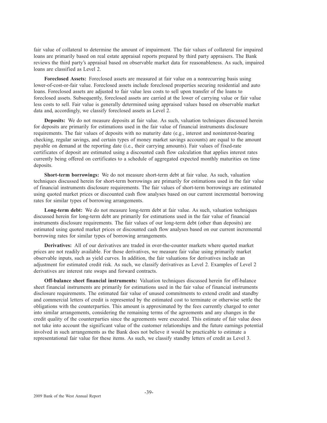fair value of collateral to determine the amount of impairment. The fair values of collateral for impaired loans are primarily based on real estate appraisal reports prepared by third party appraisers. The Bank reviews the third party's appraisal based on observable market data for reasonableness. As such, impaired loans are classified as Level 2.

**Foreclosed Assets:** Foreclosed assets are measured at fair value on a nonrecurring basis using lower-of-cost-or-fair value. Foreclosed assets include foreclosed properties securing residential and auto loans. Foreclosed assets are adjusted to fair value less costs to sell upon transfer of the loans to foreclosed assets. Subsequently, foreclosed assets are carried at the lower of carrying value or fair value less costs to sell. Fair value is generally determined using appraised values based on observable market data and, accordingly, we classify foreclosed assets as Level 2.

**Deposits:** We do not measure deposits at fair value. As such, valuation techniques discussed herein for deposits are primarily for estimations used in the fair value of financial instruments disclosure requirements. The fair values of deposits with no maturity date (e.g., interest and noninterest-bearing checking, regular savings, and certain types of money market savings accounts) are equal to the amount payable on demand at the reporting date (i.e., their carrying amounts). Fair values of fixed-rate certificates of deposit are estimated using a discounted cash flow calculation that applies interest rates currently being offered on certificates to a schedule of aggregated expected monthly maturities on time deposits.

**Short-term borrowings:** We do not measure short-term debt at fair value. As such, valuation techniques discussed herein for short-term borrowings are primarily for estimations used in the fair value of financial instruments disclosure requirements. The fair values of short-term borrowings are estimated using quoted market prices or discounted cash flow analyses based on our current incremental borrowing rates for similar types of borrowing arrangements.

**Long-term debt:** We do not measure long-term debt at fair value. As such, valuation techniques discussed herein for long-term debt are primarily for estimations used in the fair value of financial instruments disclosure requirements. The fair values of our long-term debt (other than deposits) are estimated using quoted market prices or discounted cash flow analyses based on our current incremental borrowing rates for similar types of borrowing arrangements.

**Derivatives:** All of our derivatives are traded in over-the-counter markets where quoted market prices are not readily available. For those derivatives, we measure fair value using primarily market observable inputs, such as yield curves. In addition, the fair valuations for derivatives include an adjustment for estimated credit risk. As such, we classify derivatives as Level 2. Examples of Level 2 derivatives are interest rate swaps and forward contracts.

**Off-balance sheet financial instruments:** Valuation techniques discussed herein for off-balance sheet financial instruments are primarily for estimations used in the fair value of financial instruments disclosure requirements. The estimated fair value of unused commitments to extend credit and standby and commercial letters of credit is represented by the estimated cost to terminate or otherwise settle the obligations with the counterparties. This amount is approximated by the fees currently charged to enter into similar arrangements, considering the remaining terms of the agreements and any changes in the credit quality of the counterparties since the agreements were executed. This estimate of fair value does not take into account the significant value of the customer relationships and the future earnings potential involved in such arrangements as the Bank does not believe it would be practicable to estimate a representational fair value for these items. As such, we classify standby letters of credit as Level 3.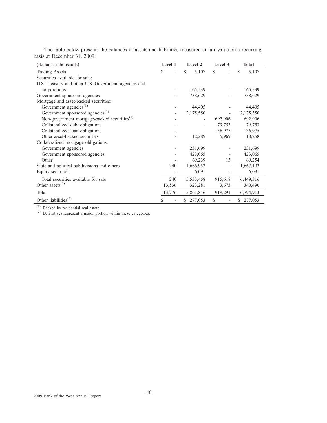| (dollars in thousands)                                   | Level 1 | Level 2                  | Level 3                  | <b>Total</b>  |
|----------------------------------------------------------|---------|--------------------------|--------------------------|---------------|
| <b>Trading Assets</b>                                    | \$      | \$<br>5,107              | $\mathbb{S}$             | S<br>5,107    |
| Securities available for sale:                           |         |                          |                          |               |
| U.S. Treasury and other U.S. Government agencies and     |         |                          |                          |               |
| corporations                                             |         | 165,539                  |                          | 165,539       |
| Government sponsored agencies                            |         | 738,629                  |                          | 738,629       |
| Mortgage and asset-backed securities:                    |         |                          |                          |               |
| Government agencies <sup>(1)</sup>                       |         | 44,405                   |                          | 44,405        |
| Government sponsored agencies <sup>(1)</sup>             |         | 2,175,550                | $\overline{\phantom{a}}$ | 2,175,550     |
| Non-government mortgage-backed securities <sup>(1)</sup> |         |                          | 692,906                  | 692,906       |
| Collateralized debt obligations                          |         |                          | 79,753                   | 79,753        |
| Collateralized loan obligations                          |         | $\overline{\phantom{0}}$ | 136,975                  | 136,975       |
| Other asset-backed securities                            |         | 12,289                   | 5,969                    | 18,258        |
| Collateralized mortgage obligations:                     |         |                          |                          |               |
| Government agencies                                      |         | 231,699                  |                          | 231,699       |
| Government sponsored agencies                            |         | 423,065                  |                          | 423,065       |
| Other                                                    |         | 69,239                   | 15                       | 69,254        |
| State and political subdivisions and others              | 240     | 1,666,952                |                          | 1,667,192     |
| Equity securities                                        |         | 6,091                    |                          | 6,091         |
| Total securities available for sale                      | 240     | 5,533,458                | 915,618                  | 6,449,316     |
| Other assets <sup><math>(2)</math></sup>                 | 13,536  | 323,281                  | 3,673                    | 340,490       |
| Total                                                    | 13,776  | 5,861,846                | 919,291                  | 6,794,913     |
| Other liabilities <sup><math>(2)</math></sup>            | S       | 277,053<br>\$            | S                        | 277,053<br>S. |

The table below presents the balances of assets and liabilities measured at fair value on a recurring basis at December 31, 2009:

(1) Backed by residential real estate.

(2) Derivatives represent a major portion within these categories.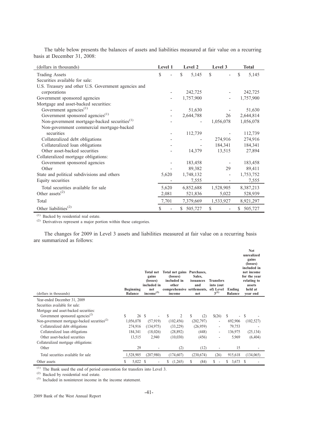| (dollars in thousands)                                   | Level 1 | Level 2       | Level 3   | <b>Total</b> |
|----------------------------------------------------------|---------|---------------|-----------|--------------|
| <b>Trading Assets</b>                                    | S       | \$.<br>5,145  | \$.       | \$.<br>5,145 |
| Securities available for sale:                           |         |               |           |              |
| U.S. Treasury and other U.S. Government agencies and     |         |               |           |              |
| corporations                                             |         | 242,725       |           | 242,725      |
| Government sponsored agencies                            |         | 1,757,900     |           | 1,757,900    |
| Mortgage and asset-backed securities:                    |         |               |           |              |
| Government agencies <sup><math>(1)</math></sup>          |         | 51,630        |           | 51,630       |
| Government sponsored agencies <sup>(1)</sup>             |         | 2,644,788     | 26        | 2,644,814    |
| Non-government mortgage-backed securities <sup>(1)</sup> |         |               | 1,056,078 | 1,056,078    |
| Non-government commercial mortgage-backed                |         |               |           |              |
| securities                                               |         | 112,739       |           | 112,739      |
| Collateralized debt obligations                          |         |               | 274,916   | 274,916      |
| Collateralized loan obligations                          |         |               | 184,341   | 184,341      |
| Other asset-backed securities                            |         | 14,379        | 13,515    | 27,894       |
| Collateralized mortgage obligations:                     |         |               |           |              |
| Government sponsored agencies                            |         | 183,458       |           | 183,458      |
| Other                                                    |         | 89,382        | 29        | 89,411       |
| State and political subdivisions and others              | 5,620   | 1,748,132     |           | 1,753,752    |
| Equity securities                                        |         | 7,555         |           | 7,555        |
| Total securities available for sale                      | 5,620   | 6,852,688     | 1,528,905 | 8,387,213    |
| Other assets <sup><math>(2)</math></sup>                 | 2,081   | 521,836       | 5,022     | 528,939      |
| Total                                                    | 7,701   | 7,379,669     | 1,533,927 | 8,921,297    |
| Other liabilities <sup><math>(2)</math></sup>            | \$      | \$<br>505,727 | \$        | 505,727      |

The table below presents the balances of assets and liabilities measured at fair value on a recurring basis at December 31, 2008:

 $(1)$  Backed by residential real estate.

(2) Derivatives represent a major portion within these categories.

The changes for 2009 in Level 3 assets and liabilities measured at fair value on a recurring basis are summarized as follows:

| (dollars in thousands)                                                |   | <b>Beginning</b><br><b>Balance</b> | <b>Total net</b><br>gains<br>(losses)<br>included in<br>net<br>income $^{(3)}$ | Total net gains Purchases,<br>(losses)<br>included in<br>other<br>comprehensive settlements,<br>income |     |   | Sales.<br>issuances<br>and<br>net | <b>Transfers</b><br>into (out<br>of) Level<br>$3^{(1)}$ | Ending<br><b>Balance</b> | <b>Net</b><br>unrealized<br>gains<br>(losses)<br>included in<br>net income<br>for the year<br>relating to<br>assets<br>held at<br>vear end |
|-----------------------------------------------------------------------|---|------------------------------------|--------------------------------------------------------------------------------|--------------------------------------------------------------------------------------------------------|-----|---|-----------------------------------|---------------------------------------------------------|--------------------------|--------------------------------------------------------------------------------------------------------------------------------------------|
| Year-ended December 31, 2009                                          |   |                                    |                                                                                |                                                                                                        |     |   |                                   |                                                         |                          |                                                                                                                                            |
| Securities available for sale:                                        |   |                                    |                                                                                |                                                                                                        |     |   |                                   |                                                         |                          |                                                                                                                                            |
| Mortgage and asset-backed securities:                                 |   |                                    |                                                                                |                                                                                                        |     |   |                                   |                                                         |                          |                                                                                                                                            |
| Government sponsored agencies <sup>(2)</sup>                          | S | 26S                                |                                                                                | S                                                                                                      | 2   | S | (2)                               | \$(26)                                                  | S                        | S<br>٠                                                                                                                                     |
| Non-government mortgage-backed securities <sup><math>(2)</math></sup> |   | 1,056,078                          | (57, 919)                                                                      | (102, 456)                                                                                             |     |   | (202, 797)                        |                                                         | 692,906                  | (102, 527)                                                                                                                                 |
| Collateralized debt obligations                                       |   | 274,916                            | (134, 975)                                                                     | (33,229)                                                                                               |     |   | (26,959)                          |                                                         | 79,753                   |                                                                                                                                            |
| Collateralized loan obligations                                       |   | 184,341                            | (18,026)                                                                       | (28, 892)                                                                                              |     |   | (448)                             |                                                         | 136,975                  | (25, 134)                                                                                                                                  |
| Other asset-backed securities                                         |   | 13,515                             | 2,940                                                                          | (10,030)                                                                                               |     |   | (456)                             |                                                         | 5,969                    | (6, 404)                                                                                                                                   |
| Collateralized mortgage obligations:                                  |   |                                    |                                                                                |                                                                                                        |     |   |                                   |                                                         |                          |                                                                                                                                            |
| Other                                                                 |   | 29                                 |                                                                                |                                                                                                        | (2) |   | (12)                              |                                                         | 15                       |                                                                                                                                            |
| Total securities available for sale                                   |   | 1,528,905                          | (207,980)                                                                      | (174, 607)                                                                                             |     |   | (230, 674)                        | (26)                                                    | 915,618                  | (134,065)                                                                                                                                  |
| Other assets                                                          | S | 5,022 \$                           |                                                                                | (1,265)<br>S                                                                                           |     |   | (84)                              | \$                                                      | S<br>3,673               | S                                                                                                                                          |

 $(1)$  The Bank used the end of period convention for transfers into Level 3.

(2) Backed by residential real estate.

(3) Included in noninterest income in the income statement.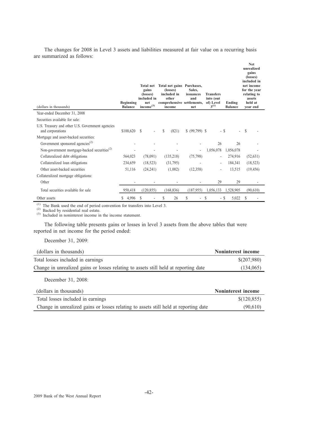The changes for 2008 in Level 3 assets and liabilities measured at fair value on a recurring basis are summarized as follows:

| (dollars in thousands)                                                | <b>Beginning</b><br><b>Balance</b> | <b>Total net</b><br>gains<br>(losses)<br>included in<br>net<br>income <sup>(3)</sup> | Total net gains Purchases,<br>(losses)<br>included in<br>other<br>comprehensive settlements,<br>income | Sales.<br>issuances<br>and<br>net | <b>Transfers</b><br>into (out<br>of) Level<br>$3^{(1)}$ | Ending<br><b>Balance</b> | <b>Net</b><br>unrealized<br>gains<br>(losses)<br>included in<br>net income<br>for the year<br>relating to<br>assets<br>held at<br>vear end |
|-----------------------------------------------------------------------|------------------------------------|--------------------------------------------------------------------------------------|--------------------------------------------------------------------------------------------------------|-----------------------------------|---------------------------------------------------------|--------------------------|--------------------------------------------------------------------------------------------------------------------------------------------|
| Year-ended December 31, 2008                                          |                                    |                                                                                      |                                                                                                        |                                   |                                                         |                          |                                                                                                                                            |
| Securities available for sale:                                        |                                    |                                                                                      |                                                                                                        |                                   |                                                         |                          |                                                                                                                                            |
| U.S. Treasury and other U.S. Government agencies<br>and corporations  | \$100,620                          | S                                                                                    | S<br>(821)                                                                                             | $$ (99,799)$ \$                   |                                                         | - \$                     | \$                                                                                                                                         |
| Mortgage and asset-backed securities:                                 |                                    |                                                                                      |                                                                                                        |                                   |                                                         |                          |                                                                                                                                            |
| Government sponsored agencies <sup>(2)</sup>                          |                                    |                                                                                      |                                                                                                        |                                   | 26                                                      | 26                       |                                                                                                                                            |
| Non-government mortgage-backed securities <sup><math>(2)</math></sup> |                                    |                                                                                      |                                                                                                        |                                   | 1,056,078                                               | 1,056,078                |                                                                                                                                            |
| Collateralized debt obligations                                       | 564,023                            | (78,091)                                                                             | (135,218)                                                                                              | (75, 798)                         | Ĭ.                                                      | 274,916                  | (52, 631)                                                                                                                                  |
| Collateralized loan obligations                                       | 234,659                            | (18, 523)                                                                            | (31,795)                                                                                               |                                   | ٠                                                       | 184,341                  | (18, 523)                                                                                                                                  |
| Other asset-backed securities                                         | 51,116                             | (24,241)                                                                             | (1,002)                                                                                                | (12,358)                          | Ĭ.                                                      | 13,515                   | (19, 456)                                                                                                                                  |
| Collateralized mortgage obligations:                                  |                                    |                                                                                      |                                                                                                        |                                   |                                                         |                          |                                                                                                                                            |
| Other                                                                 |                                    |                                                                                      |                                                                                                        |                                   | 29                                                      | 29                       |                                                                                                                                            |
| Total securities available for sale                                   | 950.418                            | (120, 855)                                                                           | (168, 836)                                                                                             | (187, 955)                        | 1,056,133                                               | 1,528,905                | (90,610)                                                                                                                                   |
| Other assets                                                          | 4,996<br>\$                        | S                                                                                    | \$<br>26                                                                                               | S                                 | S                                                       | 5,022<br>- S             |                                                                                                                                            |

 $(1)$  The Bank used the end of period convention for transfers into Level 3.

(2) Backed by residential real estate.

(3) Included in noninterest income in the income statement.

The following table presents gains or losses in level 3 assets from the above tables that were reported in net income for the period ended:

December 31, 2009:

| (dollars in thousands)                                                               | Noninterest income |
|--------------------------------------------------------------------------------------|--------------------|
| Total losses included in earnings                                                    | \$(207,980)        |
| Change in unrealized gains or losses relating to assets still held at reporting date | (134,065)          |
|                                                                                      |                    |

December 31, 2008:

| (dollars in thousands)                                                               | Noninterest income |
|--------------------------------------------------------------------------------------|--------------------|
| Total losses included in earnings                                                    | \$(120, 855)       |
| Change in unrealized gains or losses relating to assets still held at reporting date | (90.610)           |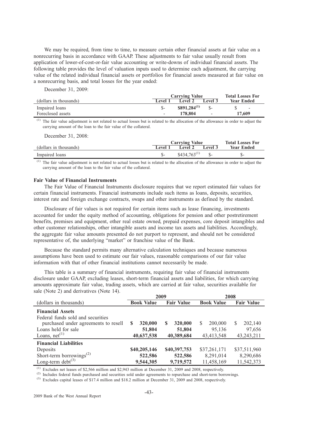We may be required, from time to time, to measure certain other financial assets at fair value on a nonrecurring basis in accordance with GAAP. These adjustments to fair value usually result from application of lower-of-cost-or-fair value accounting or write-downs of individual financial assets. The following table provides the level of valuation inputs used to determine each adjustment, the carrying value of the related individual financial assets or portfolios for financial assets measured at fair value on a nonrecurring basis, and total losses for the year ended:

December 31, 2009:

|                        |                          | <b>Carrying Value</b> | <b>Total Losses For</b>  |                          |
|------------------------|--------------------------|-----------------------|--------------------------|--------------------------|
| (dollars in thousands) | Level 1                  | Level 2               | <b>Level 3</b>           | <b>Year Ended</b>        |
| Impaired loans         |                          | $$891.284^{(1)}$$     |                          | $\overline{\phantom{a}}$ |
| Foreclosed assets      | $\overline{\phantom{0}}$ | 178.804               | $\overline{\phantom{0}}$ | 17.609                   |

The fair value adjustment is not related to actual losses but is related to the allocation of the allowance in order to adjust the carrying amount of the loan to the fair value of the collateral.

December 31, 2008:

|                        |         | <b>Carrying Value</b> | <b>Total Losses For</b> |                   |
|------------------------|---------|-----------------------|-------------------------|-------------------|
| (dollars in thousands) | Level 1 | Level 2               | Level 3                 | <b>Year Ended</b> |
| Impaired loans         |         | $$434.763^{(1)}$$     |                         | $S-$              |

(1) The fair value adjustment is not related to actual losses but is related to the allocation of the allowance in order to adjust the carrying amount of the loan to the fair value of the collateral.

## **Fair Value of Financial Instruments**

The Fair Value of Financial Instruments disclosure requires that we report estimated fair values for certain financial instruments. Financial instruments include such items as loans, deposits, securities, interest rate and foreign exchange contracts, swaps and other instruments as defined by the standard.

Disclosure of fair values is not required for certain items such as lease financing, investments accounted for under the equity method of accounting, obligations for pension and other postretirement benefits, premises and equipment, other real estate owned, prepaid expenses, core deposit intangibles and other customer relationships, other intangible assets and income tax assets and liabilities. Accordingly, the aggregate fair value amounts presented do not purport to represent, and should not be considered representative of, the underlying "market" or franchise value of the Bank.

Because the standard permits many alternative calculation techniques and because numerous assumptions have been used to estimate our fair values, reasonable comparisons of our fair value information with that of other financial institutions cannot necessarily be made.

This table is a summary of financial instruments, requiring fair value of financial instruments disclosure under GAAP, excluding leases, short-term financial assets and liabilities, for which carrying amounts approximate fair value, trading assets, which are carried at fair value, securities available for sale (Note 2) and derivatives (Note 14).

|                                                                                                                                                   |                                      | 2009                                 | 2008                                    |                                         |  |
|---------------------------------------------------------------------------------------------------------------------------------------------------|--------------------------------------|--------------------------------------|-----------------------------------------|-----------------------------------------|--|
| (dollars in thousands)                                                                                                                            | <b>Book Value</b>                    | <b>Fair Value</b>                    | <b>Book Value</b>                       | <b>Fair Value</b>                       |  |
| <b>Financial Assets</b><br>Federal funds sold and securities<br>purchased under agreements to resell<br>Loans held for sale<br>Loans, $net^{(1)}$ | 320,000<br>S<br>51,804<br>40,637,538 | 320,000<br>S<br>51,804<br>40,389,684 | 200,000<br>S.<br>95,136<br>43,413,548   | 202,140<br>S<br>97,656<br>43,243,211    |  |
| <b>Financial Liabilities</b><br>Deposits<br>Short-term borrowings <sup>(2)</sup><br>Long-term debt <sup><math>(3)</math></sup>                    | \$40,205,146<br>522,586<br>9,544,305 | \$40,397,753<br>522,586<br>9,719,572 | \$37,261,171<br>8,291,014<br>11,458,169 | \$37,511,960<br>8,290,686<br>11,542,373 |  |

(1) Excludes net leases of \$2,566 million and \$2,943 million at December 31, 2009 and 2008, respectively.

<sup>(2)</sup> Includes federal funds purchased and securities sold under agreements to repurchase and short-term borrowings.

(3) Excludes capital leases of \$17.4 million and \$18.2 million at December 31, 2009 and 2008, respectively.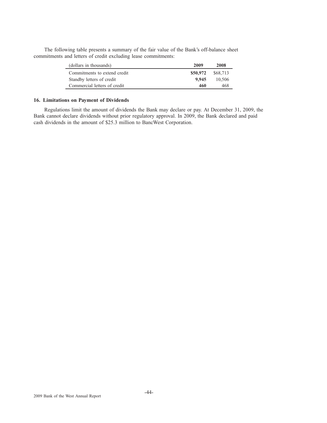The following table presents a summary of the fair value of the Bank's off-balance sheet commitments and letters of credit excluding lease commitments:

| (dollars in thousands)       | 2009     | 2008     |
|------------------------------|----------|----------|
| Commitments to extend credit | \$50,972 | \$68,713 |
| Standby letters of credit    | 9.945    | 10.506   |
| Commercial letters of credit | 460      | 468      |

## **16. Limitations on Payment of Dividends**

Regulations limit the amount of dividends the Bank may declare or pay. At December 31, 2009, the Bank cannot declare dividends without prior regulatory approval. In 2009, the Bank declared and paid cash dividends in the amount of \$25.3 million to BancWest Corporation.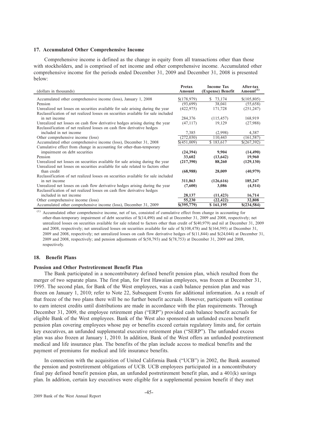## **17. Accumulated Other Comprehensive Income**

Comprehensive income is defined as the change in equity from all transactions other than those with stockholders, and is comprised of net income and other comprehensive income. Accumulated other comprehensive income for the periods ended December 31, 2009 and December 31, 2008 is presented below:

| Accumulated other comprehensive income (loss), January 1, 2008<br>73,174<br>\$(178,979)<br>S.<br>\$(105,805)<br>Pension<br>(93,699)<br>38,041<br>(55,658)<br>Unrealized net losses on securities available for sale arising during the year<br>(251, 247)<br>(422, 975)<br>171,728<br>Reclassification of net realized losses on securities available for sale included<br>(115, 457)<br>in net income<br>284,376<br>168,919<br>Unrealized net losses on cash flow derivative hedges arising during the year<br>(47, 117)<br>19,129<br>(27,988)<br>Reclassification of net realized losses on cash flow derivative hedges<br>included in net income<br>7,385<br>4,387<br>(2,998)<br>Other comprehensive income (loss)<br>110,443<br>(272, 030)<br>(161, 587)<br>Accumulated other comprehensive income (loss), December 31, 2008<br>\$(451,009)<br>\$183,617<br>\$(267,392)<br>Cumulative effect from change in accounting for other-than-temporary<br>impairment on debt securities<br>(24, 394)<br>9,904<br>(14, 490)<br>Pension<br>(13, 642)<br>33,602<br>19,960<br>Unrealized net losses on securities available for sale arising during the year<br>88,260<br>(217,390)<br>(129, 130) | (dollars in thousands)                                                          | Pretax<br><b>Amount</b> | <b>Income Tax</b><br>(Expense) Benefit | After-tax<br>Amount <sup>(1)</sup> |
|--------------------------------------------------------------------------------------------------------------------------------------------------------------------------------------------------------------------------------------------------------------------------------------------------------------------------------------------------------------------------------------------------------------------------------------------------------------------------------------------------------------------------------------------------------------------------------------------------------------------------------------------------------------------------------------------------------------------------------------------------------------------------------------------------------------------------------------------------------------------------------------------------------------------------------------------------------------------------------------------------------------------------------------------------------------------------------------------------------------------------------------------------------------------------------------------|---------------------------------------------------------------------------------|-------------------------|----------------------------------------|------------------------------------|
|                                                                                                                                                                                                                                                                                                                                                                                                                                                                                                                                                                                                                                                                                                                                                                                                                                                                                                                                                                                                                                                                                                                                                                                            |                                                                                 |                         |                                        |                                    |
|                                                                                                                                                                                                                                                                                                                                                                                                                                                                                                                                                                                                                                                                                                                                                                                                                                                                                                                                                                                                                                                                                                                                                                                            |                                                                                 |                         |                                        |                                    |
|                                                                                                                                                                                                                                                                                                                                                                                                                                                                                                                                                                                                                                                                                                                                                                                                                                                                                                                                                                                                                                                                                                                                                                                            |                                                                                 |                         |                                        |                                    |
|                                                                                                                                                                                                                                                                                                                                                                                                                                                                                                                                                                                                                                                                                                                                                                                                                                                                                                                                                                                                                                                                                                                                                                                            |                                                                                 |                         |                                        |                                    |
|                                                                                                                                                                                                                                                                                                                                                                                                                                                                                                                                                                                                                                                                                                                                                                                                                                                                                                                                                                                                                                                                                                                                                                                            |                                                                                 |                         |                                        |                                    |
|                                                                                                                                                                                                                                                                                                                                                                                                                                                                                                                                                                                                                                                                                                                                                                                                                                                                                                                                                                                                                                                                                                                                                                                            |                                                                                 |                         |                                        |                                    |
|                                                                                                                                                                                                                                                                                                                                                                                                                                                                                                                                                                                                                                                                                                                                                                                                                                                                                                                                                                                                                                                                                                                                                                                            |                                                                                 |                         |                                        |                                    |
|                                                                                                                                                                                                                                                                                                                                                                                                                                                                                                                                                                                                                                                                                                                                                                                                                                                                                                                                                                                                                                                                                                                                                                                            |                                                                                 |                         |                                        |                                    |
|                                                                                                                                                                                                                                                                                                                                                                                                                                                                                                                                                                                                                                                                                                                                                                                                                                                                                                                                                                                                                                                                                                                                                                                            |                                                                                 |                         |                                        |                                    |
|                                                                                                                                                                                                                                                                                                                                                                                                                                                                                                                                                                                                                                                                                                                                                                                                                                                                                                                                                                                                                                                                                                                                                                                            |                                                                                 |                         |                                        |                                    |
|                                                                                                                                                                                                                                                                                                                                                                                                                                                                                                                                                                                                                                                                                                                                                                                                                                                                                                                                                                                                                                                                                                                                                                                            |                                                                                 |                         |                                        |                                    |
|                                                                                                                                                                                                                                                                                                                                                                                                                                                                                                                                                                                                                                                                                                                                                                                                                                                                                                                                                                                                                                                                                                                                                                                            |                                                                                 |                         |                                        |                                    |
|                                                                                                                                                                                                                                                                                                                                                                                                                                                                                                                                                                                                                                                                                                                                                                                                                                                                                                                                                                                                                                                                                                                                                                                            |                                                                                 |                         |                                        |                                    |
|                                                                                                                                                                                                                                                                                                                                                                                                                                                                                                                                                                                                                                                                                                                                                                                                                                                                                                                                                                                                                                                                                                                                                                                            |                                                                                 |                         |                                        |                                    |
|                                                                                                                                                                                                                                                                                                                                                                                                                                                                                                                                                                                                                                                                                                                                                                                                                                                                                                                                                                                                                                                                                                                                                                                            | Unrealized net losses on securities available for sale related to factors other |                         |                                        |                                    |
| than credit<br>(68,988)<br>28,009<br>(40, 979)                                                                                                                                                                                                                                                                                                                                                                                                                                                                                                                                                                                                                                                                                                                                                                                                                                                                                                                                                                                                                                                                                                                                             |                                                                                 |                         |                                        |                                    |
| Reclassification of net realized losses on securities available for sale included                                                                                                                                                                                                                                                                                                                                                                                                                                                                                                                                                                                                                                                                                                                                                                                                                                                                                                                                                                                                                                                                                                          |                                                                                 |                         |                                        |                                    |
| in net income<br>311,863<br>(126,616)<br>185,247                                                                                                                                                                                                                                                                                                                                                                                                                                                                                                                                                                                                                                                                                                                                                                                                                                                                                                                                                                                                                                                                                                                                           |                                                                                 |                         |                                        |                                    |
| Unrealized net losses on cash flow derivative hedges arising during the year<br>3,086<br>(7,600)<br>(4,514)                                                                                                                                                                                                                                                                                                                                                                                                                                                                                                                                                                                                                                                                                                                                                                                                                                                                                                                                                                                                                                                                                |                                                                                 |                         |                                        |                                    |
| Reclassification of net realized losses on cash flow derivative hedges                                                                                                                                                                                                                                                                                                                                                                                                                                                                                                                                                                                                                                                                                                                                                                                                                                                                                                                                                                                                                                                                                                                     |                                                                                 |                         |                                        |                                    |
| included in net income<br>28,137<br>(11, 423)<br>16,714                                                                                                                                                                                                                                                                                                                                                                                                                                                                                                                                                                                                                                                                                                                                                                                                                                                                                                                                                                                                                                                                                                                                    |                                                                                 |                         |                                        |                                    |
| Other comprehensive income (loss)<br>55,230<br>(22, 422)<br>32,808                                                                                                                                                                                                                                                                                                                                                                                                                                                                                                                                                                                                                                                                                                                                                                                                                                                                                                                                                                                                                                                                                                                         |                                                                                 |                         |                                        |                                    |
| Accumulated other comprehensive income (loss), December 31, 2009<br>$$$ (395,779)<br>\$161,195<br>\$(234,584)                                                                                                                                                                                                                                                                                                                                                                                                                                                                                                                                                                                                                                                                                                                                                                                                                                                                                                                                                                                                                                                                              |                                                                                 |                         |                                        |                                    |

(1) Accumulated other comprehensive income, net of tax, consisted of cumulative effect from change in accounting for other-than-temporary impairment of debt securities of \$(14,490) and nil at December 31, 2009 and 2008, respectively; net unrealized losses on securities available for sale related to factors other than credit of \$(40,979) and nil at December 31, 2009 and 2008, respectively; net unrealized losses on securities available for sale of \$(108,478) and \$(164,595) at December 31, 2009 and 2008, respectively; net unrealized losses on cash flow derivative hedges of \$(11,844) and \$(24,044) at December 31, 2009 and 2008, respectively; and pension adjustments of \$(58,793) and \$(78,753) at December 31, 2009 and 2008, respectively.

## **18. Benefit Plans**

## **Pension and Other Postretirement Benefit Plan**

The Bank participated in a noncontributory defined benefit pension plan, which resulted from the merger of two separate plans. The first plan, for First Hawaiian employees, was frozen at December 31, 1995. The second plan, for Bank of the West employees, was a cash balance pension plan and was frozen on January 1, 2010; refer to Note 22, Subsequent Events for additional information. As a result of that freeze of the two plans there will be no further benefit accruals. However, participants will continue to earn interest credits until distributions are made in accordance with the plan requirements. Through December 31, 2009, the employee retirement plan ("ERP") provided cash balance benefit accruals for eligible Bank of the West employees. Bank of the West also sponsored an unfunded excess benefit pension plan covering employees whose pay or benefits exceed certain regulatory limits and, for certain key executives, an unfunded supplemental executive retirement plan ("SERP"). The unfunded excess plan was also frozen at January 1, 2010. In addition, Bank of the West offers an unfunded postretirement medical and life insurance plan. The benefits of the plan include access to medical benefits and the payment of premiums for medical and life insurance benefits.

In connection with the acquisition of United California Bank ("UCB") in 2002, the Bank assumed the pension and postretirement obligations of UCB. UCB employees participated in a noncontributory final pay defined benefit pension plan, an unfunded postretirement benefit plan, and a 401(k) savings plan. In addition, certain key executives were eligible for a supplemental pension benefit if they met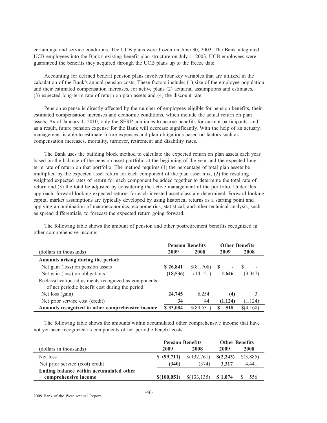certain age and service conditions. The UCB plans were frozen on June 30, 2003. The Bank integrated UCB employees into the Bank's existing benefit plan structure on July 1, 2003. UCB employees were guaranteed the benefits they acquired through the UCB plans up to the freeze date.

Accounting for defined benefit pension plans involves four key variables that are utilized in the calculation of the Bank's annual pension costs. These factors include: (1) size of the employee population and their estimated compensation increases, for active plans (2) actuarial assumptions and estimates, (3) expected long-term rate of return on plan assets and (4) the discount rate.

Pension expense is directly affected by the number of employees eligible for pension benefits, their estimated compensation increases and economic conditions, which include the actual return on plan assets. As of January 1, 2010, only the SERP continues to accrue benefits for current participants, and as a result, future pension expense for the Bank will decrease significantly. With the help of an actuary, management is able to estimate future expenses and plan obligations based on factors such as compensation increases, mortality, turnover, retirement and disability rates.

The Bank uses the building block method to calculate the expected return on plan assets each year based on the balance of the pension asset portfolio at the beginning of the year and the expected longterm rate of return on that portfolio. The method requires (1) the percentage of total plan assets be multiplied by the expected asset return for each component of the plan asset mix, (2) the resulting weighted expected rates of return for each component be added together to determine the total rate of return and (3) the total be adjusted by considering the active management of the portfolio. Under this approach, forward-looking expected returns for each invested asset class are determined. Forward-looking capital market assumptions are typically developed by using historical returns as a starting point and applying a combination of macroeconomics, econometrics, statistical, and other technical analysis, such as spread differentials, to forecast the expected return going forward.

The following table shows the amount of pension and other postretirement benefits recognized in other comprehensive income:

|                                                                                                          | <b>Pension Benefits</b> |              | <b>Other Benefits</b>           |                          |
|----------------------------------------------------------------------------------------------------------|-------------------------|--------------|---------------------------------|--------------------------|
| (dollars in thousands)                                                                                   | 2009                    | 2008         | 2009                            | 2008                     |
| Amounts arising during the period:                                                                       |                         |              |                                 |                          |
| Net gain (loss) on pension assets                                                                        | \$26,841                | \$(81,708)   | -SS<br>$\overline{\phantom{a}}$ | $\overline{\phantom{a}}$ |
| Net gain (loss) on obligations                                                                           | (18, 536)               | (14, 121)    | 1.646                           | (3,047)                  |
| Reclassification adjustments recognized as components<br>of net periodic benefit cost during the period: |                         |              |                                 |                          |
| Net loss (gain)                                                                                          | 24,745                  | 6.254        | (4)                             |                          |
| Net prior service cost (credit)                                                                          | 34                      | 44           | (1, 124)                        | (1, 124)                 |
| Amounts recognized in other comprehensive income                                                         | \$33,084                | $$$ (89.531) | 518<br>S                        | \$(4,168)                |

The following table shows the amounts within accumulated other comprehensive income that have not yet been recognized as components of net periodic benefit costs:

|                                         | <b>Pension Benefits</b> |              | <b>Other Benefits</b> |           |  |
|-----------------------------------------|-------------------------|--------------|-----------------------|-----------|--|
| (dollars in thousands)                  | 2009                    | 2008         | 2009                  | 2008      |  |
| Net loss                                | \$ (99,711)             | \$(132,761)  | \$(2,243)             | \$(3,885) |  |
| Net prior service (cost) credit         | (340)                   | (374)        | 3.317                 | 4.441     |  |
| Ending balance within accumulated other |                         |              |                       |           |  |
| comprehensive income                    | \$(100, 051)            | \$(133, 135) | \$1.074               | 556       |  |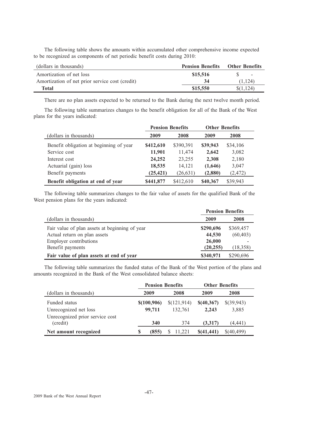The following table shows the amounts within accumulated other comprehensive income expected to be recognized as components of net periodic benefit costs during 2010:

| (dollars in thousands)                          | <b>Pension Benefits</b> | <b>Other Benefits</b>    |
|-------------------------------------------------|-------------------------|--------------------------|
| Amortization of net loss                        | \$15,516                | $\overline{\phantom{a}}$ |
| Amortization of net prior service cost (credit) | 34                      | (1.124)                  |
| Total                                           | \$15,550                | \$(1,124)                |

There are no plan assets expected to be returned to the Bank during the next twelve month period.

The following table summarizes changes to the benefit obligation for all of the Bank of the West plans for the years indicated:

|                                         | <b>Pension Benefits</b> |           | <b>Other Benefits</b> |          |  |
|-----------------------------------------|-------------------------|-----------|-----------------------|----------|--|
| (dollars in thousands)                  | 2009                    | 2008      | 2009                  | 2008     |  |
| Benefit obligation at beginning of year | \$412,610               | \$390,391 | \$39,943              | \$34,106 |  |
| Service cost                            | 11,901                  | 11,474    | 2,642                 | 3,082    |  |
| Interest cost                           | 24,252                  | 23,255    | 2,308                 | 2,180    |  |
| Actuarial (gain) loss                   | 18,535                  | 14,121    | (1,646)               | 3,047    |  |
| Benefit payments                        | (25, 421)               | (26, 631) | (2,880)               | (2, 472) |  |
| Benefit obligation at end of year       | \$441,877               | \$412,610 | \$40,367              | \$39,943 |  |

The following table summarizes changes to the fair value of assets for the qualified Bank of the West pension plans for the years indicated:

|                                                | <b>Pension Benefits</b> |           |  |  |
|------------------------------------------------|-------------------------|-----------|--|--|
| (dollars in thousands)                         | 2009                    | 2008      |  |  |
| Fair value of plan assets at beginning of year | \$290,696               | \$369,457 |  |  |
| Actual return on plan assets                   | 44,530                  | (60, 403) |  |  |
| <b>Employer contributions</b>                  | 26,000                  |           |  |  |
| Benefit payments                               | (20, 255)               | (18,358)  |  |  |
| Fair value of plan assets at end of year       | \$340,971               | \$290,696 |  |  |

The following table summarizes the funded status of the Bank of the West portion of the plans and amounts recognized in the Bank of the West consolidated balance sheets:

|                                             | <b>Pension Benefits</b> |             | <b>Other Benefits</b> |            |  |
|---------------------------------------------|-------------------------|-------------|-----------------------|------------|--|
| (dollars in thousands)                      | 2009                    | 2008        | 2009                  | 2008       |  |
| Funded status                               | \$(100,906)             | \$(121,914) | \$(40,367)            | \$(39,943) |  |
| Unrecognized net loss                       | 99.711                  | 132.761     | 2.243                 | 3,885      |  |
| Unrecognized prior service cost<br>(credit) | 340                     | 374         | (3,317)               | (4, 441)   |  |
| Net amount recognized                       | (855)<br>S              | 11.221<br>S | \$(41, 441)           | \$(40,499) |  |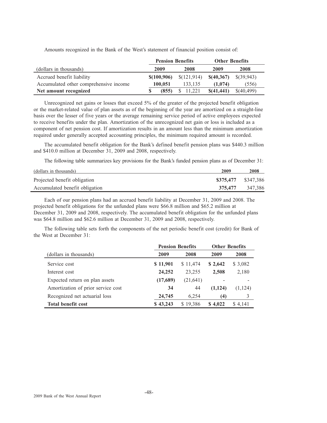|                                        | <b>Pension Benefits</b> |             | <b>Other Benefits</b> |               |  |
|----------------------------------------|-------------------------|-------------|-----------------------|---------------|--|
| (dollars in thousands)                 | 2009                    | 2008        | 2009                  | 2008          |  |
| Accrued benefit liability              | \$(100,906)             | \$(121,914) | \$(40,367)            | $\{(39, 943)$ |  |
| Accumulated other comprehensive income | 100,051                 | 133.135     | (1.074)               | (556)         |  |
| Net amount recognized                  | (855)                   | 11.221      | \$(41,441)            | \$(40,499)    |  |

Amounts recognized in the Bank of the West's statement of financial position consist of:

Unrecognized net gains or losses that exceed 5% of the greater of the projected benefit obligation or the market-related value of plan assets as of the beginning of the year are amortized on a straight-line basis over the lesser of five years or the average remaining service period of active employees expected to receive benefits under the plan. Amortization of the unrecognized net gain or loss is included as a component of net pension cost. If amortization results in an amount less than the minimum amortization required under generally accepted accounting principles, the minimum required amount is recorded.

The accumulated benefit obligation for the Bank's defined benefit pension plans was \$440.3 million and \$410.0 million at December 31, 2009 and 2008, respectively.

The following table summarizes key provisions for the Bank's funded pension plans as of December 31:

| (dollars in thousands)         | 2009                | 2008    |
|--------------------------------|---------------------|---------|
| Projected benefit obligation   | \$375,477 \$347,386 |         |
| Accumulated benefit obligation | 375.477             | 347,386 |

Each of our pension plans had an accrued benefit liability at December 31, 2009 and 2008. The projected benefit obligations for the unfunded plans were \$66.8 million and \$65.2 million at December 31, 2009 and 2008, respectively. The accumulated benefit obligation for the unfunded plans was \$64.8 million and \$62.6 million at December 31, 2009 and 2008, respectively.

The following table sets forth the components of the net periodic benefit cost (credit) for Bank of the West at December 31:

|                                    | <b>Pension Benefits</b> |          | <b>Other Benefits</b> |          |  |
|------------------------------------|-------------------------|----------|-----------------------|----------|--|
| (dollars in thousands)             | 2009                    | 2008     | 2009                  | 2008     |  |
| Service cost                       | \$11,901                | \$11,474 | \$2,642               | \$ 3,082 |  |
| Interest cost                      | 24,252                  | 23,255   | 2,508                 | 2,180    |  |
| Expected return on plan assets     | (17,689)                | (21,641) |                       |          |  |
| Amortization of prior service cost | 34                      | 44       | (1,124)               | (1,124)  |  |
| Recognized net actuarial loss      | 24,745                  | 6,254    | (4)                   | 3        |  |
| <b>Total benefit cost</b>          | \$43,243                | \$19,386 | \$4,022               | \$4,141  |  |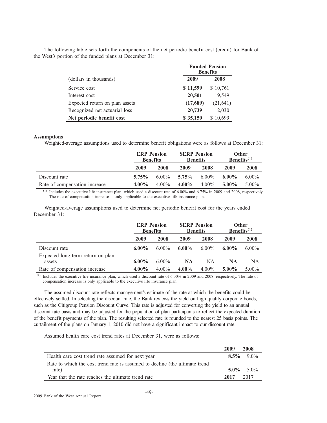|  |                                                                                                     |  | $\mathbf{D}$ and $\mathbf{D}$ and $\mathbf{D}$ and $\mathbf{D}$ and $\mathbf{D}$ and $\mathbf{D}$ and $\mathbf{D}$ and $\mathbf{D}$ |  |  |  |
|--|-----------------------------------------------------------------------------------------------------|--|-------------------------------------------------------------------------------------------------------------------------------------|--|--|--|
|  | the West's portion of the funded plans at December 31:                                              |  |                                                                                                                                     |  |  |  |
|  | The following table sets forth the components of the net periodic benefit cost (credit) for Bank of |  |                                                                                                                                     |  |  |  |
|  |                                                                                                     |  |                                                                                                                                     |  |  |  |

|                                | <b>Funded Pension</b><br><b>Benefits</b> |           |  |
|--------------------------------|------------------------------------------|-----------|--|
| (dollars in thousands)         | 2009                                     | 2008      |  |
| Service cost                   | \$11,599                                 | \$10,761  |  |
| Interest cost                  | 20,501                                   | 19,549    |  |
| Expected return on plan assets | (17,689)                                 | (21, 641) |  |
| Recognized net actuarial loss  | 20,739                                   | 2,030     |  |
| Net periodic benefit cost      | \$35,150                                 | 10,699    |  |

## **Assumptions**

Weighted-average assumptions used to determine benefit obligations were as follows at December 31:

|                               | <b>ERP</b> Pension<br><b>Benefits</b> |          | <b>SERP Pension</b><br><b>Benefits</b> |          | Other<br>Benefits $^{(1)}$ |          |
|-------------------------------|---------------------------------------|----------|----------------------------------------|----------|----------------------------|----------|
|                               | 2009                                  | 2008     | 2009                                   | 2008     | 2009                       | 2008     |
| Discount rate                 | $5.75\%$                              | $6.00\%$ | $5.75\%$                               | $6.00\%$ | $6.00\%$                   | $6.00\%$ |
| Rate of compensation increase | $4.00\%$                              | $4.00\%$ | $4.00\%$                               | $4.00\%$ | $5.00\%$                   | $5.00\%$ |

 $<sup>(1)</sup>$  Includes the executive life insurance plan, which used a discount rate of 6.00% and 6.75% in 2009 and 2008, respectively.</sup> The rate of compensation increase is only applicable to the executive life insurance plan.

Weighted-average assumptions used to determine net periodic benefit cost for the years ended December 31:

|                                             | <b>ERP</b> Pension<br><b>Benefits</b> |          | <b>SERP Pension</b><br><b>Benefits</b> |          | <b>Other</b><br>Benefits <sup>(1)</sup> |          |
|---------------------------------------------|---------------------------------------|----------|----------------------------------------|----------|-----------------------------------------|----------|
|                                             | 2009                                  | 2008     | 2009                                   | 2008     | 2009                                    | 2008     |
| Discount rate                               | $6.00\%$                              | $6.00\%$ | $6.00\%$                               | $6.00\%$ | $6.00\%$                                | $6.00\%$ |
| Expected long-term return on plan<br>assets | $6.00\%$                              | $6.00\%$ | <b>NA</b>                              | NA       | <b>NA</b>                               | NA       |
| Rate of compensation increase               | $4.00\%$                              | $4.00\%$ | $4.00\%$                               | $4.00\%$ | $5.00\%$                                | $5.00\%$ |

 $^{(1)}$  Includes the executive life insurance plan, which used a discount rate of 6.00% in 2009 and 2008, respectively. The rate of compensation increase is only applicable to the executive life insurance plan.

The assumed discount rate reflects management's estimate of the rate at which the benefits could be effectively settled. In selecting the discount rate, the Bank reviews the yield on high quality corporate bonds, such as the Citigroup Pension Discount Curve. This rate is adjusted for converting the yield to an annual discount rate basis and may be adjusted for the population of plan participants to reflect the expected duration of the benefit payments of the plan. The resulting selected rate is rounded to the nearest 25 basis points. The curtailment of the plans on January 1, 2010 did not have a significant impact to our discount rate.

Assumed health care cost trend rates at December 31, were as follows:

|                                                                             | 2009 | 2008            |
|-----------------------------------------------------------------------------|------|-----------------|
| Health care cost trend rate assumed for next year                           |      | $8.5\%$ 9.0%    |
| Rate to which the cost trend rate is assumed to decline (the ultimate trend |      |                 |
| rate)                                                                       |      | $5.0\%$ $5.0\%$ |
| Year that the rate reaches the ultimate trend rate                          | 2017 | 2017            |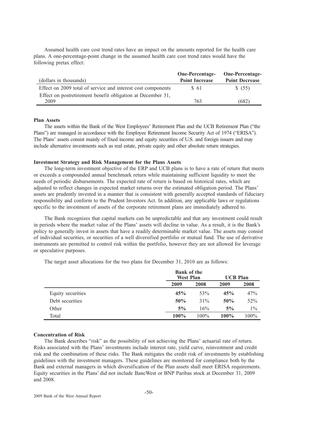Assumed health care cost trend rates have an impact on the amounts reported for the health care plans. A one-percentage-point change in the assumed health care cost trend rates would have the following pretax effect:

|                                                              | <b>One-Percentage-</b> | <b>One-Percentage-</b> |
|--------------------------------------------------------------|------------------------|------------------------|
| (dollars in thousands)                                       | <b>Point Increase</b>  | <b>Point Decrease</b>  |
| Effect on 2009 total of service and interest cost components | \$ 61                  | \$ (55)                |
| Effect on postretirement benefit obligation at December 31,  |                        |                        |
| 2009                                                         | 763                    | (682)                  |

## **Plan Assets**

The assets within the Bank of the West Employees' Retirement Plan and the UCB Retirement Plan ("the Plans") are managed in accordance with the Employee Retirement Income Security Act of 1974 ("ERISA"). The Plans' assets consist mainly of fixed income and equity securities of U.S. and foreign issuers and may include alternative investments such as real estate, private equity and other absolute return strategies.

## **Investment Strategy and Risk Management for the Plans Assets**

The long-term investment objective of the ERP and UCB plans is to have a rate of return that meets or exceeds a compounded annual benchmark return while maintaining sufficient liquidity to meet the needs of periodic disbursements. The expected rate of return is based on historical rates, which are adjusted to reflect changes in expected market returns over the estimated obligation period. The Plans' assets are prudently invested in a manner that is consistent with generally accepted standards of fiduciary responsibility and conform to the Prudent Investors Act. In addition, any applicable laws or regulations specific to the investment of assets of the corporate retirement plans are immediately adhered to.

The Bank recognizes that capital markets can be unpredictable and that any investment could result in periods where the market value of the Plans' assets will decline in value. As a result, it is the Bank's policy to generally invest in assets that have a readily determinable market value. The assets may consist of individual securities, or securities of a well diversified portfolio or mutual fund. The use of derivative instruments are permitted to control risk within the portfolio, however they are not allowed for leverage or speculative purposes.

The target asset allocations for the two plans for December 31, 2010 are as follows:

|                   |      | <b>Bank of the</b><br><b>West Plan</b> |         | <b>UCB Plan</b> |  |
|-------------------|------|----------------------------------------|---------|-----------------|--|
|                   | 2009 | 2008                                   | 2009    | 2008            |  |
| Equity securities | 45%  | 53%                                    | 45%     | 47%             |  |
| Debt securities   | 50%  | 31%                                    | 50%     | 52%             |  |
| Other             | 5%   | 16%                                    | 5%      | $1\%$           |  |
| Total             | 100% | $100\%$                                | $100\%$ | 100%            |  |

## **Concentration of Risk**

The Bank describes "risk" as the possibility of not achieving the Plans' actuarial rate of return. Risks associated with the Plans' investments include interest rate, yield curve, reinvestment and credit risk and the combination of these risks. The Bank mitigates the credit risk of investments by establishing guidelines with the investment managers. These guidelines are monitored for compliance both by the Bank and external managers in which diversification of the Plan assets shall meet ERISA requirements. Equity securities in the Plans' did not include BancWest or BNP Paribas stock at December 31, 2009 and 2008.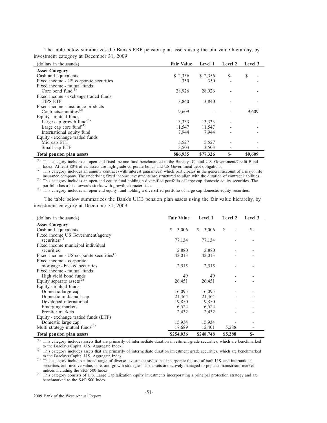| (dollars in thousands)                          | <b>Fair Value</b> | Level 1  | Level 2 | <b>Level</b> 3 |
|-------------------------------------------------|-------------------|----------|---------|----------------|
| <b>Asset Category</b>                           |                   |          |         |                |
| Cash and equivalents                            | \$2,356           | \$2,356  | $S-$    | \$             |
| Fixed income - US corporate securities          | 350               | 350      |         |                |
| Fixed income - mutual funds                     |                   |          |         |                |
| Core bond fund $^{(1)}$                         | 28,926            | 28,926   |         |                |
| Fixed income - exchange traded funds            |                   |          |         |                |
| <b>TIPS ETF</b>                                 | 3,840             | 3,840    |         |                |
| Fixed income - insurance products               |                   |          |         |                |
| Contracts/annuities <sup><math>(2)</math></sup> | 9,609             |          |         | 9,609          |
| Equity - mutual funds                           |                   |          |         |                |
| Large cap growth fund $^{(3)}$                  | 13,333            | 13,333   |         |                |
| Large cap core fund $(4)$                       | 11,547            | 11,547   |         |                |
| International equity fund                       | 7,944             | 7,944    |         |                |
| Equity - exchange traded funds                  |                   |          |         |                |
| Mid cap ETF                                     | 5,527             | 5,527    |         |                |
| Small cap ETF                                   | 3,503             | 3,503    |         |                |
| <b>Total pension plan assets</b>                | \$86,935          | \$77,326 | $S-$    | \$9,609        |

The table below summarizes the Bank's ERP pension plan assets using the fair value hierarchy, by investment category at December 31, 2009:

(1) This category includes an open-end fixed-income fund benchmarked to the Barclays Capital U.S. Government/Credit Bond Index. At least 80% of its assets are high-grade corporate bonds and US Government debt obligations.

(2) This category includes an annuity contract (with interest guarantees) which participates in the general account of a major life insurance company. The underlying fixed income investments are structured to align with the duration of contract liabilities. (3) This category includes an open-end equity fund holding a diversified portfolio of large-cap domestic equity securities. The

portfolio has a bias towards stocks with growth characteristics.<br>
(4) This category includes an open-end equity fund holding a diversified portfolio of large-cap domestic equity securities.

The table below summarizes the Bank's UCB pension plan assets using the fair value hierarchy, by investment category at December 31, 2009:

| (dollars in thousands)                          | <b>Fair Value</b> | Level 1    | Level 2 | Level 3 |
|-------------------------------------------------|-------------------|------------|---------|---------|
| <b>Asset Category</b>                           |                   |            |         |         |
| Cash and equivalents                            | \$<br>3,006       | S<br>3,006 | \$      | $S-$    |
| Fixed income US Government/agency               |                   |            |         |         |
| securities $(1)$                                | 77,134            | 77,134     |         |         |
| Fixed income municipal individual               |                   |            |         |         |
| securities                                      | 2,880             | 2,880      |         |         |
| Fixed income - US corporate securities $^{(2)}$ | 42,013            | 42,013     |         |         |
| Fixed income - corporate                        |                   |            |         |         |
| mortgage - backed securities                    | 2,515             | 2,515      |         |         |
| Fixed income - mutual funds                     |                   |            |         |         |
| High yield bond funds                           | 49                | 49         |         |         |
| Equity separate assets $^{(3)}$                 | 26,451            | 26,451     |         |         |
| Equity - mutual funds                           |                   |            |         |         |
| Domestic large cap                              | 16,095            | 16,095     |         |         |
| Domestic mid/small cap                          | 21,464            | 21,464     |         |         |
| Developed international                         | 19,850            | 19,850     |         |         |
| Emerging markets                                | 6,524             | 6,524      |         |         |
| Frontier markets                                | 2,432             | 2,432      |         |         |
| Equity - exchange traded funds (ETF)            |                   |            |         |         |
| Domestic large cap                              | 15,934            | 15,934     |         |         |
| Multi strategy mutual funds <sup>(4)</sup>      | 17,689            | 12,401     | 5,288   |         |
| Total pension plan assets                       | \$254,036         | \$248,748  | \$5,288 | $S-$    |

This category includes assets that are primarily of intermediate duration investment grade securities, which are benchmarked to the Barclays Capital U.S. Aggregate Index.

(2) This category includes assets that are primarily of intermediate duration investment grade securities, which are benchmarked to the Barclays Capital U.S. Aggregate Index.

(3) This category includes a broad range of diverse investment styles that incorporate the use of both U.S. and international securities, and involve value, core, and growth strategies. The assets are actively managed to popular mainstream market indices including the S&P 500 Index.

(4) This category consists of U.S. Large Capitalization equity investments incorporating a principal protection strategy and are benchmarked to the S&P 500 Index.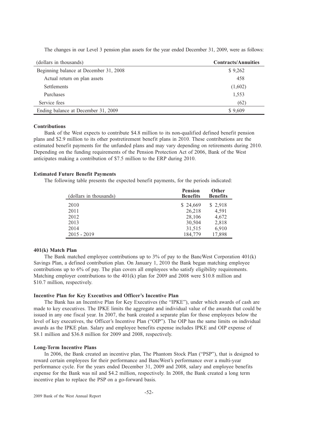| (dollars in thousands)                 | <b>Contracts/Annuities</b> |
|----------------------------------------|----------------------------|
| Beginning balance at December 31, 2008 | \$9,262                    |
| Actual return on plan assets           | 458                        |
| Settlements                            | (1,602)                    |
| <b>Purchases</b>                       | 1,553                      |
| Service fees                           | (62)                       |
| Ending balance at December 31, 2009    | \$9,609                    |

The changes in our Level 3 pension plan assets for the year ended December 31, 2009, were as follows:

## **Contributions**

Bank of the West expects to contribute \$4.8 million to its non-qualified defined benefit pension plans and \$2.9 million to its other postretirement benefit plans in 2010. These contributions are the estimated benefit payments for the unfunded plans and may vary depending on retirements during 2010. Depending on the funding requirements of the Pension Protection Act of 2006, Bank of the West anticipates making a contribution of \$7.5 million to the ERP during 2010.

## **Estimated Future Benefit Payments**

The following table presents the expected benefit payments, for the periods indicated:

| (dollars in thousands) | <b>Pension</b><br><b>Benefits</b> | <b>Other</b><br><b>Benefits</b> |
|------------------------|-----------------------------------|---------------------------------|
| 2010                   | \$24,669                          | \$2,918                         |
| 2011                   | 26,218                            | 4,591                           |
| 2012                   | 28,106                            | 4,672                           |
| 2013                   | 30,504                            | 2,818                           |
| 2014                   | 31,515                            | 6,910                           |
| $2015 - 2019$          | 184,779                           | 17,898                          |

## **401(k) Match Plan**

The Bank matched employee contributions up to 3% of pay to the BancWest Corporation 401(k) Savings Plan, a defined contribution plan. On January 1, 2010 the Bank began matching employee contributions up to 6% of pay. The plan covers all employees who satisfy eligibility requirements. Matching employer contributions to the 401(k) plan for 2009 and 2008 were \$10.8 million and \$10.7 million, respectively.

## **Incentive Plan for Key Executives and Officer's Incentive Plan**

The Bank has an Incentive Plan for Key Executives (the "IPKE"), under which awards of cash are made to key executives. The IPKE limits the aggregate and individual value of the awards that could be issued in any one fiscal year. In 2007, the bank created a separate plan for those employees below the level of key executives, the Officer's Incentive Plan ("OIP"). The OIP has the same limits on individual awards as the IPKE plan. Salary and employee benefits expense includes IPKE and OIP expense of \$8.1 million and \$36.8 million for 2009 and 2008, respectively.

## **Long-Term Incentive Plans**

In 2006, the Bank created an incentive plan, The Phantom Stock Plan ("PSP"), that is designed to reward certain employees for their performance and BancWest's performance over a multi-year performance cycle. For the years ended December 31, 2009 and 2008, salary and employee benefits expense for the Bank was nil and \$4.2 million, respectively. In 2008, the Bank created a long term incentive plan to replace the PSP on a go-forward basis.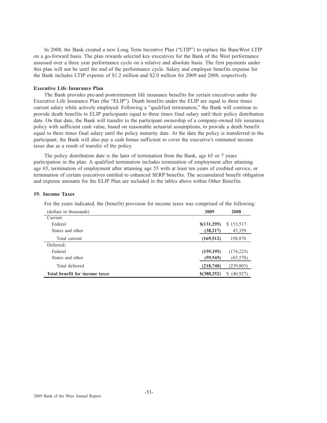In 2008, the Bank created a new Long Term Incentive Plan ("LTIP") to replace the BancWest LTIP on a go-forward basis. The plan rewards selected key executives for the Bank of the West performance assessed over a three year performance cycle on a relative and absolute basis. The first payments under this plan will not be until the end of the performance cycle. Salary and employee benefits expense for the Bank includes LTIP expense of \$1.2 million and \$2.0 million for 2009 and 2008, respectively.

## **Executive Life Insurance Plan**

The Bank provides pre-and postretirement life insurance benefits for certain executives under the Executive Life Insurance Plan (the "ELIP"). Death benefits under the ELIP are equal to three times current salary while actively employed. Following a "qualified termination," the Bank will continue to provide death benefits to ELIP participants equal to three times final salary until their policy distribution date. On that date, the Bank will transfer to the participant ownership of a company-owned life insurance policy with sufficient cash value, based on reasonable actuarial assumptions, to provide a death benefit equal to three times final salary until the policy maturity date. At the date the policy is transferred to the participant, the Bank will also pay a cash bonus sufficient to cover the executive's estimated income taxes due as a result of transfer of the policy.

The policy distribution date is the later of termination from the Bank, age 65 or 7 years participation in the plan. A qualified termination includes termination of employment after attaining age 65, termination of employment after attaining age 55 with at least ten years of credited service, or termination of certain executives entitled to enhanced SERP benefits. The accumulated benefit obligation and expense amounts for the ELIP Plan are included in the tables above within Other Benefits.

#### **19. Income Taxes**

For the years indicated, the (benefit) provision for income taxes was comprised of the following:

| (dollars in thousands)         | 2009          | 2008            |
|--------------------------------|---------------|-----------------|
| Current:                       |               |                 |
| Federal                        | \$(131,295)   | \$153,517       |
| States and other               | (38, 217)     | 45,359          |
| Total current                  | (169, 512)    | 198,876         |
| Deferred:                      |               |                 |
| Federal                        | (159, 195)    | (174, 225)      |
| States and other               | (59, 545)     | (65, 578)       |
| Total deferred                 | (218,740)     | (239, 803)      |
| Total benefit for income taxes | $$$ (388,252) | (40, 927)<br>S. |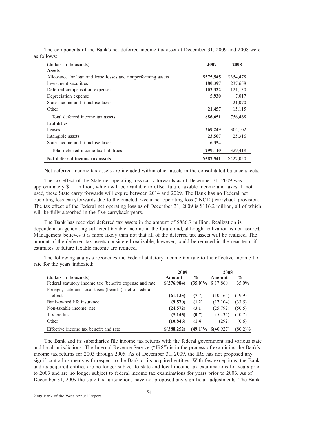| (dollars in thousands)                                       | 2009      | 2008      |
|--------------------------------------------------------------|-----------|-----------|
| <b>Assets</b>                                                |           |           |
| Allowance for loan and lease losses and nonperforming assets | \$575,545 | \$354,478 |
| Investment securities                                        | 180,397   | 237,658   |
| Deferred compensation expenses                               | 103,322   | 121,130   |
| Depreciation expense                                         | 5,930     | 7,017     |
| State income and franchise taxes                             |           | 21,070    |
| Other                                                        | 21,457    | 15,115    |
| Total deferred income tax assets                             | 886,651   | 756,468   |
| <b>Liabilities</b>                                           |           |           |
| Leases                                                       | 269,249   | 304,102   |
| Intangible assets                                            | 23,507    | 25,316    |
| State income and franchise taxes                             | 6,354     |           |
| Total deferred income tax liabilities                        | 299,110   | 329,418   |
| Net deferred income tax assets                               | \$587,541 | \$427,050 |

The components of the Bank's net deferred income tax asset at December 31, 2009 and 2008 were as follows:

Net deferred income tax assets are included within other assets in the consolidated balance sheets.

The tax effect of the State net operating loss carry forwards as of December 31, 2009 was approximately \$1.1 million, which will be available to offset future taxable income and taxes. If not used, these State carry forwards will expire between 2014 and 2029. The Bank has no Federal net operating loss carryforwards due to the enacted 5-year net operating loss ("NOL") carryback provision. The tax effect of the Federal net operating loss as of December 31, 2009 is \$116.2 million, all of which will be fully absorbed in the five carryback years.

The Bank has recorded deferred tax assets in the amount of \$886.7 million. Realization is dependent on generating sufficient taxable income in the future and, although realization is not assured, Management believes it is more likely than not that all of the deferred tax assets will be realized. The amount of the deferred tax assets considered realizable, however, could be reduced in the near term if estimates of future taxable income are reduced.

The following analysis reconciles the Federal statutory income tax rate to the effective income tax rate for the years indicated:

|                                                          | 2009          |               | 2008       |               |
|----------------------------------------------------------|---------------|---------------|------------|---------------|
| (dollars in thousands)                                   | Amount        | $\frac{0}{0}$ | Amount     | $\frac{0}{0}$ |
| Federal statutory income tax (benefit) expense and rate  | \$(276,984)   | $(35.0)\%$    | \$17.860   | $35.0\%$      |
| Foreign, state and local taxes (benefit), net of federal |               |               |            |               |
| effect                                                   | (61, 135)     | (7.7)         | (10, 165)  | (19.9)        |
| Bank-owned life insurance                                | (9,570)       | (1.2)         | (17, 104)  | (33.5)        |
| Non-taxable income, net                                  | (24, 572)     | (3.1)         | (25,792)   | (50.5)        |
| Tax credits                                              | (5, 145)      | (0.7)         | (5, 434)   | (10.7)        |
| Other                                                    | (10, 846)     | (1.4)         | (292)      | (0.6)         |
| Effective income tax benefit and rate                    | $$$ (388,252) | $(49.1)\%$    | \$(40,927) | $(80.2)\%$    |

The Bank and its subsidiaries file income tax returns with the federal government and various state and local jurisdictions. The Internal Revenue Service ("IRS") is in the process of examining the Bank's income tax returns for 2003 through 2005. As of December 31, 2009, the IRS has not proposed any significant adjustments with respect to the Bank or its acquired entities. With few exceptions, the Bank and its acquired entities are no longer subject to state and local income tax examinations for years prior to 2003 and are no longer subject to federal income tax examinations for years prior to 2003. As of December 31, 2009 the state tax jurisdictions have not proposed any significant adjustments. The Bank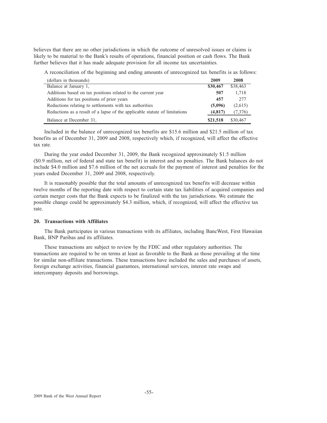believes that there are no other jurisdictions in which the outcome of unresolved issues or claims is likely to be material to the Bank's results of operations, financial position or cash flows. The Bank further believes that it has made adequate provision for all income tax uncertainties.

A reconciliation of the beginning and ending amounts of unrecognized tax benefits is as follows:

| (dollars in thousands)                                                     | 2009     | 2008     |
|----------------------------------------------------------------------------|----------|----------|
| Balance at January 1,                                                      | \$30,467 | \$38,463 |
| Additions based on tax positions related to the current year               | 507      | 1,718    |
| Additions for tax positions of prior years                                 | 457      | 2.77     |
| Reductions relating to settlements with tax authorities                    | (5,096)  | (2,615)  |
| Reductions as a result of a lapse of the applicable statute of limitations | (4,817)  | (7,376)  |
| Balance at December 31,                                                    | \$21,518 | \$30,467 |

Included in the balance of unrecognized tax benefits are \$15.6 million and \$21.5 million of tax benefits as of December 31, 2009 and 2008, respectively which, if recognized, will affect the effective tax rate.

During the year ended December 31, 2009, the Bank recognized approximately \$1.5 million (\$0.9 million, net of federal and state tax benefit) in interest and no penalties. The Bank balances do not include \$4.0 million and \$7.6 million of the net accruals for the payment of interest and penalties for the years ended December 31, 2009 and 2008, respectively.

It is reasonably possible that the total amounts of unrecognized tax benefits will decrease within twelve months of the reporting date with respect to certain state tax liabilities of acquired companies and certain merger costs that the Bank expects to be finalized with the tax jurisdictions. We estimate the possible change could be approximately \$4.3 million, which, if recognized, will affect the effective tax rate.

## **20. Transactions with Affiliates**

The Bank participates in various transactions with its affiliates, including BancWest, First Hawaiian Bank, BNP Paribas and its affiliates.

These transactions are subject to review by the FDIC and other regulatory authorities. The transactions are required to be on terms at least as favorable to the Bank as those prevailing at the time for similar non-affiliate transactions. These transactions have included the sales and purchases of assets, foreign exchange activities, financial guarantees, international services, interest rate swaps and intercompany deposits and borrowings.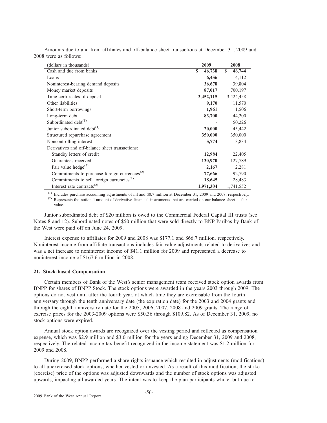Amounts due to and from affiliates and off-balance sheet transactions at December 31, 2009 and 2008 were as follows:

| (dollars in thousands)                                    | 2009        | 2008         |
|-----------------------------------------------------------|-------------|--------------|
| Cash and due from banks                                   | S<br>46,738 | S.<br>46,744 |
| Loans                                                     | 6,456       | 14,112       |
| Noninterest-bearing demand deposits                       | 36,678      | 39,804       |
| Money market deposits                                     | 87,017      | 700,197      |
| Time certificates of deposit                              | 3,452,115   | 3,424,458    |
| Other liabilities                                         | 9,170       | 11,570       |
| Short-term borrowings                                     | 1,961       | 1,506        |
| Long-term debt                                            | 83,700      | 44,200       |
| Subordinated debt $(1)$                                   |             | 50,226       |
| Junior subordinated debt <sup>(1)</sup>                   | 20,000      | 45,442       |
| Structured repurchase agreement                           | 350,000     | 350,000      |
| Noncontrolling interest                                   | 5,774       | 3,834        |
| Derivatives and off-balance sheet transactions:           |             |              |
| Standby letters of credit                                 | 12,984      | 22,405       |
| Guarantees received                                       | 130,970     | 127,789      |
| Fair value hedge <sup>(2)</sup>                           | 2,167       | 2,281        |
| Commitments to purchase foreign currencies <sup>(2)</sup> | 77,666      | 92,790       |
| Commitments to sell foreign currencies <sup>(2)</sup>     | 18,645      | 28,483       |
| Interest rate contracts <sup>(2)</sup>                    | 1,971,304   | 1,741,552    |

 $<sup>(1)</sup>$  Includes purchase accounting adjustments of nil and \$0.7 million at December 31, 2009 and 2008, respectively.</sup>

<sup>(2)</sup> Represents the notional amount of derivative financial instruments that are carried on our balance sheet at fair value.

Junior subordinated debt of \$20 million is owed to the Commercial Federal Capital III trusts (see Notes 8 and 12). Subordinated notes of \$50 million that were sold directly to BNP Paribas by Bank of the West were paid off on June 24, 2009.

Interest expense to affiliates for 2009 and 2008 was \$177.1 and \$66.7 million, respectively. Noninterest income from affiliate transactions includes fair value adjustments related to derivatives and was a net increase to noninterest income of \$41.1 million for 2009 and represented a decrease to noninterest income of \$167.6 million in 2008.

## **21. Stock-based Compensation**

Certain members of Bank of the West's senior management team received stock option awards from BNPP for shares of BNPP Stock. The stock options were awarded in the years 2003 through 2009. The options do not vest until after the fourth year, at which time they are exercisable from the fourth anniversary through the tenth anniversary date (the expiration date) for the 2003 and 2004 grants and through the eighth anniversary date for the 2005, 2006, 2007, 2008 and 2009 grants. The range of exercise prices for the 2003-2009 options were \$50.36 through \$109.82. As of December 31, 2009, no stock options were expired.

Annual stock option awards are recognized over the vesting period and reflected as compensation expense, which was \$2.9 million and \$3.0 million for the years ending December 31, 2009 and 2008, respectively. The related income tax benefit recognized in the income statement was \$1.2 million for 2009 and 2008.

During 2009, BNPP performed a share-rights issuance which resulted in adjustments (modifications) to all unexercised stock options, whether vested or unvested. As a result of this modification, the strike (exercise) price of the options was adjusted downwards and the number of stock options was adjusted upwards, impacting all awarded years. The intent was to keep the plan participants whole, but due to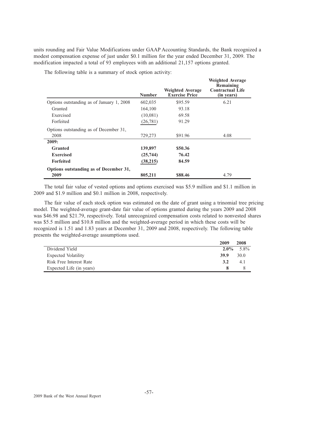units rounding and Fair Value Modifications under GAAP Accounting Standards, the Bank recognized a modest compensation expense of just under \$0.1 million for the year ended December 31, 2009. The modification impacted a total of 93 employees with an additional 21,157 options granted.

The following table is a summary of stock option activity:

|                                           | <b>Number</b> | <b>Weighted Average</b><br><b>Exercise Price</b> | <b>Weighted Average</b><br>Remaining<br><b>Contractual Life</b><br>(in years) |
|-------------------------------------------|---------------|--------------------------------------------------|-------------------------------------------------------------------------------|
| Options outstanding as of January 1, 2008 | 602,035       | \$95.59                                          | 6.21                                                                          |
| Granted                                   | 164,100       | 93.18                                            |                                                                               |
| Exercised                                 | (10,081)      | 69.58                                            |                                                                               |
| Forfeited                                 | (26, 781)     | 91.29                                            |                                                                               |
| Options outstanding as of December 31,    |               |                                                  |                                                                               |
| 2008                                      | 729,273       | \$91.96                                          | 4.08                                                                          |
| 2009:                                     |               |                                                  |                                                                               |
| <b>Granted</b>                            | 139,897       | \$50.36                                          |                                                                               |
| <b>Exercised</b>                          | (25,744)      | 76.42                                            |                                                                               |
| <b>Forfeited</b>                          | (38,215)      | 84.59                                            |                                                                               |
| Options outstanding as of December 31,    |               |                                                  |                                                                               |
| 2009                                      | 805,211       | \$88.46                                          | 4.79                                                                          |

The total fair value of vested options and options exercised was \$5.9 million and \$1.1 million in 2009 and \$1.9 million and \$0.1 million in 2008, respectively.

The fair value of each stock option was estimated on the date of grant using a trinomial tree pricing model. The weighted-average grant-date fair value of options granted during the years 2009 and 2008 was \$46.98 and \$21.79, respectively. Total unrecognized compensation costs related to nonvested shares was \$5.5 million and \$10.8 million and the weighted-average period in which these costs will be recognized is 1.51 and 1.83 years at December 31, 2009 and 2008, respectively. The following table presents the weighted-average assumptions used.

|                          | 2009    | 2008 |
|--------------------------|---------|------|
| Dividend Yield           | $2.0\%$ | 5.8% |
| Expected Volatility      | 39.9    | 30.0 |
| Risk Free Interest Rate  | 3.2     | 4.1  |
| Expected Life (in years) |         |      |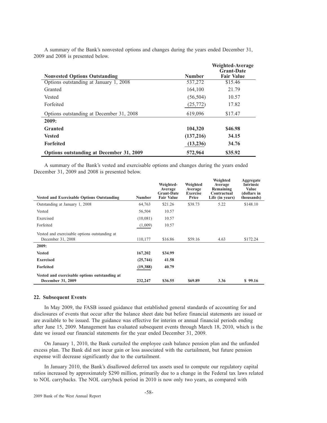| <b>Nonvested Options Outstanding</b>            | <b>Number</b> | Weighted-Average<br><b>Grant-Date</b><br><b>Fair Value</b> |
|-------------------------------------------------|---------------|------------------------------------------------------------|
| Options outstanding at January 1, 2008          | 537,272       | \$15.46                                                    |
|                                                 |               |                                                            |
| Granted                                         | 164,100       | 21.79                                                      |
| Vested                                          | (56, 504)     | 10.57                                                      |
| Forfeited                                       | (25,772)      | 17.82                                                      |
| Options outstanding at December 31, 2008        | 619,096       | \$17.47                                                    |
| 2009:                                           |               |                                                            |
| <b>Granted</b>                                  | 104,320       | \$46.98                                                    |
| <b>Vested</b>                                   | (137,216)     | 34.15                                                      |
| <b>Forfeited</b>                                | (13,236)      | 34.76                                                      |
| <b>Options outstanding at December 31, 2009</b> | 572,964       | \$35.92                                                    |

A summary of the Bank's nonvested options and changes during the years ended December 31, 2009 and 2008 is presented below.

A summary of the Bank's vested and exercisable options and changes during the years ended December 31, 2009 and 2008 is presented below.

| <b>Vested and Exercisable Options Outstanding</b>                  | <b>Number</b> | Weighted-<br>Average<br><b>Grant-Date</b><br><b>Fair Value</b> | Weighted<br>Average<br><b>Exercise</b><br>Price | Weighted<br>Average<br>Remaining<br>Contractual<br>Life (in years) | Aggregate<br><b>Intrinsic</b><br><b>Value</b><br>(dollars in<br>thousands) |
|--------------------------------------------------------------------|---------------|----------------------------------------------------------------|-------------------------------------------------|--------------------------------------------------------------------|----------------------------------------------------------------------------|
| Outstanding at January 1, 2008                                     | 64,763        | \$21.26                                                        | \$38.73                                         | 5.22                                                               | \$148.10                                                                   |
| Vested                                                             | 56,504        | 10.57                                                          |                                                 |                                                                    |                                                                            |
| Exercised                                                          | (10,081)      | 10.57                                                          |                                                 |                                                                    |                                                                            |
| Forfeited                                                          | (1,009)       | 10.57                                                          |                                                 |                                                                    |                                                                            |
| Vested and exercisable options outstanding at<br>December 31, 2008 | 110,177       | \$16.86                                                        | \$59.16                                         | 4.63                                                               | \$172.24                                                                   |
| 2009:                                                              |               |                                                                |                                                 |                                                                    |                                                                            |
| <b>Vested</b>                                                      | 167,202       | \$34.99                                                        |                                                 |                                                                    |                                                                            |
| <b>Exercised</b>                                                   | (25,744)      | 41.58                                                          |                                                 |                                                                    |                                                                            |
| <b>Forfeited</b>                                                   | (19,388)      | 40.79                                                          |                                                 |                                                                    |                                                                            |
| Vested and exercisable options outstanding at<br>December 31, 2009 | 232,247       | \$36.55                                                        | \$69.89                                         | 3.36                                                               | \$99.16                                                                    |

## **22. Subsequent Events**

In May 2009, the FASB issued guidance that established general standards of accounting for and disclosures of events that occur after the balance sheet date but before financial statements are issued or are available to be issued. The guidance was effective for interim or annual financial periods ending after June 15, 2009. Management has evaluated subsequent events through March 18, 2010, which is the date we issued our financial statements for the year ended December 31, 2009.

On January 1, 2010, the Bank curtailed the employee cash balance pension plan and the unfunded excess plan. The Bank did not incur gain or loss associated with the curtailment, but future pension expense will decrease significantly due to the curtailment.

In January 2010, the Bank's disallowed deferred tax assets used to compute our regulatory capital ratios increased by approximately \$290 million, primarily due to a change in the Federal tax laws related to NOL carrybacks. The NOL carryback period in 2010 is now only two years, as compared with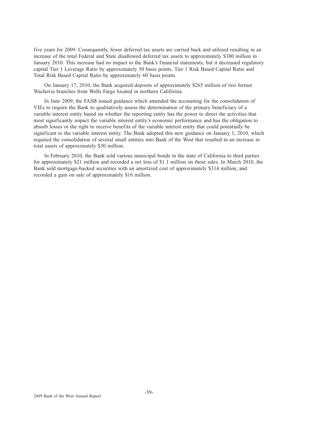five years for 2009. Consequently, fewer deferred tax assets are carried back and utilized resulting in an increase of the total Federal and State disallowed deferred tax assets to approximately \$380 million in January 2010. This increase had no impact to the Bank's financial statements, but it decreased regulatory capital Tier 1 Leverage Ratio by approximately 50 basis points, Tier 1 Risk Based Capital Ratio and Total Risk Based Capital Ratio by approximately 60 basis points.

On January 17, 2010, the Bank acquired deposits of approximately \$265 million of two former Wachovia branches from Wells Fargo located in northern California.

In June 2009, the FASB issued guidance which amended the accounting for the consolidation of VIEs to require the Bank to qualitatively assess the determination of the primary beneficiary of a variable interest entity based on whether the reporting entity has the power to direct the activities that most significantly impact the variable interest entity's economic performance and has the obligation to absorb losses or the right to receive benefits of the variable interest entity that could potentially be significant to the variable interest entity. The Bank adopted this new guidance on January 1, 2010, which required the consolidation of several small entities into Bank of the West that resulted in an increase in total assets of approximately \$30 million.

In February 2010, the Bank sold various municipal bonds in the state of California to third parties for approximately \$21 million and recorded a net loss of \$1.1 million on these sales. In March 2010, the Bank sold mortgage-backed securities with an amortized cost of approximately \$314 million, and recorded a gain on sale of approximately \$16 million.